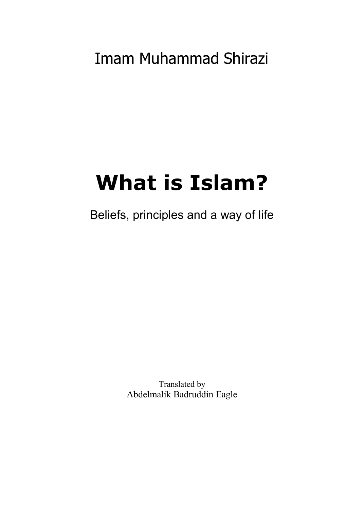Imam Muhammad Shirazi

# **What is Islam?**

# Beliefs, principles and a way of life

Translated by Abdelmalik Badruddin Eagle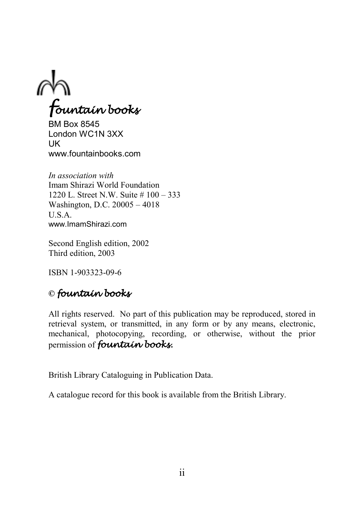

BM Box 8545 London WC1N 3XX UK www.fountainbooks.com

*In association with*  Imam Shirazi World Foundation 1220 L. Street N.W. Suite # 100 – 333 Washington, D.C. 20005 – 4018 U.S.A. www.ImamShirazi.com

Second English edition, 2002 Third edition, 2003

ISBN 1-903323-09-6

## $\circ$  fountain books

All rights reserved. No part of this publication may be reproduced, stored in retrieval system, or transmitted, in any form or by any means, electronic, mechanical, photocopying, recording, or otherwise, without the prior permission of **fountain** books.

British Library Cataloguing in Publication Data.

A catalogue record for this book is available from the British Library.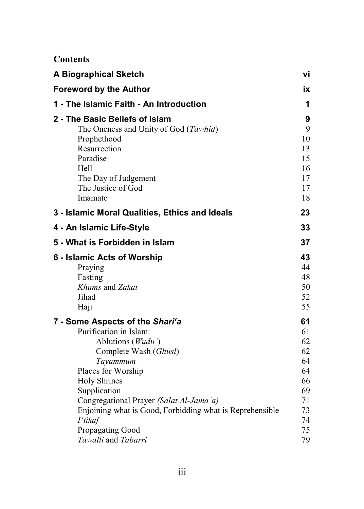| <b>Contents</b> |
|-----------------|
|-----------------|

| <b>A Biographical Sketch</b>                                                                                                                                                                                                                                                                                                                  | vi                                                                         |
|-----------------------------------------------------------------------------------------------------------------------------------------------------------------------------------------------------------------------------------------------------------------------------------------------------------------------------------------------|----------------------------------------------------------------------------|
| <b>Foreword by the Author</b>                                                                                                                                                                                                                                                                                                                 | ix                                                                         |
| 1 - The Islamic Faith - An Introduction                                                                                                                                                                                                                                                                                                       | 1                                                                          |
| 2 - The Basic Beliefs of Islam<br>The Oneness and Unity of God (Tawhid)<br>Prophethood<br>Resurrection<br>Paradise<br>Hell<br>The Day of Judgement<br>The Justice of God<br>Imamate                                                                                                                                                           | 9<br>9<br>10<br>13<br>15<br>16<br>17<br>17<br>18                           |
| 3 - Islamic Moral Qualities, Ethics and Ideals                                                                                                                                                                                                                                                                                                | 23                                                                         |
| 4 - An Islamic Life-Style                                                                                                                                                                                                                                                                                                                     | 33                                                                         |
| 5 - What is Forbidden in Islam                                                                                                                                                                                                                                                                                                                | 37                                                                         |
| 6 - Islamic Acts of Worship<br>Praying<br>Fasting<br>Khums and Zakat<br>Jihad<br>Hajj                                                                                                                                                                                                                                                         | 43<br>44<br>48<br>50<br>52<br>55                                           |
| 7 - Some Aspects of the Shari'a<br>Purification in Islam:<br>Ablutions (Wudu')<br>Complete Wash (Ghusl)<br>Tayammum<br>Places for Worship<br><b>Holy Shrines</b><br>Supplication<br>Congregational Prayer (Salat Al-Jama'a)<br>Enjoining what is Good, Forbidding what is Reprehensible<br>I'tikaf<br>Propagating Good<br>Tawalli and Tabarri | 61<br>61<br>62<br>62<br>64<br>64<br>66<br>69<br>71<br>73<br>74<br>75<br>79 |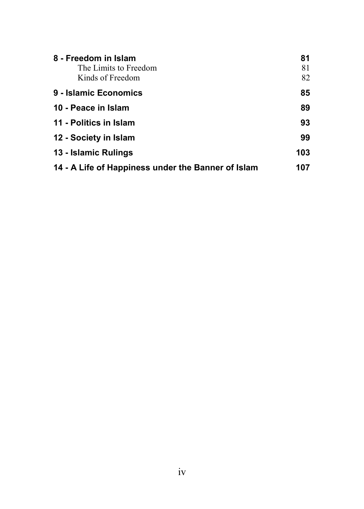| 8 - Freedom in Islam<br>The Limits to Freedom<br>Kinds of Freedom | 81<br>81<br>82 |
|-------------------------------------------------------------------|----------------|
| 9 - Islamic Economics                                             | 85             |
| 10 - Peace in Islam                                               | 89             |
| 11 - Politics in Islam                                            | 93             |
| 12 - Society in Islam                                             | 99             |
| 13 - Islamic Rulings                                              | 103            |
| 14 - A Life of Happiness under the Banner of Islam                | 107            |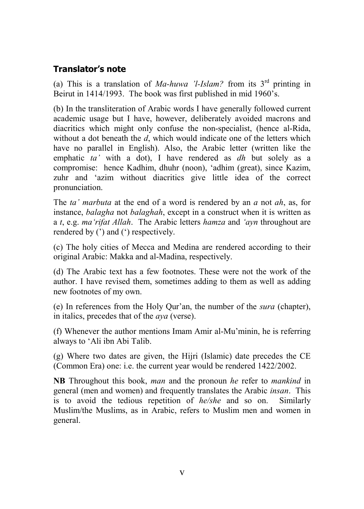## **Translator's note**

(a) This is a translation of *Ma-huwa 'l-Islam?* from its 3rd printing in Beirut in 1414/1993. The book was first published in mid 1960's.

(b) In the transliteration of Arabic words I have generally followed current academic usage but I have, however, deliberately avoided macrons and diacritics which might only confuse the non-specialist, (hence al-Rida, without a dot beneath the *d*, which would indicate one of the letters which have no parallel in English). Also, the Arabic letter (written like the emphatic *ta'* with a dot), I have rendered as *dh* but solely as a compromise: hence Kadhim, dhuhr (noon), 'adhim (great), since Kazim, zuhr and 'azim without diacritics give little idea of the correct pronunciation.

The *ta' marbuta* at the end of a word is rendered by an *a* not *ah*, as, for instance, *balagha* not *balaghah*, except in a construct when it is written as a *t*, e.g. *ma'rifat Allah*. The Arabic letters *hamza* and *'ayn* throughout are rendered by (') and (') respectively.

(c) The holy cities of Mecca and Medina are rendered according to their original Arabic: Makka and al-Madina, respectively.

(d) The Arabic text has a few footnotes. These were not the work of the author. I have revised them, sometimes adding to them as well as adding new footnotes of my own.

(e) In references from the Holy Qur'an, the number of the *sura* (chapter), in italics, precedes that of the *aya* (verse).

(f) Whenever the author mentions Imam Amir al-Mu'minin, he is referring always to 'Ali ibn Abi Talib.

(g) Where two dates are given, the Hijri (Islamic) date precedes the CE (Common Era) one: i.e. the current year would be rendered 1422/2002.

**NB** Throughout this book, *man* and the pronoun *he* refer to *mankind* in general (men and women) and frequently translates the Arabic *insan*. This is to avoid the tedious repetition of *he/she* and so on. Similarly Muslim/the Muslims, as in Arabic, refers to Muslim men and women in general.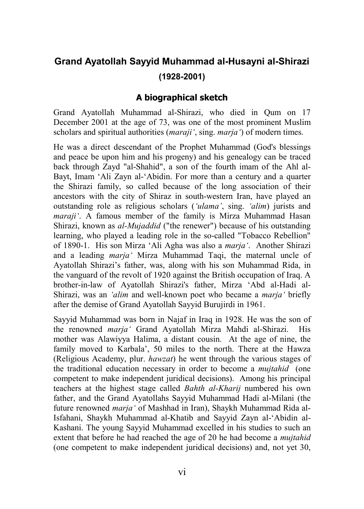# <span id="page-5-0"></span>**Grand Ayatollah Sayyid Muhammad al-Husayni al-Shirazi (1928-2001)**

## **A biographical sketch**

Grand Ayatollah Muhammad al-Shirazi, who died in Qum on 17 December 2001 at the age of 73, was one of the most prominent Muslim scholars and spiritual authorities (*maraji'*, sing. *marja'*) of modern times.

He was a direct descendant of the Prophet Muhammad (God's blessings and peace be upon him and his progeny) and his genealogy can be traced back through Zayd "al-Shahid", a son of the fourth imam of the Ahl al-Bayt, Imam 'Ali Zayn al-'Abidin. For more than a century and a quarter the Shirazi family, so called because of the long association of their ancestors with the city of Shiraz in south-western Iran, have played an outstanding role as religious scholars (*'ulama'*, sing. *'alim*) jurists and *maraji'*. A famous member of the family is Mirza Muhammad Hasan Shirazi, known as *al-Mujaddid* ("the renewer") because of his outstanding learning, who played a leading role in the so-called "Tobacco Rebellion" of 1890-1. His son Mirza 'Ali Agha was also a *marja'*. Another Shirazi and a leading *marja'* Mirza Muhammad Taqi, the maternal uncle of Ayatollah Shirazi's father, was, along with his son Muhammad Rida, in the vanguard of the revolt of 1920 against the British occupation of Iraq. A brother-in-law of Ayatollah Shirazi's father, Mirza 'Abd al-Hadi al-Shirazi, was an *'alim* and well-known poet who became a *marja'* briefly after the demise of Grand Ayatollah Sayyid Burujirdi in 1961.

Sayyid Muhammad was born in Najaf in Iraq in 1928. He was the son of the renowned *marja'* Grand Ayatollah Mirza Mahdi al-Shirazi. His mother was Alawiyya Halima, a distant cousin. At the age of nine, the family moved to Karbala', 50 miles to the north. There at the Hawza (Religious Academy, plur. *hawzat*) he went through the various stages of the traditional education necessary in order to become a *mujtahid* (one competent to make independent juridical decisions). Among his principal teachers at the highest stage called *Bahth al-Kharij* numbered his own father, and the Grand Ayatollahs Sayyid Muhammad Hadi al-Milani (the future renowned *marja'* of Mashhad in Iran), Shaykh Muhammad Rida al-Isfahani, Shaykh Muhammad al-Khatib and Sayyid Zayn al-'Abidin al-Kashani. The young Sayyid Muhammad excelled in his studies to such an extent that before he had reached the age of 20 he had become a *mujtahid*  (one competent to make independent juridical decisions) and, not yet 30,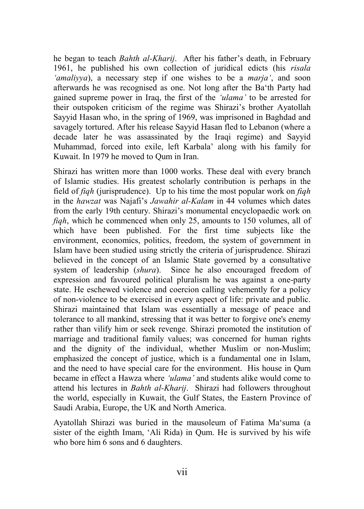he began to teach *Bahth al-Kharij*. After his father's death, in February 1961, he published his own collection of juridical edicts (his *risala 'amaliyya*), a necessary step if one wishes to be a *marja'*, and soon afterwards he was recognised as one. Not long after the Ba'th Party had gained supreme power in Iraq, the first of the *'ulama'* to be arrested for their outspoken criticism of the regime was Shirazi's brother Ayatollah Sayyid Hasan who, in the spring of 1969, was imprisoned in Baghdad and savagely tortured. After his release Sayyid Hasan fled to Lebanon (where a decade later he was assassinated by the Iraqi regime) and Sayyid Muhammad, forced into exile, left Karbala' along with his family for Kuwait. In 1979 he moved to Qum in Iran.

Shirazi has written more than 1000 works. These deal with every branch of Islamic studies. His greatest scholarly contribution is perhaps in the field of *fiqh* (jurisprudence). Up to his time the most popular work on *fiqh*  in the *hawzat* was Najafi's *Jawahir al-Kalam* in 44 volumes which dates from the early 19th century. Shirazi's monumental encyclopaedic work on *fiqh*, which he commenced when only 25, amounts to 150 volumes, all of which have been published. For the first time subjects like the environment, economics, politics, freedom, the system of government in Islam have been studied using strictly the criteria of jurisprudence. Shirazi believed in the concept of an Islamic State governed by a consultative system of leadership (*shura*). Since he also encouraged freedom of expression and favoured political pluralism he was against a one-party state. He eschewed violence and coercion calling vehemently for a policy of non-violence to be exercised in every aspect of life: private and public. Shirazi maintained that Islam was essentially a message of peace and tolerance to all mankind, stressing that it was better to forgive one's enemy rather than vilify him or seek revenge. Shirazi promoted the institution of marriage and traditional family values; was concerned for human rights and the dignity of the individual, whether Muslim or non-Muslim; emphasized the concept of justice, which is a fundamental one in Islam, and the need to have special care for the environment. His house in Qum became in effect a Hawza where *'ulama'* and students alike would come to attend his lectures in *Bahth al-Kharij*. Shirazi had followers throughout the world, especially in Kuwait, the Gulf States, the Eastern Province of Saudi Arabia, Europe, the UK and North America.

Ayatollah Shirazi was buried in the mausoleum of Fatima Ma'suma (a sister of the eighth Imam, 'Ali Rida) in Qum. He is survived by his wife who bore him 6 sons and 6 daughters.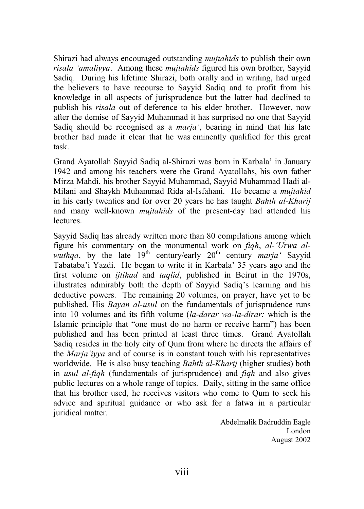Shirazi had always encouraged outstanding *mujtahids* to publish their own *risala 'amaliyya*. Among these *mujtahids* figured his own brother, Sayyid Sadiq. During his lifetime Shirazi, both orally and in writing, had urged the believers to have recourse to Sayyid Sadiq and to profit from his knowledge in all aspects of jurisprudence but the latter had declined to publish his *risala* out of deference to his elder brother. However, now after the demise of Sayyid Muhammad it has surprised no one that Sayyid Sadiq should be recognised as a *marja'*, bearing in mind that his late brother had made it clear that he was eminently qualified for this great task.

Grand Ayatollah Sayyid Sadiq al-Shirazi was born in Karbala' in January 1942 and among his teachers were the Grand Ayatollahs, his own father Mirza Mahdi, his brother Sayyid Muhammad, Sayyid Muhammad Hadi al-Milani and Shaykh Muhammad Rida al-Isfahani. He became a *mujtahid* in his early twenties and for over 20 years he has taught *Bahth al-Kharij* and many well-known *mujtahids* of the present-day had attended his **lectures** 

Sayyid Sadiq has already written more than 80 compilations among which figure his commentary on the monumental work on *fiqh*, *al-'Urwa alwuthaa*, by the late 19<sup>th</sup> century/early 20<sup>th</sup> century *maria* Sayyid Tabataba'i Yazdi. He began to write it in Karbala' 35 years ago and the first volume on *ijtihad* and *taqlid*, published in Beirut in the 1970s, illustrates admirably both the depth of Sayyid Sadiq's learning and his deductive powers. The remaining 20 volumes, on prayer, have yet to be published. His *Bayan al-usul* on the fundamentals of jurisprudence runs into 10 volumes and its fifth volume (*la-darar wa-la-dirar:* which is the Islamic principle that "one must do no harm or receive harm") has been published and has been printed at least three times. Grand Ayatollah Sadiq resides in the holy city of Qum from where he directs the affairs of the *Marja'iyya* and of course is in constant touch with his representatives worldwide. He is also busy teaching *Bahth al-Kharij* (higher studies) both in *usul al-fiqh* (fundamentals of jurisprudence) and *fiqh* and also gives public lectures on a whole range of topics*.* Daily, sitting in the same office that his brother used, he receives visitors who come to Qum to seek his advice and spiritual guidance or who ask for a fatwa in a particular juridical matter.

> Abdelmalik Badruddin Eagle London August 2002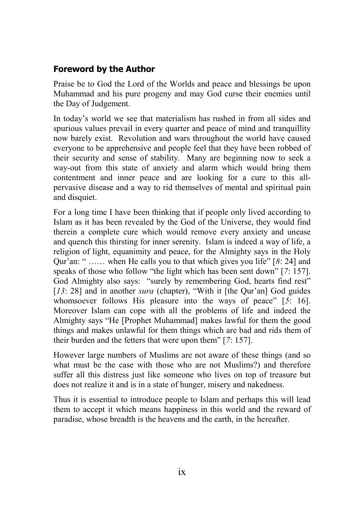## <span id="page-8-0"></span>**Foreword by the Author**

Praise be to God the Lord of the Worlds and peace and blessings be upon Muhammad and his pure progeny and may God curse their enemies until the Day of Judgement.

In today's world we see that materialism has rushed in from all sides and spurious values prevail in every quarter and peace of mind and tranquillity now barely exist. Revolution and wars throughout the world have caused everyone to be apprehensive and people feel that they have been robbed of their security and sense of stability. Many are beginning now to seek a way-out from this state of anxiety and alarm which would bring them contentment and inner peace and are looking for a cure to this allpervasive disease and a way to rid themselves of mental and spiritual pain and disquiet.

For a long time I have been thinking that if people only lived according to Islam as it has been revealed by the God of the Universe, they would find therein a complete cure which would remove every anxiety and unease and quench this thirsting for inner serenity. Islam is indeed a way of life, a religion of light, equanimity and peace, for the Almighty says in the Holy Qur'an: " …… when He calls you to that which gives you life" [*8*: 24] and speaks of those who follow "the light which has been sent down" [*7*: 157]. God Almighty also says: "surely by remembering God, hearts find rest" [13: 28] and in another *sura* (chapter), "With it [the Qur'an] God guides whomsoever follows His pleasure into the ways of peace" [*5*: 16]. Moreover Islam can cope with all the problems of life and indeed the Almighty says "He [Prophet Muhammad] makes lawful for them the good things and makes unlawful for them things which are bad and rids them of their burden and the fetters that were upon them" [*7*: 157].

However large numbers of Muslims are not aware of these things (and so what must be the case with those who are not Muslims?) and therefore suffer all this distress just like someone who lives on top of treasure but does not realize it and is in a state of hunger, misery and nakedness.

Thus it is essential to introduce people to Islam and perhaps this will lead them to accept it which means happiness in this world and the reward of paradise, whose breadth is the heavens and the earth, in the hereafter.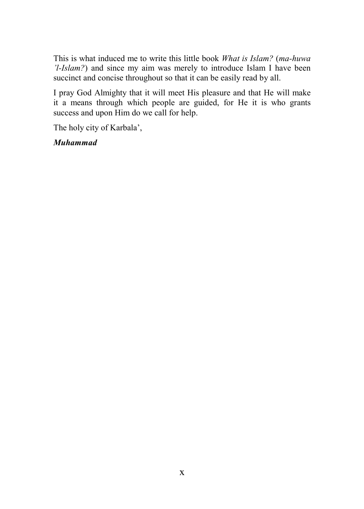This is what induced me to write this little book *What is Islam?* (*ma-huwa 'l-Islam?*) and since my aim was merely to introduce Islam I have been succinct and concise throughout so that it can be easily read by all.

I pray God Almighty that it will meet His pleasure and that He will make it a means through which people are guided, for He it is who grants success and upon Him do we call for help.

The holy city of Karbala',

*Muhammad*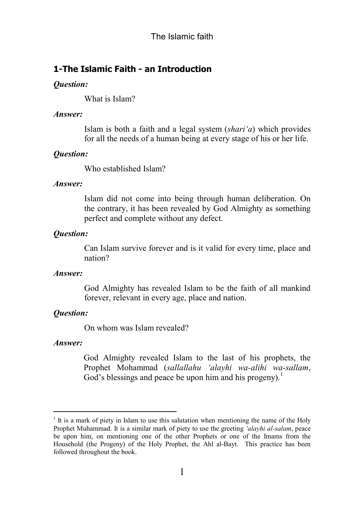## <span id="page-10-0"></span>**1-The Islamic Faith - an Introduction**

#### *Question:*

What is Islam?

#### *Answer:*

Islam is both a faith and a legal system (*shari'a*) which provides for all the needs of a human being at every stage of his or her life.

#### *Question:*

Who established Islam?

#### *Answer:*

Islam did not come into being through human deliberation. On the contrary, it has been revealed by God Almighty as something perfect and complete without any defect.

## *Question:*

Can Islam survive forever and is it valid for every time, place and nation?

#### *Answer:*

God Almighty has revealed Islam to be the faith of all mankind forever, relevant in every age, place and nation.

## *Question:*

On whom was Islam revealed?

#### *Answer:*

 $\overline{a}$ 

God Almighty revealed Islam to the last of his prophets, the Prophet Mohammad (*sallallahu 'alayhi wa-alihi wa-sallam*, God's blessings and peace be upon him and his progeny). $<sup>1</sup>$ </sup>

 $<sup>1</sup>$  It is a mark of piety in Islam to use this salutation when mentioning the name of the Holy</sup> Prophet Muhammad. It is a similar mark of piety to use the greeting *'alayhi al-salam*, peace be upon him, on mentioning one of the other Prophets or one of the Imams from the Household (the Progeny) of the Holy Prophet, the Ahl al-Bayt. This practice has been followed throughout the book.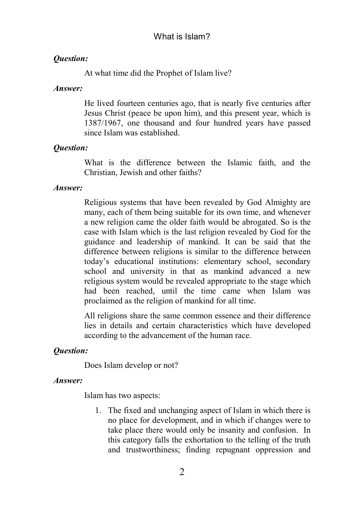## *Question:*

At what time did the Prophet of Islam live?

#### *Answer:*

He lived fourteen centuries ago, that is nearly five centuries after Jesus Christ (peace be upon him), and this present year, which is 1387/1967, one thousand and four hundred years have passed since Islam was established.

## *Question:*

What is the difference between the Islamic faith, and the Christian, Jewish and other faiths?

#### *Answer:*

Religious systems that have been revealed by God Almighty are many, each of them being suitable for its own time, and whenever a new religion came the older faith would be abrogated. So is the case with Islam which is the last religion revealed by God for the guidance and leadership of mankind. It can be said that the difference between religions is similar to the difference between today's educational institutions: elementary school, secondary school and university in that as mankind advanced a new religious system would be revealed appropriate to the stage which had been reached, until the time came when Islam was proclaimed as the religion of mankind for all time.

All religions share the same common essence and their difference lies in details and certain characteristics which have developed according to the advancement of the human race.

#### *Question:*

Does Islam develop or not?

#### *Answer:*

Islam has two aspects:

1. The fixed and unchanging aspect of Islam in which there is no place for development, and in which if changes were to take place there would only be insanity and confusion. In this category falls the exhortation to the telling of the truth and trustworthiness; finding repugnant oppression and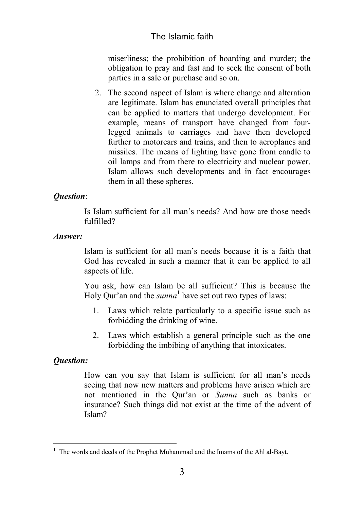## The Islamic faith

miserliness; the prohibition of hoarding and murder; the obligation to pray and fast and to seek the consent of both parties in a sale or purchase and so on.

2. The second aspect of Islam is where change and alteration are legitimate. Islam has enunciated overall principles that can be applied to matters that undergo development. For example, means of transport have changed from fourlegged animals to carriages and have then developed further to motorcars and trains, and then to aeroplanes and missiles. The means of lighting have gone from candle to oil lamps and from there to electricity and nuclear power. Islam allows such developments and in fact encourages them in all these spheres.

## *Question*:

Is Islam sufficient for all man's needs? And how are those needs fulfilled?

## *Answer:*

Islam is sufficient for all man's needs because it is a faith that God has revealed in such a manner that it can be applied to all aspects of life.

You ask, how can Islam be all sufficient? This is because the Holy Qur'an and the *sunna*<sup>1</sup> have set out two types of laws:

- 1. Laws which relate particularly to a specific issue such as forbidding the drinking of wine.
- 2. Laws which establish a general principle such as the one forbidding the imbibing of anything that intoxicates.

## *Question:*

 $\overline{a}$ 

How can you say that Islam is sufficient for all man's needs seeing that now new matters and problems have arisen which are not mentioned in the Qur'an or *Sunna* such as banks or insurance? Such things did not exist at the time of the advent of Islam?

<sup>&</sup>lt;sup>1</sup> The words and deeds of the Prophet Muhammad and the Imams of the Ahl al-Bayt.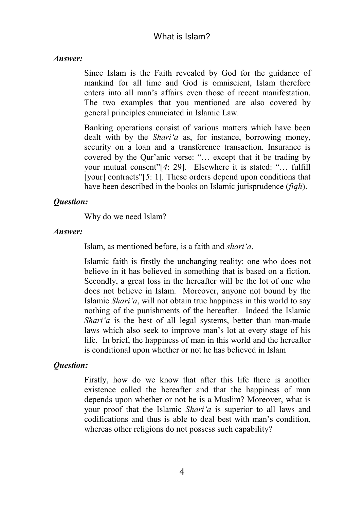#### *Answer:*

Since Islam is the Faith revealed by God for the guidance of mankind for all time and God is omniscient, Islam therefore enters into all man's affairs even those of recent manifestation. The two examples that you mentioned are also covered by general principles enunciated in Islamic Law.

Banking operations consist of various matters which have been dealt with by the *Shari'a* as, for instance, borrowing money, security on a loan and a transference transaction. Insurance is covered by the Qur'anic verse: "… except that it be trading by your mutual consent"[*4*: 29]. Elsewhere it is stated: "… fulfill [your] contracts"<sup>[5]</sup>: 1]. These orders depend upon conditions that have been described in the books on Islamic jurisprudence (*fiqh*).

#### *Question:*

Why do we need Islam?

#### *Answer:*

Islam, as mentioned before, is a faith and *shari'a*.

Islamic faith is firstly the unchanging reality: one who does not believe in it has believed in something that is based on a fiction. Secondly, a great loss in the hereafter will be the lot of one who does not believe in Islam. Moreover, anyone not bound by the Islamic *Shari'a*, will not obtain true happiness in this world to say nothing of the punishments of the hereafter. Indeed the Islamic *Shari'a* is the best of all legal systems, better than man-made laws which also seek to improve man's lot at every stage of his life. In brief, the happiness of man in this world and the hereafter is conditional upon whether or not he has believed in Islam

#### *Question:*

Firstly, how do we know that after this life there is another existence called the hereafter and that the happiness of man depends upon whether or not he is a Muslim? Moreover, what is your proof that the Islamic *Shari'a* is superior to all laws and codifications and thus is able to deal best with man's condition, whereas other religions do not possess such capability?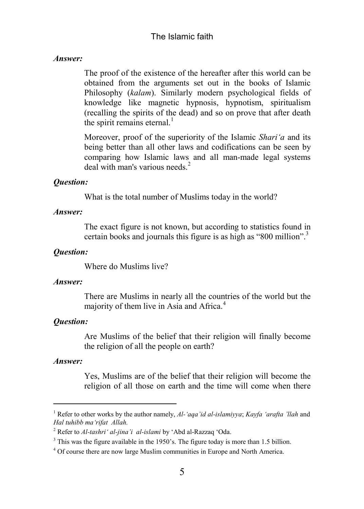## The Islamic faith

#### *Answer:*

The proof of the existence of the hereafter after this world can be obtained from the arguments set out in the books of Islamic Philosophy (*kalam*). Similarly modern psychological fields of knowledge like magnetic hypnosis, hypnotism, spiritualism (recalling the spirits of the dead) and so on prove that after death the spirit remains eternal. $<sup>1</sup>$ </sup>

Moreover, proof of the superiority of the Islamic *Shari'a* and its being better than all other laws and codifications can be seen by comparing how Islamic laws and all man-made legal systems deal with man's various needs $<sup>2</sup>$ </sup>

#### *Question:*

What is the total number of Muslims today in the world?

#### *Answer:*

The exact figure is not known, but according to statistics found in certain books and journals this figure is as high as "800 million".<sup>3</sup>

#### *Question:*

Where do Muslims live?

#### *Answer:*

There are Muslims in nearly all the countries of the world but the majority of them live in Asia and Africa.<sup>4</sup>

#### *Question:*

Are Muslims of the belief that their religion will finally become the religion of all the people on earth?

#### *Answer:*

 $\overline{a}$ 

Yes, Muslims are of the belief that their religion will become the religion of all those on earth and the time will come when there

<sup>1</sup> Refer to other works by the author namely, *Al-'aqa'id al-islamiyya*; *Kayfa 'arafta 'llah* and *Hal tuhibb ma'rifat Allah.*

<sup>2</sup> Refer to *Al-tashri' al-jina'i al-islami* by 'Abd al-Razzaq 'Oda.

<sup>&</sup>lt;sup>3</sup> This was the figure available in the 1950's. The figure today is more than 1.5 billion.

<sup>&</sup>lt;sup>4</sup> Of course there are now large Muslim communities in Europe and North America.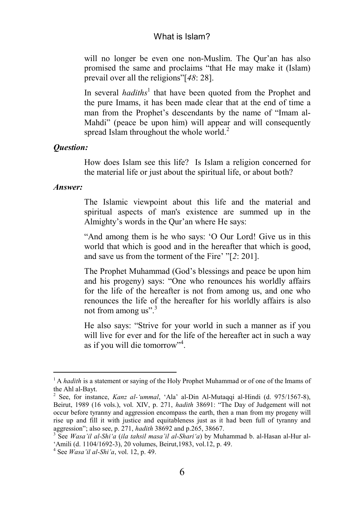will no longer be even one non-Muslim. The Our'an has also promised the same and proclaims "that He may make it (Islam) prevail over all the religions"[*48*: 28].

In several *hadiths*<sup>1</sup> that have been quoted from the Prophet and the pure Imams, it has been made clear that at the end of time a man from the Prophet's descendants by the name of "Imam al-Mahdi" (peace be upon him) will appear and will consequently spread Islam throughout the whole world. $2^2$ 

#### *Question:*

How does Islam see this life? Is Islam a religion concerned for the material life or just about the spiritual life, or about both?

#### *Answer:*

 $\overline{a}$ 

The Islamic viewpoint about this life and the material and spiritual aspects of man's existence are summed up in the Almighty's words in the Qur'an where He says:

"And among them is he who says: 'O Our Lord! Give us in this world that which is good and in the hereafter that which is good, and save us from the torment of the Fire' "[*2*: 201].

The Prophet Muhammad (God's blessings and peace be upon him and his progeny) says: "One who renounces his worldly affairs for the life of the hereafter is not from among us, and one who renounces the life of the hereafter for his worldly affairs is also not from among us".<sup>3</sup>

He also says: "Strive for your world in such a manner as if you will live for ever and for the life of the hereafter act in such a way as if you will die tomorrow"<sup>4</sup>.

<sup>&</sup>lt;sup>1</sup> A *hadith* is a statement or saying of the Holy Prophet Muhammad or of one of the Imams of the Ahl al-Bayt.

<sup>2</sup> See, for instance, *Kanz al-'ummal*, 'Ala' al-Din Al-Mutaqqi al-Hindi (d. 975/1567-8), Beirut, 1989 (16 vols.), vol. XIV, p. 271, *hadith* 38691: "The Day of Judgement will not occur before tyranny and aggression encompass the earth, then a man from my progeny will rise up and fill it with justice and equitableness just as it had been full of tyranny and aggression"; also see, p. 271, *hadith* 38692 and p.265, 38667. 3

See *Wasa'il al-Shi'a* (*ila tahsil masa'il al-Shari'a*) by Muhammad b. al-Hasan al-Hur al- 'Amili (d. 1104/1692-3), 20 volumes, Beirut,1983, vol.12, p. 49. 4

See *Wasa'il al-Shi'a*, vol. 12, p. 49.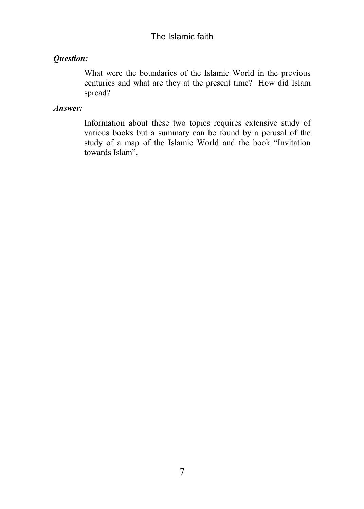## The Islamic faith

## *Question:*

What were the boundaries of the Islamic World in the previous centuries and what are they at the present time? How did Islam spread?

#### *Answer:*

Information about these two topics requires extensive study of various books but a summary can be found by a perusal of the study of a map of the Islamic World and the book "Invitation towards Islam".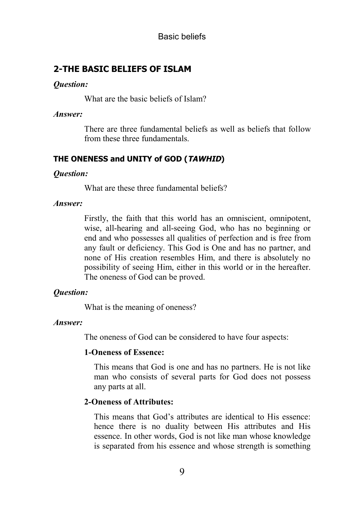## <span id="page-18-0"></span>**2-THE BASIC BELIEFS OF ISLAM**

## *Question:*

What are the basic beliefs of Islam?

## *Answer:*

There are three fundamental beliefs as well as beliefs that follow from these three fundamentals.

## **THE ONENESS and UNITY of GOD (TAWHID)**

## *Question:*

What are these three fundamental beliefs?

## *Answer:*

Firstly, the faith that this world has an omniscient, omnipotent, wise, all-hearing and all-seeing God, who has no beginning or end and who possesses all qualities of perfection and is free from any fault or deficiency. This God is One and has no partner, and none of His creation resembles Him, and there is absolutely no possibility of seeing Him, either in this world or in the hereafter. The oneness of God can be proved.

## *Question:*

What is the meaning of oneness?

## *Answer:*

The oneness of God can be considered to have four aspects:

## **1-Oneness of Essence:**

This means that God is one and has no partners. He is not like man who consists of several parts for God does not possess any parts at all.

## **2-Oneness of Attributes:**

This means that God's attributes are identical to His essence: hence there is no duality between His attributes and His essence. In other words, God is not like man whose knowledge is separated from his essence and whose strength is something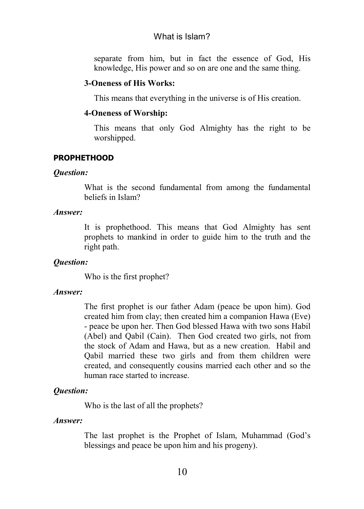<span id="page-19-0"></span>separate from him, but in fact the essence of God, His knowledge, His power and so on are one and the same thing.

#### **3-Oneness of His Works:**

This means that everything in the universe is of His creation.

#### **4-Oneness of Worship:**

This means that only God Almighty has the right to be worshipped.

#### **PROPHETHOOD**

#### *Question:*

What is the second fundamental from among the fundamental beliefs in Islam?

#### *Answer:*

It is prophethood. This means that God Almighty has sent prophets to mankind in order to guide him to the truth and the right path.

#### *Question:*

Who is the first prophet?

#### *Answer:*

The first prophet is our father Adam (peace be upon him). God created him from clay; then created him a companion Hawa (Eve) - peace be upon her. Then God blessed Hawa with two sons Habil (Abel) and Qabil (Cain). Then God created two girls, not from the stock of Adam and Hawa, but as a new creation. Habil and Qabil married these two girls and from them children were created, and consequently cousins married each other and so the human race started to increase.

#### *Question:*

Who is the last of all the prophets?

#### *Answer:*

The last prophet is the Prophet of Islam, Muhammad (God's blessings and peace be upon him and his progeny).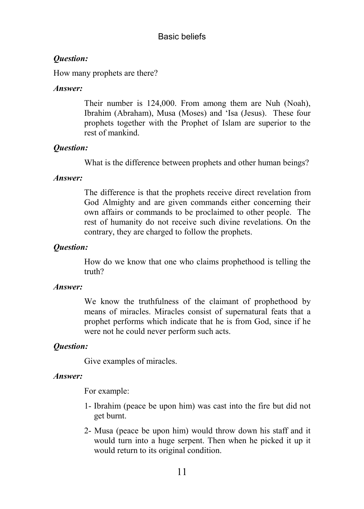## Basic beliefs

## *Question:*

How many prophets are there?

## *Answer:*

Their number is 124,000. From among them are Nuh (Noah), Ibrahim (Abraham), Musa (Moses) and 'Isa (Jesus). These four prophets together with the Prophet of Islam are superior to the rest of mankind.

## *Question:*

What is the difference between prophets and other human beings?

## *Answer:*

The difference is that the prophets receive direct revelation from God Almighty and are given commands either concerning their own affairs or commands to be proclaimed to other people. The rest of humanity do not receive such divine revelations. On the contrary, they are charged to follow the prophets.

## *Question:*

How do we know that one who claims prophethood is telling the truth?

## *Answer:*

We know the truthfulness of the claimant of prophethood by means of miracles. Miracles consist of supernatural feats that a prophet performs which indicate that he is from God, since if he were not he could never perform such acts.

## *Question:*

Give examples of miracles.

## *Answer:*

For example:

- 1- Ibrahim (peace be upon him) was cast into the fire but did not get burnt.
- 2- Musa (peace be upon him) would throw down his staff and it would turn into a huge serpent. Then when he picked it up it would return to its original condition.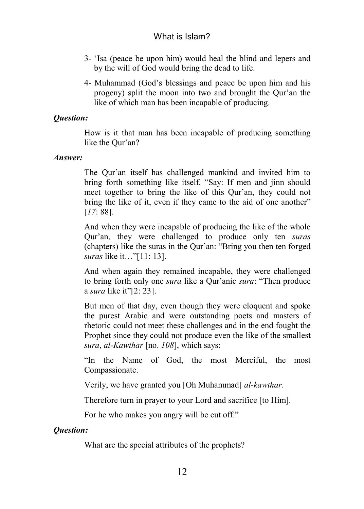- 3- 'Isa (peace be upon him) would heal the blind and lepers and by the will of God would bring the dead to life.
- 4- Muhammad (God's blessings and peace be upon him and his progeny) split the moon into two and brought the Qur'an the like of which man has been incapable of producing.

#### *Question:*

How is it that man has been incapable of producing something like the Qur'an?

#### *Answer:*

The Qur'an itself has challenged mankind and invited him to bring forth something like itself. "Say: If men and jinn should meet together to bring the like of this Qur'an, they could not bring the like of it, even if they came to the aid of one another" [*17*: 88].

And when they were incapable of producing the like of the whole Qur'an, they were challenged to produce only ten *suras* (chapters) like the suras in the Qur'an: "Bring you then ten forged *suras* like it…"[11: 13].

And when again they remained incapable, they were challenged to bring forth only one *sura* like a Qur'anic *sura*: "Then produce a *sura* like it"[2: 23].

But men of that day, even though they were eloquent and spoke the purest Arabic and were outstanding poets and masters of rhetoric could not meet these challenges and in the end fought the Prophet since they could not produce even the like of the smallest *sura*, *al-Kawthar* [no. *108*], which says:

"In the Name of God, the most Merciful, the most Compassionate.

Verily, we have granted you [Oh Muhammad] *al-kawthar*.

Therefore turn in prayer to your Lord and sacrifice [to Him].

For he who makes you angry will be cut off."

#### *Question:*

What are the special attributes of the prophets?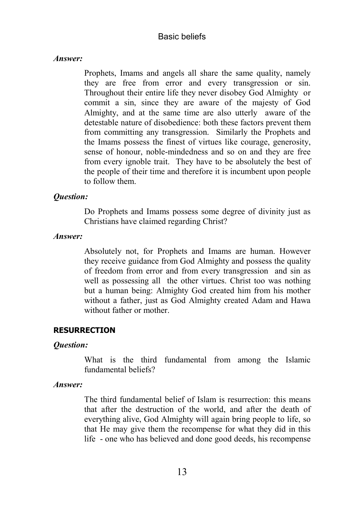## Basic beliefs

#### <span id="page-22-0"></span>*Answer:*

Prophets, Imams and angels all share the same quality, namely they are free from error and every transgression or sin. Throughout their entire life they never disobey God Almighty or commit a sin, since they are aware of the majesty of God Almighty, and at the same time are also utterly aware of the detestable nature of disobedience: both these factors prevent them from committing any transgression. Similarly the Prophets and the Imams possess the finest of virtues like courage, generosity, sense of honour, noble-mindedness and so on and they are free from every ignoble trait. They have to be absolutely the best of the people of their time and therefore it is incumbent upon people to follow them.

#### *Question:*

Do Prophets and Imams possess some degree of divinity just as Christians have claimed regarding Christ?

#### *Answer:*

Absolutely not, for Prophets and Imams are human. However they receive guidance from God Almighty and possess the quality of freedom from error and from every transgression and sin as well as possessing all the other virtues. Christ too was nothing but a human being: Almighty God created him from his mother without a father, just as God Almighty created Adam and Hawa without father or mother.

#### **RESURRECTION**

#### *Question:*

What is the third fundamental from among the Islamic fundamental beliefs?

#### *Answer:*

The third fundamental belief of Islam is resurrection: this means that after the destruction of the world, and after the death of everything alive, God Almighty will again bring people to life, so that He may give them the recompense for what they did in this life - one who has believed and done good deeds, his recompense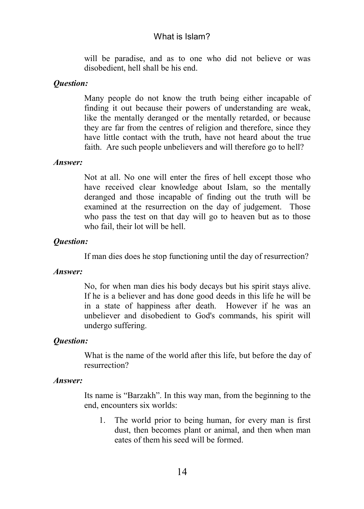will be paradise, and as to one who did not believe or was disobedient, hell shall be his end.

#### *Question:*

Many people do not know the truth being either incapable of finding it out because their powers of understanding are weak, like the mentally deranged or the mentally retarded, or because they are far from the centres of religion and therefore, since they have little contact with the truth, have not heard about the true faith. Are such people unbelievers and will therefore go to hell?

#### *Answer:*

Not at all. No one will enter the fires of hell except those who have received clear knowledge about Islam, so the mentally deranged and those incapable of finding out the truth will be examined at the resurrection on the day of judgement. Those who pass the test on that day will go to heaven but as to those who fail, their lot will be hell.

#### *Question:*

If man dies does he stop functioning until the day of resurrection?

#### *Answer:*

No, for when man dies his body decays but his spirit stays alive. If he is a believer and has done good deeds in this life he will be in a state of happiness after death. However if he was an unbeliever and disobedient to God's commands, his spirit will undergo suffering.

#### *Question:*

What is the name of the world after this life, but before the day of resurrection?

#### *Answer:*

Its name is "Barzakh". In this way man, from the beginning to the end, encounters six worlds:

1. The world prior to being human, for every man is first dust, then becomes plant or animal, and then when man eates of them his seed will be formed.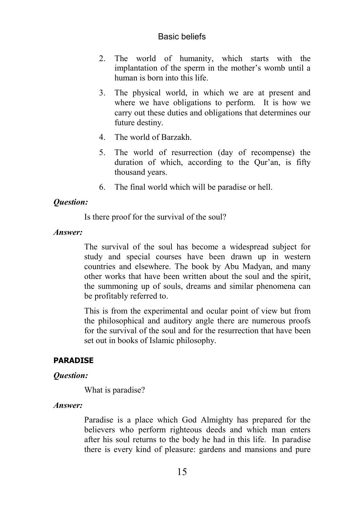## Basic beliefs

- <span id="page-24-0"></span>2. The world of humanity, which starts with the implantation of the sperm in the mother's womb until a human is born into this life.
- 3. The physical world, in which we are at present and where we have obligations to perform. It is how we carry out these duties and obligations that determines our future destiny.
- 4. The world of Barzakh.
- 5. The world of resurrection (day of recompense) the duration of which, according to the Qur'an, is fifty thousand years.
- 6. The final world which will be paradise or hell.

## *Question:*

Is there proof for the survival of the soul?

#### *Answer:*

The survival of the soul has become a widespread subject for study and special courses have been drawn up in western countries and elsewhere. The book by Abu Madyan, and many other works that have been written about the soul and the spirit, the summoning up of souls, dreams and similar phenomena can be profitably referred to.

This is from the experimental and ocular point of view but from the philosophical and auditory angle there are numerous proofs for the survival of the soul and for the resurrection that have been set out in books of Islamic philosophy.

## **PARADISE**

#### *Question:*

What is paradise?

#### *Answer:*

Paradise is a place which God Almighty has prepared for the believers who perform righteous deeds and which man enters after his soul returns to the body he had in this life. In paradise there is every kind of pleasure: gardens and mansions and pure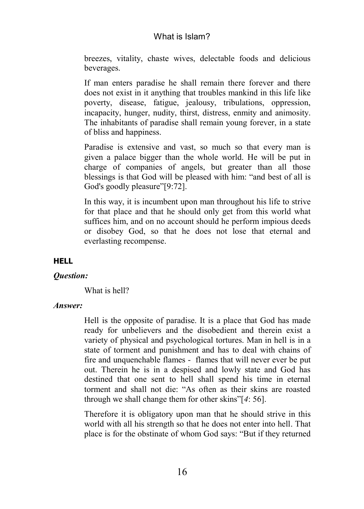<span id="page-25-0"></span>breezes, vitality, chaste wives, delectable foods and delicious beverages.

If man enters paradise he shall remain there forever and there does not exist in it anything that troubles mankind in this life like poverty, disease, fatigue, jealousy, tribulations, oppression, incapacity, hunger, nudity, thirst, distress, enmity and animosity. The inhabitants of paradise shall remain young forever, in a state of bliss and happiness.

Paradise is extensive and vast, so much so that every man is given a palace bigger than the whole world. He will be put in charge of companies of angels, but greater than all those blessings is that God will be pleased with him: "and best of all is God's goodly pleasure"[9:72].

In this way, it is incumbent upon man throughout his life to strive for that place and that he should only get from this world what suffices him, and on no account should he perform impious deeds or disobey God, so that he does not lose that eternal and everlasting recompense.

#### **HELL**

#### *Question:*

What is hell?

#### *Answer:*

Hell is the opposite of paradise. It is a place that God has made ready for unbelievers and the disobedient and therein exist a variety of physical and psychological tortures. Man in hell is in a state of torment and punishment and has to deal with chains of fire and unquenchable flames - flames that will never ever be put out. Therein he is in a despised and lowly state and God has destined that one sent to hell shall spend his time in eternal torment and shall not die: "As often as their skins are roasted through we shall change them for other skins"[*4*: 56].

Therefore it is obligatory upon man that he should strive in this world with all his strength so that he does not enter into hell. That place is for the obstinate of whom God says: "But if they returned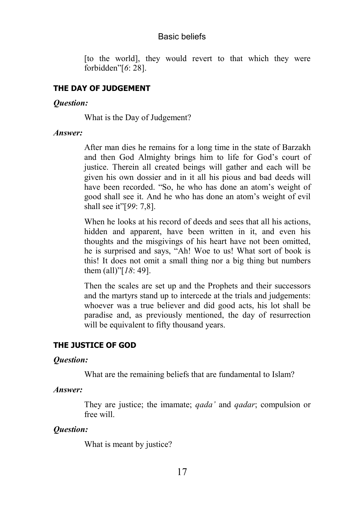#### Basic beliefs

[to the world], they would revert to that which they were forbidden"[*6*: 28].

## <span id="page-26-0"></span>**THE DAY OF JUDGEMENT**

#### *Question:*

What is the Day of Judgement?

#### *Answer:*

After man dies he remains for a long time in the state of Barzakh and then God Almighty brings him to life for God's court of justice. Therein all created beings will gather and each will be given his own dossier and in it all his pious and bad deeds will have been recorded. "So, he who has done an atom's weight of good shall see it. And he who has done an atom's weight of evil shall see it"[*99*: 7,8].

When he looks at his record of deeds and sees that all his actions. hidden and apparent, have been written in it, and even his thoughts and the misgivings of his heart have not been omitted, he is surprised and says, "Ah! Woe to us! What sort of book is this! It does not omit a small thing nor a big thing but numbers them (all)"[*18*: 49].

Then the scales are set up and the Prophets and their successors and the martyrs stand up to intercede at the trials and judgements: whoever was a true believer and did good acts, his lot shall be paradise and, as previously mentioned, the day of resurrection will be equivalent to fifty thousand years.

## **THE JUSTICE OF GOD**

#### *Question:*

What are the remaining beliefs that are fundamental to Islam?

#### *Answer:*

They are justice; the imamate; *qada'* and *qadar*; compulsion or free will.

#### *Question:*

What is meant by justice?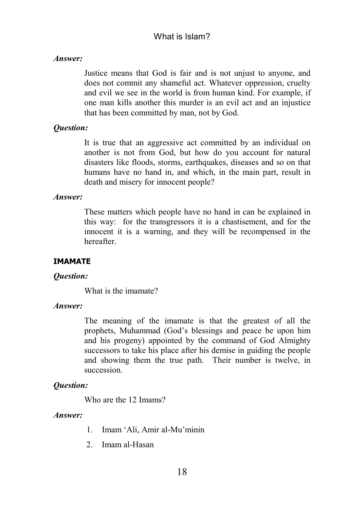#### <span id="page-27-0"></span>*Answer:*

Justice means that God is fair and is not unjust to anyone, and does not commit any shameful act. Whatever oppression, cruelty and evil we see in the world is from human kind. For example, if one man kills another this murder is an evil act and an injustice that has been committed by man, not by God.

## *Question:*

It is true that an aggressive act committed by an individual on another is not from God, but how do you account for natural disasters like floods, storms, earthquakes, diseases and so on that humans have no hand in, and which, in the main part, result in death and misery for innocent people?

#### *Answer:*

These matters which people have no hand in can be explained in this way: for the transgressors it is a chastisement, and for the innocent it is a warning, and they will be recompensed in the hereafter.

#### **IMAMATE**

#### *Question:*

What is the imamate?

#### *Answer:*

The meaning of the imamate is that the greatest of all the prophets, Muhammad (God's blessings and peace be upon him and his progeny) appointed by the command of God Almighty successors to take his place after his demise in guiding the people and showing them the true path. Their number is twelve, in succession.

#### *Question:*

Who are the 12 Imams?

#### *Answer:*

- 1. Imam 'Ali, Amir al-Mu'minin
- 2. Imam al-Hasan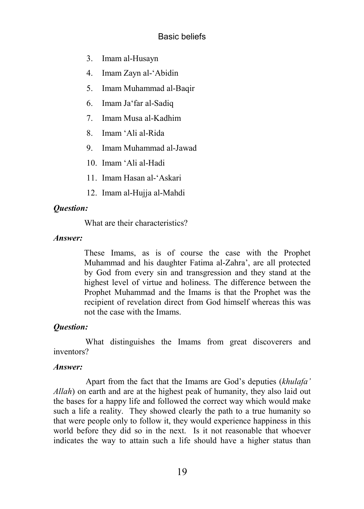## Basic beliefs

- 3. Imam al-Husayn
- 4. Imam Zayn al-'Abidin
- 5. Imam Muhammad al-Baqir
- 6. Imam Ja'far al-Sadiq
- 7. Imam Musa al-Kadhim
- 8. Imam 'Ali al-Rida
- 9. Imam Muhammad al-Jawad
- 10. Imam 'Ali al-Hadi
- 11. Imam Hasan al-'Askari
- 12. Imam al-Hujja al-Mahdi

## *Question:*

What are their characteristics?

*Answer:* 

These Imams, as is of course the case with the Prophet Muhammad and his daughter Fatima al-Zahra', are all protected by God from every sin and transgression and they stand at the highest level of virtue and holiness. The difference between the Prophet Muhammad and the Imams is that the Prophet was the recipient of revelation direct from God himself whereas this was not the case with the Imams.

## *Question:*

 What distinguishes the Imams from great discoverers and inventors?

#### *Answer:*

 Apart from the fact that the Imams are God's deputies (*khulafa' Allah*) on earth and are at the highest peak of humanity, they also laid out the bases for a happy life and followed the correct way which would make such a life a reality. They showed clearly the path to a true humanity so that were people only to follow it, they would experience happiness in this world before they did so in the next. Is it not reasonable that whoever indicates the way to attain such a life should have a higher status than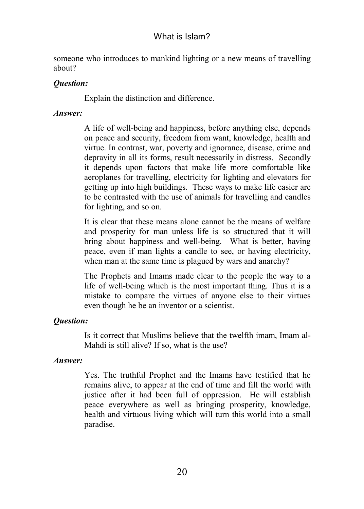someone who introduces to mankind lighting or a new means of travelling about?

## *Question:*

Explain the distinction and difference.

## *Answer:*

A life of well-being and happiness, before anything else, depends on peace and security, freedom from want, knowledge, health and virtue. In contrast, war, poverty and ignorance, disease, crime and depravity in all its forms, result necessarily in distress. Secondly it depends upon factors that make life more comfortable like aeroplanes for travelling, electricity for lighting and elevators for getting up into high buildings. These ways to make life easier are to be contrasted with the use of animals for travelling and candles for lighting, and so on.

It is clear that these means alone cannot be the means of welfare and prosperity for man unless life is so structured that it will bring about happiness and well-being. What is better, having peace, even if man lights a candle to see, or having electricity, when man at the same time is plagued by wars and anarchy?

The Prophets and Imams made clear to the people the way to a life of well-being which is the most important thing. Thus it is a mistake to compare the virtues of anyone else to their virtues even though he be an inventor or a scientist.

## *Question:*

Is it correct that Muslims believe that the twelfth imam, Imam al-Mahdi is still alive? If so, what is the use?

## *Answer:*

Yes. The truthful Prophet and the Imams have testified that he remains alive, to appear at the end of time and fill the world with justice after it had been full of oppression. He will establish peace everywhere as well as bringing prosperity, knowledge, health and virtuous living which will turn this world into a small paradise.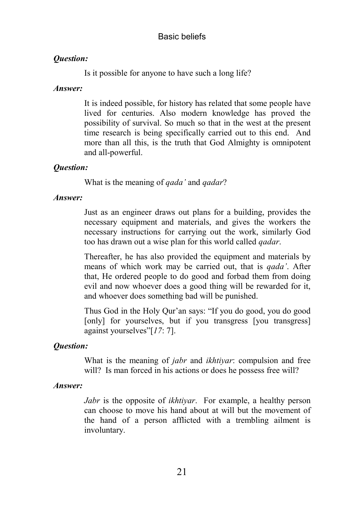## Basic beliefs

## *Question:*

Is it possible for anyone to have such a long life?

#### *Answer:*

It is indeed possible, for history has related that some people have lived for centuries. Also modern knowledge has proved the possibility of survival. So much so that in the west at the present time research is being specifically carried out to this end. And more than all this, is the truth that God Almighty is omnipotent and all-powerful.

## *Question:*

What is the meaning of *qada'* and *qadar*?

## *Answer:*

Just as an engineer draws out plans for a building, provides the necessary equipment and materials, and gives the workers the necessary instructions for carrying out the work, similarly God too has drawn out a wise plan for this world called *qadar*.

Thereafter, he has also provided the equipment and materials by means of which work may be carried out, that is *qada'*. After that, He ordered people to do good and forbad them from doing evil and now whoever does a good thing will be rewarded for it, and whoever does something bad will be punished.

Thus God in the Holy Qur'an says: "If you do good, you do good [only] for yourselves, but if you transgress [you transgress] against yourselves"[*17*: 7].

## *Question:*

What is the meaning of *jabr* and *ikhtiyar*: compulsion and free will? Is man forced in his actions or does he possess free will?

## *Answer:*

*Jabr* is the opposite of *ikhtiyar*. For example, a healthy person can choose to move his hand about at will but the movement of the hand of a person afflicted with a trembling ailment is involuntary.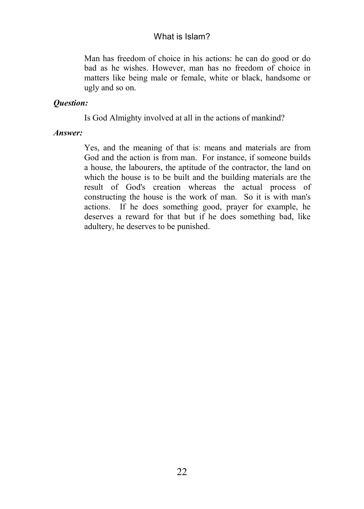Man has freedom of choice in his actions: he can do good or do bad as he wishes. However, man has no freedom of choice in matters like being male or female, white or black, handsome or ugly and so on.

## *Question:*

Is God Almighty involved at all in the actions of mankind?

## *Answer:*

Yes, and the meaning of that is: means and materials are from God and the action is from man. For instance, if someone builds a house, the labourers, the aptitude of the contractor, the land on which the house is to be built and the building materials are the result of God's creation whereas the actual process of constructing the house is the work of man. So it is with man's actions. If he does something good, prayer for example, he deserves a reward for that but if he does something bad, like adultery, he deserves to be punished.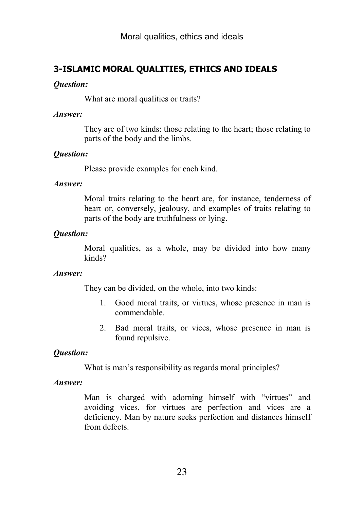## <span id="page-32-0"></span>**3-ISLAMIC MORAL QUALITIES, ETHICS AND IDEALS**

#### *Question:*

What are moral qualities or traits?

#### *Answer:*

They are of two kinds: those relating to the heart; those relating to parts of the body and the limbs.

#### *Question:*

Please provide examples for each kind.

## *Answer:*

Moral traits relating to the heart are, for instance, tenderness of heart or, conversely, jealousy, and examples of traits relating to parts of the body are truthfulness or lying.

## *Question:*

Moral qualities, as a whole, may be divided into how many kinds?

#### *Answer:*

They can be divided, on the whole, into two kinds:

- 1. Good moral traits, or virtues, whose presence in man is commendable.
- 2. Bad moral traits, or vices, whose presence in man is found repulsive.

## *Question:*

What is man's responsibility as regards moral principles?

## *Answer:*

Man is charged with adorning himself with "virtues" and avoiding vices, for virtues are perfection and vices are a deficiency. Man by nature seeks perfection and distances himself from defects.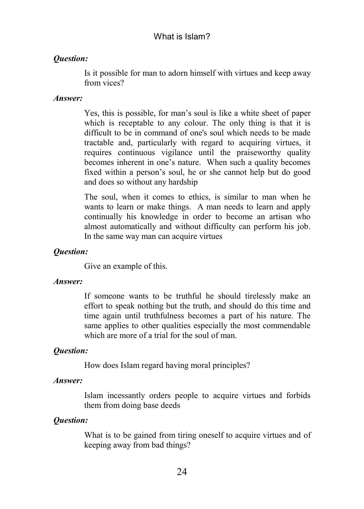#### *Question:*

Is it possible for man to adorn himself with virtues and keep away from vices?

#### *Answer:*

Yes, this is possible, for man's soul is like a white sheet of paper which is receptable to any colour. The only thing is that it is difficult to be in command of one's soul which needs to be made tractable and, particularly with regard to acquiring virtues, it requires continuous vigilance until the praiseworthy quality becomes inherent in one's nature. When such a quality becomes fixed within a person's soul, he or she cannot help but do good and does so without any hardship

The soul, when it comes to ethics, is similar to man when he wants to learn or make things. A man needs to learn and apply continually his knowledge in order to become an artisan who almost automatically and without difficulty can perform his job. In the same way man can acquire virtues

#### *Question:*

Give an example of this.

#### *Answer:*

If someone wants to be truthful he should tirelessly make an effort to speak nothing but the truth, and should do this time and time again until truthfulness becomes a part of his nature. The same applies to other qualities especially the most commendable which are more of a trial for the soul of man.

#### *Question:*

How does Islam regard having moral principles?

#### *Answer:*

Islam incessantly orders people to acquire virtues and forbids them from doing base deeds

#### *Question:*

What is to be gained from tiring oneself to acquire virtues and of keeping away from bad things?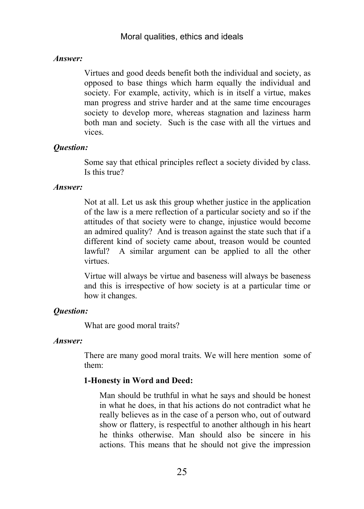#### *Answer:*

Virtues and good deeds benefit both the individual and society, as opposed to base things which harm equally the individual and society. For example, activity, which is in itself a virtue, makes man progress and strive harder and at the same time encourages society to develop more, whereas stagnation and laziness harm both man and society. Such is the case with all the virtues and vices.

#### *Question:*

Some say that ethical principles reflect a society divided by class. Is this true?

#### *Answer:*

Not at all. Let us ask this group whether justice in the application of the law is a mere reflection of a particular society and so if the attitudes of that society were to change, injustice would become an admired quality? And is treason against the state such that if a different kind of society came about, treason would be counted lawful? A similar argument can be applied to all the other virtues.

Virtue will always be virtue and baseness will always be baseness and this is irrespective of how society is at a particular time or how it changes.

#### *Question:*

What are good moral traits?

#### *Answer:*

There are many good moral traits. We will here mention some of them:

#### **1-Honesty in Word and Deed:**

Man should be truthful in what he says and should be honest in what he does, in that his actions do not contradict what he really believes as in the case of a person who, out of outward show or flattery, is respectful to another although in his heart he thinks otherwise. Man should also be sincere in his actions. This means that he should not give the impression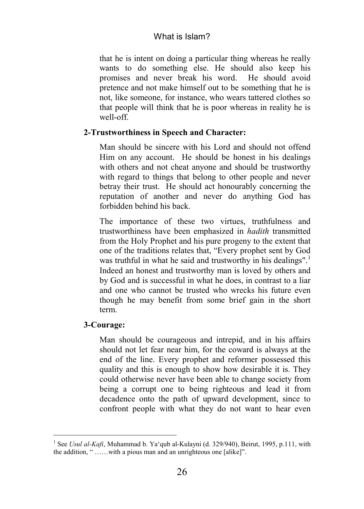that he is intent on doing a particular thing whereas he really wants to do something else. He should also keep his promises and never break his word. He should avoid pretence and not make himself out to be something that he is not, like someone, for instance, who wears tattered clothes so that people will think that he is poor whereas in reality he is well-off.

#### **2-Trustworthiness in Speech and Character:**

Man should be sincere with his Lord and should not offend Him on any account. He should be honest in his dealings with others and not cheat anyone and should be trustworthy with regard to things that belong to other people and never betray their trust. He should act honourably concerning the reputation of another and never do anything God has forbidden behind his back.

The importance of these two virtues, truthfulness and trustworthiness have been emphasized in *hadith* transmitted from the Holy Prophet and his pure progeny to the extent that one of the traditions relates that, "Every prophet sent by God was truthful in what he said and trustworthy in his dealings".<sup>1</sup> Indeed an honest and trustworthy man is loved by others and by God and is successful in what he does, in contrast to a liar and one who cannot be trusted who wrecks his future even though he may benefit from some brief gain in the short term.

#### **3-Courage:**

 $\overline{a}$ 

Man should be courageous and intrepid, and in his affairs should not let fear near him, for the coward is always at the end of the line. Every prophet and reformer possessed this quality and this is enough to show how desirable it is. They could otherwise never have been able to change society from being a corrupt one to being righteous and lead it from decadence onto the path of upward development, since to confront people with what they do not want to hear even

<sup>&</sup>lt;sup>1</sup> See *Usul al-Kafi*, Muhammad b. Ya'qub al-Kulayni (d. 329/940), Beirut, 1995, p.111, with the addition, " ……with a pious man and an unrighteous one [alike]".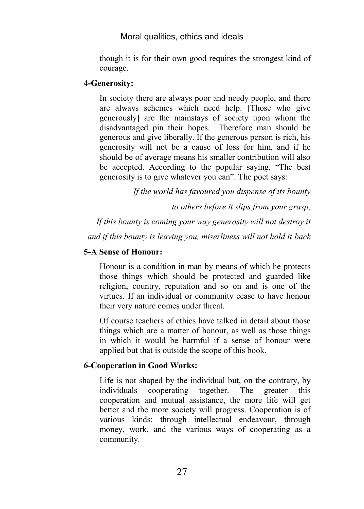#### Moral qualities, ethics and ideals

though it is for their own good requires the strongest kind of courage.

#### **4-Generosity:**

In society there are always poor and needy people, and there are always schemes which need help. [Those who give generously] are the mainstays of society upon whom the disadvantaged pin their hopes. Therefore man should be generous and give liberally. If the generous person is rich, his generosity will not be a cause of loss for him, and if he should be of average means his smaller contribution will also be accepted. According to the popular saying, "The best generosity is to give whatever you can". The poet says:

*If the world has favoured you dispense of its bounty* 

*to others before it slips from your grasp,* 

*If this bounty is coming your way generosity will not destroy it* 

*and if this bounty is leaving you, miserliness will not hold it back* 

#### **5-A Sense of Honour:**

Honour is a condition in man by means of which he protects those things which should be protected and guarded like religion, country, reputation and so on and is one of the virtues. If an individual or community cease to have honour their very nature comes under threat.

Of course teachers of ethics have talked in detail about those things which are a matter of honour, as well as those things in which it would be harmful if a sense of honour were applied but that is outside the scope of this book.

#### **6-Cooperation in Good Works:**

Life is not shaped by the individual but, on the contrary, by individuals cooperating together. The greater this cooperation and mutual assistance, the more life will get better and the more society will progress. Cooperation is of various kinds: through intellectual endeavour, through money, work, and the various ways of cooperating as a community.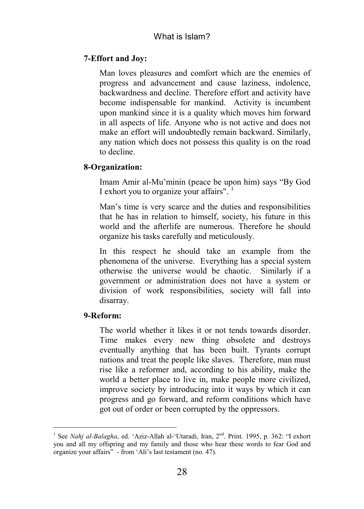## **7-Effort and Joy:**

Man loves pleasures and comfort which are the enemies of progress and advancement and cause laziness, indolence, backwardness and decline. Therefore effort and activity have become indispensable for mankind. Activity is incumbent upon mankind since it is a quality which moves him forward in all aspects of life. Anyone who is not active and does not make an effort will undoubtedly remain backward. Similarly, any nation which does not possess this quality is on the road to decline.

## **8-Organization:**

Imam Amir al-Mu'minin (peace be upon him) says "By God I exhort you to organize your affairs".  $1$ 

Man's time is very scarce and the duties and responsibilities that he has in relation to himself, society, his future in this world and the afterlife are numerous. Therefore he should organize his tasks carefully and meticulously.

In this respect he should take an example from the phenomena of the universe. Everything has a special system otherwise the universe would be chaotic. Similarly if a government or administration does not have a system or division of work responsibilities, society will fall into disarray.

## **9-Reform:**

The world whether it likes it or not tends towards disorder. Time makes every new thing obsolete and destroys eventually anything that has been built. Tyrants corrupt nations and treat the people like slaves. Therefore, man must rise like a reformer and, according to his ability, make the world a better place to live in, make people more civilized, improve society by introducing into it ways by which it can progress and go forward, and reform conditions which have got out of order or been corrupted by the oppressors.

 $\overline{a}$ 1 See *Nahj al-Balagha*, ed. 'Aziz-Allah al-'Utaradi, Iran, 2<sup>nd</sup>. Print. 1995, p. 362: "I exhort you and all my offspring and my family and those who hear these words to fear God and organize your affairs" - from 'Ali's last testament (no. 47).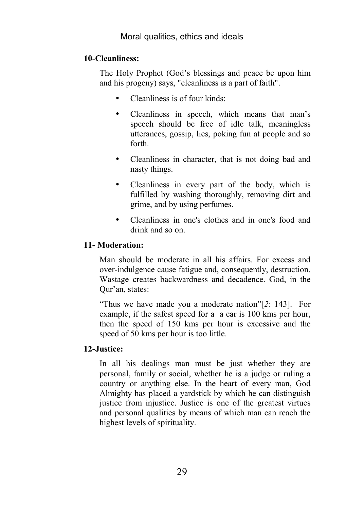## **10-Cleanliness:**

The Holy Prophet (God's blessings and peace be upon him and his progeny) says, "cleanliness is a part of faith".

- Cleanliness is of four kinds:
- Cleanliness in speech, which means that man's speech should be free of idle talk, meaningless utterances, gossip, lies, poking fun at people and so forth.
- Cleanliness in character, that is not doing bad and nasty things.
- Cleanliness in every part of the body, which is fulfilled by washing thoroughly, removing dirt and grime, and by using perfumes.
- Cleanliness in one's clothes and in one's food and drink and so on.

### **11- Moderation:**

Man should be moderate in all his affairs. For excess and over-indulgence cause fatigue and, consequently, destruction. Wastage creates backwardness and decadence. God, in the Qur'an, states:

"Thus we have made you a moderate nation"[*2*: 143]. For example, if the safest speed for a a car is 100 kms per hour, then the speed of 150 kms per hour is excessive and the speed of 50 kms per hour is too little.

#### **12-Justice:**

In all his dealings man must be just whether they are personal, family or social, whether he is a judge or ruling a country or anything else. In the heart of every man, God Almighty has placed a yardstick by which he can distinguish justice from injustice. Justice is one of the greatest virtues and personal qualities by means of which man can reach the highest levels of spirituality.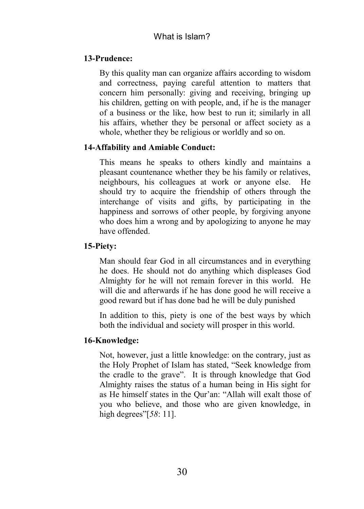## **13-Prudence:**

By this quality man can organize affairs according to wisdom and correctness, paying careful attention to matters that concern him personally: giving and receiving, bringing up his children, getting on with people, and, if he is the manager of a business or the like, how best to run it; similarly in all his affairs, whether they be personal or affect society as a whole, whether they be religious or worldly and so on.

## **14-Affability and Amiable Conduct:**

This means he speaks to others kindly and maintains a pleasant countenance whether they be his family or relatives, neighbours, his colleagues at work or anyone else. He should try to acquire the friendship of others through the interchange of visits and gifts, by participating in the happiness and sorrows of other people, by forgiving anyone who does him a wrong and by apologizing to anyone he may have offended.

## **15-Piety:**

Man should fear God in all circumstances and in everything he does. He should not do anything which displeases God Almighty for he will not remain forever in this world. He will die and afterwards if he has done good he will receive a good reward but if has done bad he will be duly punished

In addition to this, piety is one of the best ways by which both the individual and society will prosper in this world.

## **16-Knowledge:**

Not, however, just a little knowledge: on the contrary, just as the Holy Prophet of Islam has stated, "Seek knowledge from the cradle to the grave". It is through knowledge that God Almighty raises the status of a human being in His sight for as He himself states in the Qur'an: "Allah will exalt those of you who believe, and those who are given knowledge, in high degrees"[*58*: 11].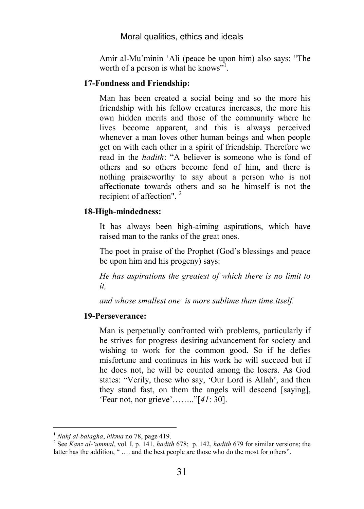#### Moral qualities, ethics and ideals

Amir al-Mu'minin 'Ali (peace be upon him) also says: "The worth of a person is what he knows"<sup>1</sup>.

#### **17-Fondness and Friendship:**

Man has been created a social being and so the more his friendship with his fellow creatures increases, the more his own hidden merits and those of the community where he lives become apparent, and this is always perceived whenever a man loves other human beings and when people get on with each other in a spirit of friendship. Therefore we read in the *hadith*: "A believer is someone who is fond of others and so others become fond of him, and there is nothing praiseworthy to say about a person who is not affectionate towards others and so he himself is not the recipient of affection". <sup>2</sup>

#### **18-High-mindedness:**

It has always been high-aiming aspirations, which have raised man to the ranks of the great ones.

The poet in praise of the Prophet (God's blessings and peace be upon him and his progeny) says:

*He has aspirations the greatest of which there is no limit to it,* 

*and whose smallest one is more sublime than time itself.*

#### **19-Perseverance:**

Man is perpetually confronted with problems, particularly if he strives for progress desiring advancement for society and wishing to work for the common good. So if he defies misfortune and continues in his work he will succeed but if he does not, he will be counted among the losers. As God states: "Verily, those who say, 'Our Lord is Allah', and then they stand fast, on them the angels will descend [saying], 'Fear not, nor grieve'…….."[*41*: 30].

 $\overline{a}$ 

<sup>1</sup> *Nahj al-balagha*, *hikma* no 78, page 419. 2

See *Kanz al-'ummal*, vol. I, p. 141, *hadith* 678; p. 142, *hadith* 679 for similar versions; the latter has the addition, " …. and the best people are those who do the most for others".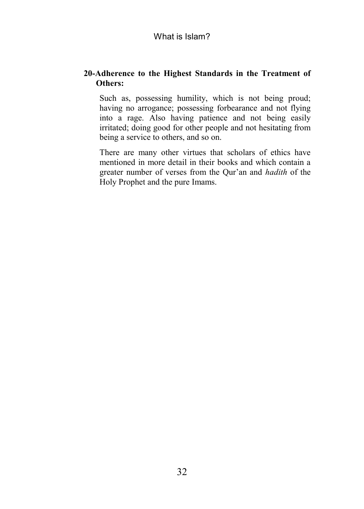## **20-Adherence to the Highest Standards in the Treatment of Others:**

Such as, possessing humility, which is not being proud; having no arrogance; possessing forbearance and not flying into a rage. Also having patience and not being easily irritated; doing good for other people and not hesitating from being a service to others, and so on.

There are many other virtues that scholars of ethics have mentioned in more detail in their books and which contain a greater number of verses from the Qur'an and *hadith* of the Holy Prophet and the pure Imams.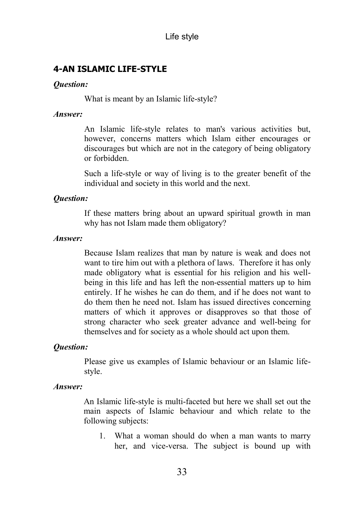# **4-AN ISLAMIC LIFE-STYLE**

#### *Question:*

What is meant by an Islamic life-style?

#### *Answer:*

An Islamic life-style relates to man's various activities but, however, concerns matters which Islam either encourages or discourages but which are not in the category of being obligatory or forbidden.

Such a life-style or way of living is to the greater benefit of the individual and society in this world and the next.

### *Question:*

If these matters bring about an upward spiritual growth in man why has not Islam made them obligatory?

#### *Answer:*

Because Islam realizes that man by nature is weak and does not want to tire him out with a plethora of laws. Therefore it has only made obligatory what is essential for his religion and his wellbeing in this life and has left the non-essential matters up to him entirely. If he wishes he can do them, and if he does not want to do them then he need not. Islam has issued directives concerning matters of which it approves or disapproves so that those of strong character who seek greater advance and well-being for themselves and for society as a whole should act upon them.

## *Question:*

Please give us examples of Islamic behaviour or an Islamic lifestyle.

#### *Answer:*

An Islamic life-style is multi-faceted but here we shall set out the main aspects of Islamic behaviour and which relate to the following subjects:

1. What a woman should do when a man wants to marry her, and vice-versa. The subject is bound up with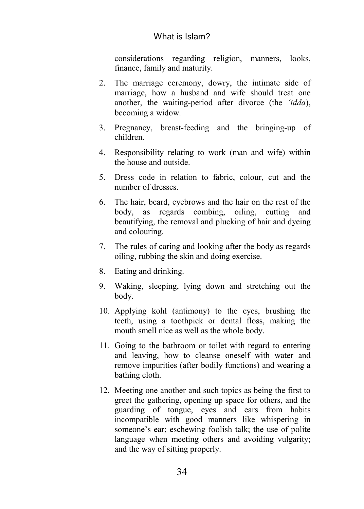considerations regarding religion, manners, looks, finance, family and maturity.

- 2. The marriage ceremony, dowry, the intimate side of marriage, how a husband and wife should treat one another, the waiting-period after divorce (the *'idda*), becoming a widow.
- 3. Pregnancy, breast-feeding and the bringing-up of children.
- 4. Responsibility relating to work (man and wife) within the house and outside.
- 5. Dress code in relation to fabric, colour, cut and the number of dresses.
- 6. The hair, beard, eyebrows and the hair on the rest of the body, as regards combing, oiling, cutting and beautifying, the removal and plucking of hair and dyeing and colouring.
- 7. The rules of caring and looking after the body as regards oiling, rubbing the skin and doing exercise.
- 8. Eating and drinking.
- 9. Waking, sleeping, lying down and stretching out the body.
- 10. Applying kohl (antimony) to the eyes, brushing the teeth, using a toothpick or dental floss, making the mouth smell nice as well as the whole body.
- 11. Going to the bathroom or toilet with regard to entering and leaving, how to cleanse oneself with water and remove impurities (after bodily functions) and wearing a bathing cloth.
- 12. Meeting one another and such topics as being the first to greet the gathering, opening up space for others, and the guarding of tongue, eyes and ears from habits incompatible with good manners like whispering in someone's ear; eschewing foolish talk; the use of polite language when meeting others and avoiding vulgarity; and the way of sitting properly.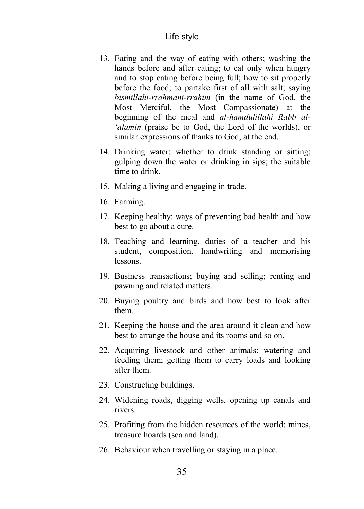### Life style

- 13. Eating and the way of eating with others; washing the hands before and after eating; to eat only when hungry and to stop eating before being full; how to sit properly before the food; to partake first of all with salt; saying *bismillahi-rrahmani-rrahim* (in the name of God, the Most Merciful, the Most Compassionate) at the beginning of the meal and *al-hamdulillahi Rabb al- 'alamin* (praise be to God, the Lord of the worlds), or similar expressions of thanks to God, at the end.
- 14. Drinking water: whether to drink standing or sitting; gulping down the water or drinking in sips; the suitable time to drink.
- 15. Making a living and engaging in trade.
- 16. Farming.
- 17. Keeping healthy: ways of preventing bad health and how best to go about a cure.
- 18. Teaching and learning, duties of a teacher and his student, composition, handwriting and memorising lessons.
- 19. Business transactions; buying and selling; renting and pawning and related matters.
- 20. Buying poultry and birds and how best to look after them.
- 21. Keeping the house and the area around it clean and how best to arrange the house and its rooms and so on.
- 22. Acquiring livestock and other animals: watering and feeding them; getting them to carry loads and looking after them.
- 23. Constructing buildings.
- 24. Widening roads, digging wells, opening up canals and rivers.
- 25. Profiting from the hidden resources of the world: mines, treasure hoards (sea and land).
- 26. Behaviour when travelling or staying in a place.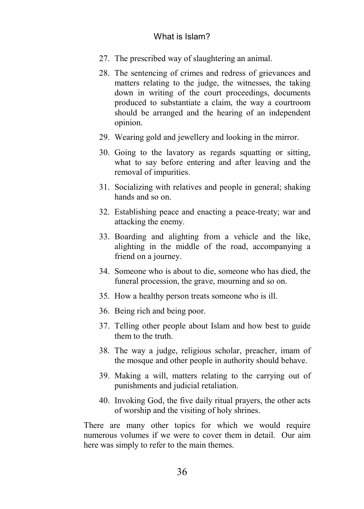- 27. The prescribed way of slaughtering an animal.
- 28. The sentencing of crimes and redress of grievances and matters relating to the judge, the witnesses, the taking down in writing of the court proceedings, documents produced to substantiate a claim, the way a courtroom should be arranged and the hearing of an independent opinion.
- 29. Wearing gold and jewellery and looking in the mirror.
- 30. Going to the lavatory as regards squatting or sitting, what to say before entering and after leaving and the removal of impurities.
- 31. Socializing with relatives and people in general; shaking hands and so on.
- 32. Establishing peace and enacting a peace-treaty; war and attacking the enemy.
- 33. Boarding and alighting from a vehicle and the like, alighting in the middle of the road, accompanying a friend on a journey.
- 34. Someone who is about to die, someone who has died, the funeral procession, the grave, mourning and so on.
- 35. How a healthy person treats someone who is ill.
- 36. Being rich and being poor.
- 37. Telling other people about Islam and how best to guide them to the truth.
- 38. The way a judge, religious scholar, preacher, imam of the mosque and other people in authority should behave.
- 39. Making a will, matters relating to the carrying out of punishments and judicial retaliation.
- 40. Invoking God, the five daily ritual prayers, the other acts of worship and the visiting of holy shrines.

There are many other topics for which we would require numerous volumes if we were to cover them in detail. Our aim here was simply to refer to the main themes.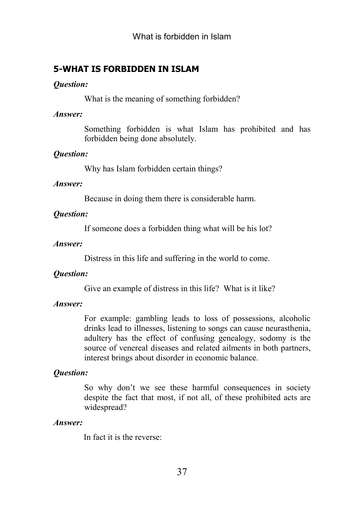# **5-WHAT IS FORBIDDEN IN ISLAM**

#### *Question:*

What is the meaning of something forbidden?

#### *Answer:*

Something forbidden is what Islam has prohibited and has forbidden being done absolutely.

### *Question:*

Why has Islam forbidden certain things?

#### *Answer:*

Because in doing them there is considerable harm.

### *Question:*

If someone does a forbidden thing what will be his lot?

### *Answer:*

Distress in this life and suffering in the world to come.

## *Question:*

Give an example of distress in this life? What is it like?

## *Answer:*

For example: gambling leads to loss of possessions, alcoholic drinks lead to illnesses, listening to songs can cause neurasthenia, adultery has the effect of confusing genealogy, sodomy is the source of venereal diseases and related ailments in both partners, interest brings about disorder in economic balance.

## *Question:*

So why don't we see these harmful consequences in society despite the fact that most, if not all, of these prohibited acts are widespread?

## *Answer:*

In fact it is the reverse: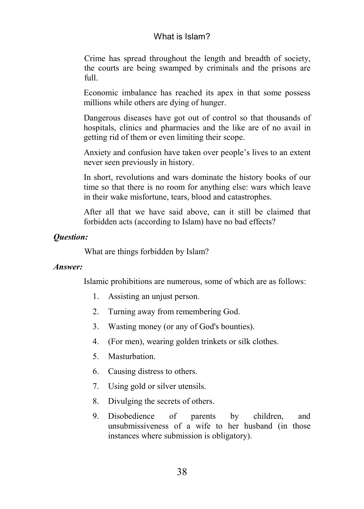Crime has spread throughout the length and breadth of society, the courts are being swamped by criminals and the prisons are full.

Economic imbalance has reached its apex in that some possess millions while others are dying of hunger.

Dangerous diseases have got out of control so that thousands of hospitals, clinics and pharmacies and the like are of no avail in getting rid of them or even limiting their scope.

Anxiety and confusion have taken over people's lives to an extent never seen previously in history.

In short, revolutions and wars dominate the history books of our time so that there is no room for anything else: wars which leave in their wake misfortune, tears, blood and catastrophes.

After all that we have said above, can it still be claimed that forbidden acts (according to Islam) have no bad effects?

#### *Question:*

What are things forbidden by Islam?

#### *Answer:*

Islamic prohibitions are numerous, some of which are as follows:

- 1. Assisting an unjust person.
- 2. Turning away from remembering God.
- 3. Wasting money (or any of God's bounties).
- 4. (For men), wearing golden trinkets or silk clothes.
- 5. Masturbation.
- 6. Causing distress to others.
- 7. Using gold or silver utensils.
- 8. Divulging the secrets of others.
- 9. Disobedience of parents by children, and unsubmissiveness of a wife to her husband (in those instances where submission is obligatory).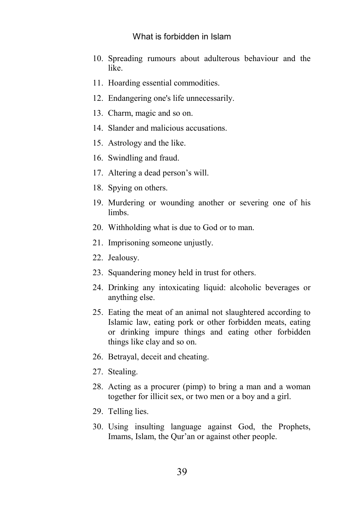#### What is forbidden in Islam

- 10. Spreading rumours about adulterous behaviour and the like.
- 11. Hoarding essential commodities.
- 12. Endangering one's life unnecessarily.
- 13. Charm, magic and so on.
- 14. Slander and malicious accusations.
- 15. Astrology and the like.
- 16. Swindling and fraud.
- 17. Altering a dead person's will.
- 18. Spying on others.
- 19. Murdering or wounding another or severing one of his limbs.
- 20. Withholding what is due to God or to man.
- 21. Imprisoning someone unjustly.
- 22. Jealousy.
- 23. Squandering money held in trust for others.
- 24. Drinking any intoxicating liquid: alcoholic beverages or anything else.
- 25. Eating the meat of an animal not slaughtered according to Islamic law, eating pork or other forbidden meats, eating or drinking impure things and eating other forbidden things like clay and so on.
- 26. Betrayal, deceit and cheating.
- 27. Stealing.
- 28. Acting as a procurer (pimp) to bring a man and a woman together for illicit sex, or two men or a boy and a girl.
- 29. Telling lies.
- 30. Using insulting language against God, the Prophets, Imams, Islam, the Qur'an or against other people.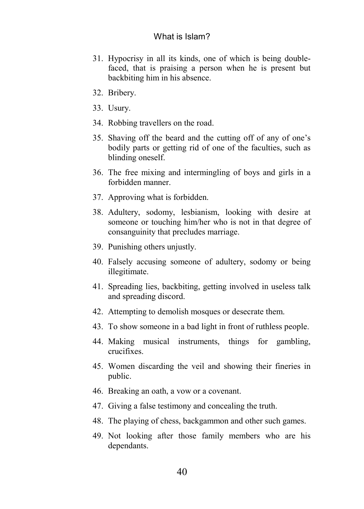- 31. Hypocrisy in all its kinds, one of which is being doublefaced, that is praising a person when he is present but backbiting him in his absence.
- 32. Bribery.
- 33. Usury.
- 34. Robbing travellers on the road.
- 35. Shaving off the beard and the cutting off of any of one's bodily parts or getting rid of one of the faculties, such as blinding oneself.
- 36. The free mixing and intermingling of boys and girls in a forbidden manner.
- 37. Approving what is forbidden.
- 38. Adultery, sodomy, lesbianism, looking with desire at someone or touching him/her who is not in that degree of consanguinity that precludes marriage.
- 39. Punishing others unjustly.
- 40. Falsely accusing someone of adultery, sodomy or being illegitimate.
- 41. Spreading lies, backbiting, getting involved in useless talk and spreading discord.
- 42. Attempting to demolish mosques or desecrate them.
- 43. To show someone in a bad light in front of ruthless people.
- 44. Making musical instruments, things for gambling, crucifixes.
- 45. Women discarding the veil and showing their fineries in public.
- 46. Breaking an oath, a vow or a covenant.
- 47. Giving a false testimony and concealing the truth.
- 48. The playing of chess, backgammon and other such games.
- 49. Not looking after those family members who are his dependants.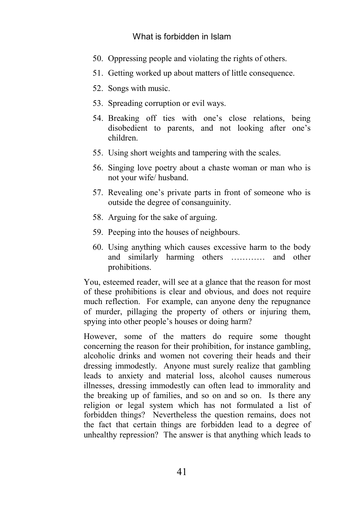- 50. Oppressing people and violating the rights of others.
- 51. Getting worked up about matters of little consequence.
- 52. Songs with music.
- 53. Spreading corruption or evil ways.
- 54. Breaking off ties with one's close relations, being disobedient to parents, and not looking after one's children.
- 55. Using short weights and tampering with the scales.
- 56. Singing love poetry about a chaste woman or man who is not your wife/ husband.
- 57. Revealing one's private parts in front of someone who is outside the degree of consanguinity.
- 58. Arguing for the sake of arguing.
- 59. Peeping into the houses of neighbours.
- 60. Using anything which causes excessive harm to the body and similarly harming others ………… and other prohibitions.

You, esteemed reader, will see at a glance that the reason for most of these prohibitions is clear and obvious, and does not require much reflection. For example, can anyone deny the repugnance of murder, pillaging the property of others or injuring them, spying into other people's houses or doing harm?

However, some of the matters do require some thought concerning the reason for their prohibition, for instance gambling, alcoholic drinks and women not covering their heads and their dressing immodestly. Anyone must surely realize that gambling leads to anxiety and material loss, alcohol causes numerous illnesses, dressing immodestly can often lead to immorality and the breaking up of families, and so on and so on. Is there any religion or legal system which has not formulated a list of forbidden things? Nevertheless the question remains, does not the fact that certain things are forbidden lead to a degree of unhealthy repression? The answer is that anything which leads to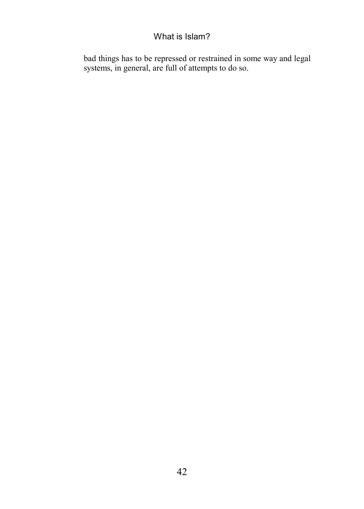bad things has to be repressed or restrained in some way and legal systems, in general, are full of attempts to do so.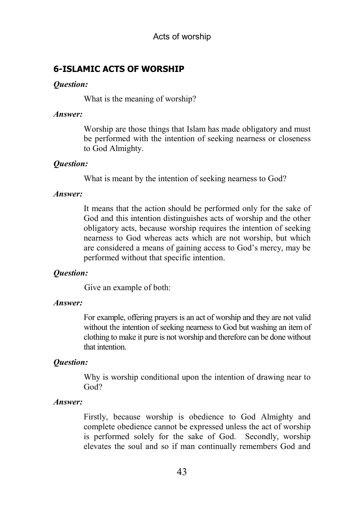# **6-ISLAMIC ACTS OF WORSHIP**

#### *Question:*

What is the meaning of worship?

#### *Answer:*

Worship are those things that Islam has made obligatory and must be performed with the intention of seeking nearness or closeness to God Almighty.

#### *Question:*

What is meant by the intention of seeking nearness to God?

#### *Answer:*

It means that the action should be performed only for the sake of God and this intention distinguishes acts of worship and the other obligatory acts, because worship requires the intention of seeking nearness to God whereas acts which are not worship, but which are considered a means of gaining access to God's mercy, may be performed without that specific intention.

## *Question:*

Give an example of both:

#### *Answer:*

For example, offering prayers is an act of worship and they are not valid without the intention of seeking nearness to God but washing an item of clothing to make it pure is not worship and therefore can be done without that intention.

## *Question:*

Why is worship conditional upon the intention of drawing near to God?

#### *Answer:*

Firstly, because worship is obedience to God Almighty and complete obedience cannot be expressed unless the act of worship is performed solely for the sake of God. Secondly, worship elevates the soul and so if man continually remembers God and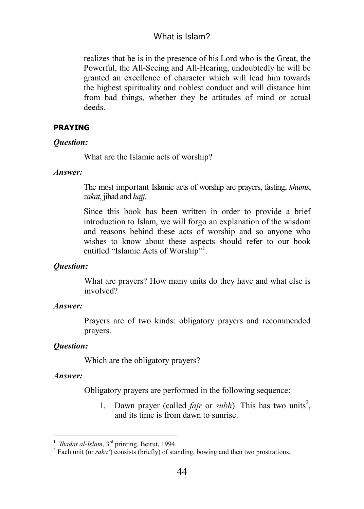realizes that he is in the presence of his Lord who is the Great, the Powerful, the All-Seeing and All-Hearing, undoubtedly he will be granted an excellence of character which will lead him towards the highest spirituality and noblest conduct and will distance him from bad things, whether they be attitudes of mind or actual deeds.

#### **PRAYING**

#### *Question:*

What are the Islamic acts of worship?

#### *Answer:*

The most important Islamic acts of worship are prayers, fasting, *khums*, *zakat*, jihad and *hajj*.

Since this book has been written in order to provide a brief introduction to Islam, we will forgo an explanation of the wisdom and reasons behind these acts of worship and so anyone who wishes to know about these aspects should refer to our book entitled "Islamic Acts of Worship"<sup>1</sup>.

#### *Question:*

What are prayers? How many units do they have and what else is involved?

#### *Answer:*

Prayers are of two kinds: obligatory prayers and recommended prayers.

#### *Question:*

Which are the obligatory prayers?

#### *Answer:*

 $\overline{a}$ 

Obligatory prayers are performed in the following sequence:

1. Dawn prayer (called *fajr* or *subh*). This has two units<sup>2</sup>, and its time is from dawn to sunrise.

<sup>&</sup>lt;sup>1</sup> *'Ibadat al-Islam*, 3<sup>rd</sup> printing, Beirut, 1994.

<sup>&</sup>lt;sup>2</sup> Each unit (or *raka'*) consists (briefly) of standing, bowing and then two prostrations.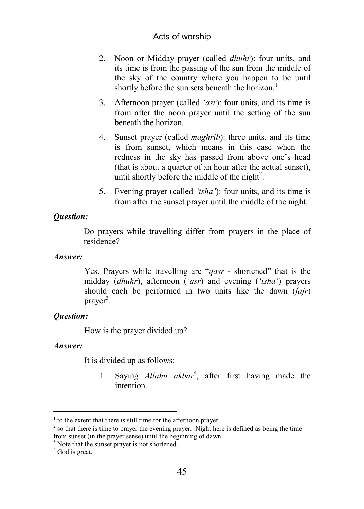## Acts of worship

- 2. Noon or Midday prayer (called *dhuhr*): four units, and its time is from the passing of the sun from the middle of the sky of the country where you happen to be until shortly before the sun sets beneath the horizon.<sup>1</sup>
- 3. Afternoon prayer (called *'asr*): four units, and its time is from after the noon prayer until the setting of the sun beneath the horizon.
- 4. Sunset prayer (called *maghrib*): three units, and its time is from sunset, which means in this case when the redness in the sky has passed from above one's head (that is about a quarter of an hour after the actual sunset), until shortly before the middle of the night<sup>2</sup>.
- 5. Evening prayer (called *'isha'*): four units, and its time is from after the sunset prayer until the middle of the night.

### *Question:*

Do prayers while travelling differ from prayers in the place of residence?

## *Answer:*

Yes. Prayers while travelling are "*qasr* - shortened" that is the midday (*dhuhr*), afternoon (*'asr*) and evening (*'isha'*) prayers should each be performed in two units like the dawn (*fajr*) prayer<sup>3</sup>.

## *Question:*

How is the prayer divided up?

#### *Answer:*

 $\overline{a}$ 

It is divided up as follows:

1. Saying *Allahu akbar*<sup>4</sup> , after first having made the intention.

 $1$  to the extent that there is still time for the afternoon prayer.

 $\frac{1}{2}$  to the extent that there is still time for the afternoon prayer.<br>  $\frac{2}{3}$  so that there is time to prayer the evening prayer. Night here is defined as being the time from sunset (in the prayer sense) until the beginning of dawn.

<sup>&</sup>lt;sup>3</sup> Note that the sunset prayer is not shortened.

<sup>&</sup>lt;sup>4</sup> God is great.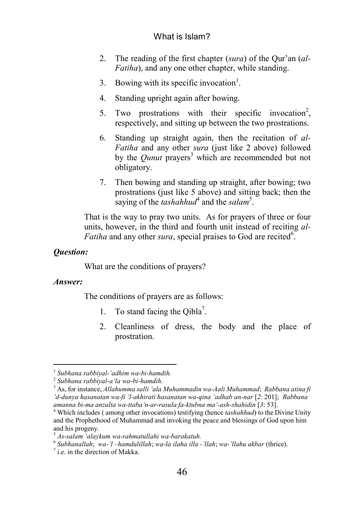- 2. The reading of the first chapter (*sura*) of the Qur'an (*al-Fatiha*), and any one other chapter, while standing.
- 3. Bowing with its specific invocation<sup>1</sup>.
- 4. Standing upright again after bowing.
- 5. Two prostrations with their specific invocation<sup>2</sup>, respectively, and sitting up between the two prostrations.
- 6. Standing up straight again, then the recitation of *al-Fatiha* and any other *sura* (just like 2 above) followed by the *Qunut* prayers<sup>3</sup> which are recommended but not obligatory.
- 7. Then bowing and standing up straight, after bowing; two prostrations (just like 5 above) and sitting back; then the saying of the *tashahhud*<sup>4</sup> and the *salam*<sup>5</sup>.

That is the way to pray two units. As for prayers of three or four units, however, in the third and fourth unit instead of reciting *al-*Fatiha and any other *sura*, special praises to God are recited<sup>6</sup>.

#### *Question:*

What are the conditions of prayers?

#### *Answer:*

 $\overline{a}$ 

The conditions of prayers are as follows:

- 1. To stand facing the Qibla<sup>7</sup>.
- 2. Cleanliness of dress, the body and the place of prostration.

<sup>1</sup> *Subhana rabbiyal-'adhim wa-bi-hamdih.*

<sup>2</sup> *Subhana rabbiyal-a'la wa-bi-hamdih.* 3

As, for instance, *Allahumma salli 'ala Muhammadin wa-Aali Muhammad*; *Rabbana atina fi 'd-dunya hasanatan wa-fi 'l-akhirati hasanatan wa-qina 'adhab an-nar* [*2*: 201]; *Rabbana amanna bi-ma anzalta wa-ttaba'n-ar-rasula fa-ktubna ma'-ash-shahidin* [*3*: 53]. 4

Which includes ( among other invocations) testifying (hence *tashahhud*) to the Divine Unity and the Prophethood of Muhammad and invoking the peace and blessings of God upon him and his progeny.

<sup>5</sup> *As-salam 'alaykum wa-rahmatullahi wa-barakatuh.*

<sup>6</sup> *Subhanallah*; *wa-'l –hamdulillah*; *wa-la ilaha illa -'llah*; *wa-'llahu akbar* (thrice). 7

 $<sup>7</sup>$  i.e. in the direction of Makka.</sup>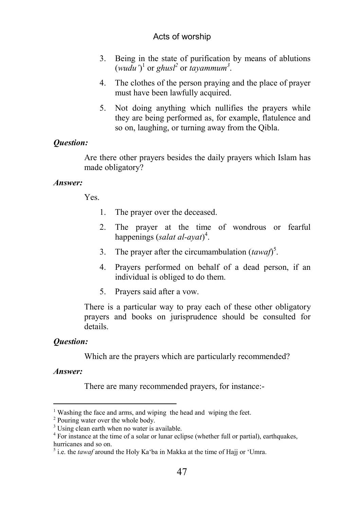## Acts of worship

- 3. Being in the state of purification by means of ablutions  $(wudu')^1$  or *ghusl*<sup>2</sup> or *tayammum*<sup>3</sup>.
- 4. The clothes of the person praying and the place of prayer must have been lawfully acquired.
- 5. Not doing anything which nullifies the prayers while they are being performed as, for example, flatulence and so on, laughing, or turning away from the Qibla.

#### *Question:*

Are there other prayers besides the daily prayers which Islam has made obligatory?

#### *Answer:*

Yes.

- 1. The prayer over the deceased.
- 2. The prayer at the time of wondrous or fearful happenings (*salat al-ayat*) 4 .
- 3. The prayer after the circumambulation  $(tawaf)^5$ .
- 4. Prayers performed on behalf of a dead person, if an individual is obliged to do them.
- 5. Prayers said after a vow.

There is a particular way to pray each of these other obligatory prayers and books on jurisprudence should be consulted for details.

#### *Question:*

Which are the prayers which are particularly recommended?

#### *Answer:*

 $\overline{a}$ 

There are many recommended prayers, for instance:-

<sup>&</sup>lt;sup>1</sup> Washing the face and arms, and wiping the head and wiping the feet.

<sup>&</sup>lt;sup>2</sup> Pouring water over the whole body.

<sup>&</sup>lt;sup>3</sup> Using clean earth when no water is available.

<sup>&</sup>lt;sup>4</sup> For instance at the time of a solar or lunar eclipse (whether full or partial), earthquakes, hurricanes and so on.

 $<sup>5</sup>$  i.e. the *tawaf* around the Holy Ka'ba in Makka at the time of Hajj or 'Umra.</sup>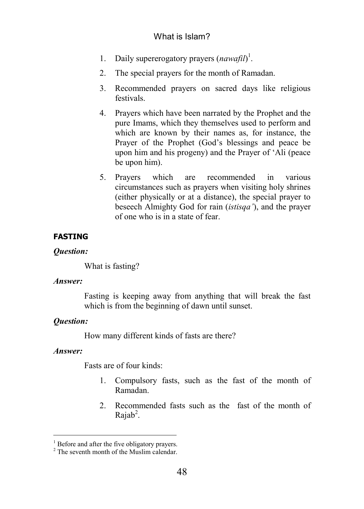- 1. Daily supererogatory prayers (*nawafil*) 1 .
- 2. The special prayers for the month of Ramadan.
- 3. Recommended prayers on sacred days like religious festivals.
- 4. Prayers which have been narrated by the Prophet and the pure Imams, which they themselves used to perform and which are known by their names as, for instance, the Prayer of the Prophet (God's blessings and peace be upon him and his progeny) and the Prayer of 'Ali (peace be upon him).
- 5. Prayers which are recommended in various circumstances such as prayers when visiting holy shrines (either physically or at a distance), the special prayer to beseech Almighty God for rain (*istisqa'*), and the prayer of one who is in a state of fear.

# **FASTING**

## *Question:*

What is fasting?

## *Answer:*

Fasting is keeping away from anything that will break the fast which is from the beginning of dawn until sunset.

# *Question:*

How many different kinds of fasts are there?

## *Answer:*

 $\overline{a}$ 

Fasts are of four kinds:

- 1. Compulsory fasts, such as the fast of the month of Ramadan.
- 2. Recommended fasts such as the fast of the month of  $Rajab<sup>2</sup>$ .

<sup>&</sup>lt;sup>1</sup> Before and after the five obligatory prayers.

<sup>2</sup> The seventh month of the Muslim calendar.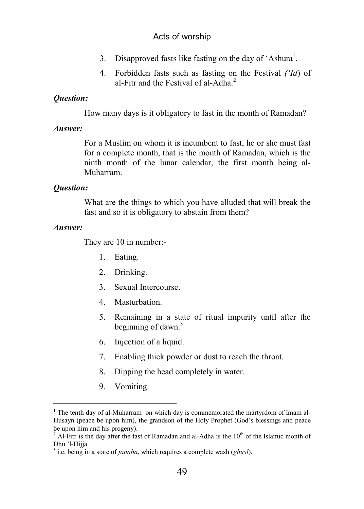### Acts of worship

- 3. Disapproved fasts like fasting on the day of 'Ashura<sup>1</sup>.
- 4. Forbidden fasts such as fasting on the Festival *('Id*) of al-Fitr and the Festival of al-Adha. $<sup>2</sup>$ </sup>

#### *Question:*

How many days is it obligatory to fast in the month of Ramadan?

#### *Answer:*

For a Muslim on whom it is incumbent to fast, he or she must fast for a complete month, that is the month of Ramadan, which is the ninth month of the lunar calendar, the first month being al-Muharram.

### *Question:*

What are the things to which you have alluded that will break the fast and so it is obligatory to abstain from them?

#### *Answer:*

 $\overline{a}$ 

They are 10 in number:-

- 1. Eating.
- 2. Drinking.
- 3. Sexual Intercourse.
- 4. Masturbation.
- 5. Remaining in a state of ritual impurity until after the beginning of dawn. $3$
- 6. Injection of a liquid.
- 7. Enabling thick powder or dust to reach the throat.
- 8. Dipping the head completely in water.
- 9. Vomiting.

<sup>&</sup>lt;sup>1</sup> The tenth day of al-Muharram on which day is commemorated the martyrdom of Imam al-Husayn (peace be upon him), the grandson of the Holy Prophet (God's blessings and peace be upon him and his progeny).

<sup>&</sup>lt;sup>2</sup> Al-Fitr is the day after the fast of Ramadan and al-Adha is the  $10<sup>th</sup>$  of the Islamic month of Dhu 'l-Hiiia.

<sup>3</sup> i.e. being in a state of *janaba*, which requires a complete wash (*ghusl*).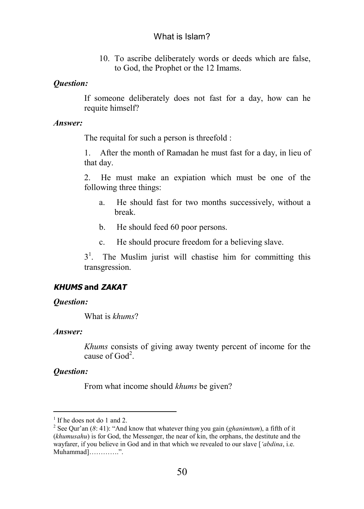10. To ascribe deliberately words or deeds which are false, to God, the Prophet or the 12 Imams.

#### *Question:*

If someone deliberately does not fast for a day, how can he requite himself?

#### *Answer:*

The requital for such a person is threefold :

1. After the month of Ramadan he must fast for a day, in lieu of that day.

2. He must make an expiation which must be one of the following three things:

- a. He should fast for two months successively, without a break.
- b. He should feed 60 poor persons.
- c. He should procure freedom for a believing slave.

3<sup>1</sup>. The Muslim jurist will chastise him for committing this transgression.

#### **KHUMS and ZAKAT**

#### *Question:*

What is *khums*?

#### *Answer:*

*Khums* consists of giving away twenty percent of income for the cause of  $God<sup>2</sup>$ .

#### *Question:*

 $\overline{a}$ 

From what income should *khums* be given?

<sup>&</sup>lt;sup>1</sup> If he does not do 1 and 2.

<sup>&</sup>lt;sup>2</sup> See Qur'an  $(8: 41)$ : "And know that whatever thing you gain (*ghanimtum*), a fifth of it (*khumusahu*) is for God, the Messenger, the near of kin, the orphans, the destitute and the wayfarer, if you believe in God and in that which we revealed to our slave [*'abdina*, i.e. Muhammad]………….".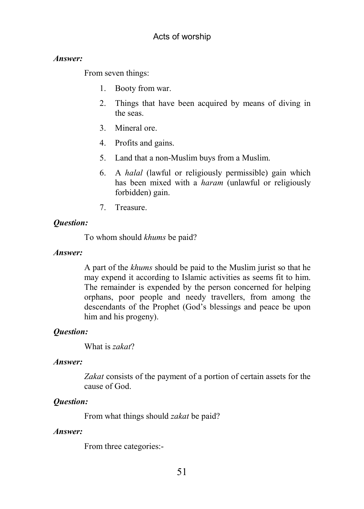## *Answer:*

From seven things:

- 1. Booty from war.
- 2. Things that have been acquired by means of diving in the seas.
- 3. Mineral ore.
- 4. Profits and gains.
- 5. Land that a non-Muslim buys from a Muslim.
- 6. A *halal* (lawful or religiously permissible) gain which has been mixed with a *haram* (unlawful or religiously forbidden) gain.
- 7. Treasure.

### *Question:*

To whom should *khums* be paid?

### *Answer:*

A part of the *khums* should be paid to the Muslim jurist so that he may expend it according to Islamic activities as seems fit to him. The remainder is expended by the person concerned for helping orphans, poor people and needy travellers, from among the descendants of the Prophet (God's blessings and peace be upon him and his progeny).

## *Question:*

What is *zakat*?

#### *Answer:*

*Zakat* consists of the payment of a portion of certain assets for the cause of God.

## *Question:*

From what things should *zakat* be paid?

#### *Answer:*

From three categories:-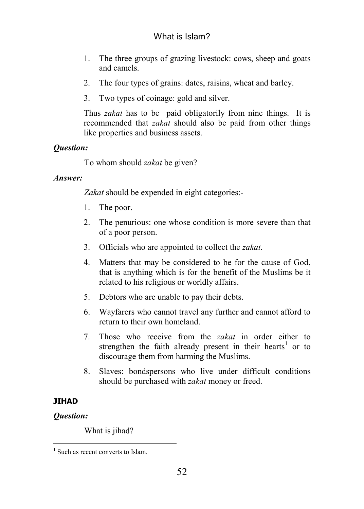- 1. The three groups of grazing livestock: cows, sheep and goats and camels.
- 2. The four types of grains: dates, raisins, wheat and barley.
- 3. Two types of coinage: gold and silver.

Thus *zakat* has to be paid obligatorily from nine things. It is recommended that *zakat* should also be paid from other things like properties and business assets.

#### *Question:*

To whom should *zakat* be given?

#### *Answer:*

*Zakat* should be expended in eight categories:-

- 1. The poor.
- 2. The penurious: one whose condition is more severe than that of a poor person.
- 3. Officials who are appointed to collect the *zakat*.
- 4. Matters that may be considered to be for the cause of God, that is anything which is for the benefit of the Muslims be it related to his religious or worldly affairs.
- 5. Debtors who are unable to pay their debts.
- 6. Wayfarers who cannot travel any further and cannot afford to return to their own homeland.
- 7. Those who receive from the *zakat* in order either to strengthen the faith already present in their hearts<sup>1</sup> or to discourage them from harming the Muslims.
- 8. Slaves: bondspersons who live under difficult conditions should be purchased with *zakat* money or freed.

## **JIHAD**

 $\overline{a}$ 

#### *Question:*

What is jihad?

<sup>&</sup>lt;sup>1</sup> Such as recent converts to Islam.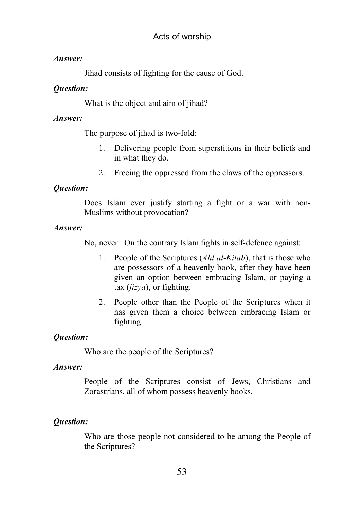## Acts of worship

### *Answer:*

Jihad consists of fighting for the cause of God.

### *Question:*

What is the object and aim of jihad?

### *Answer:*

The purpose of jihad is two-fold:

- 1. Delivering people from superstitions in their beliefs and in what they do.
- 2. Freeing the oppressed from the claws of the oppressors.

## *Question:*

Does Islam ever justify starting a fight or a war with non-Muslims without provocation?

### *Answer:*

No, never. On the contrary Islam fights in self-defence against:

- 1. People of the Scriptures (*Ahl al-Kitab*), that is those who are possessors of a heavenly book, after they have been given an option between embracing Islam, or paying a tax (*jizya*), or fighting.
- 2. People other than the People of the Scriptures when it has given them a choice between embracing Islam or fighting.

## *Question:*

Who are the people of the Scriptures?

## *Answer:*

People of the Scriptures consist of Jews, Christians and Zorastrians, all of whom possess heavenly books.

## *Question:*

Who are those people not considered to be among the People of the Scriptures?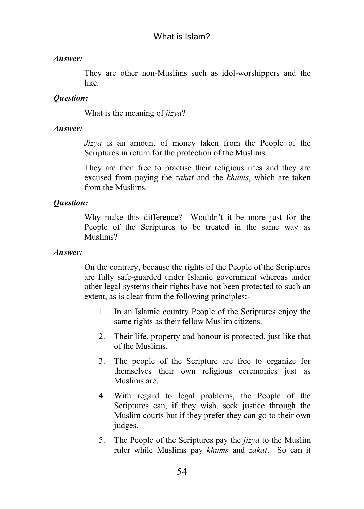## *Answer:*

They are other non-Muslims such as idol-worshippers and the like.

### *Question:*

What is the meaning of *jizya*?

### *Answer:*

*Jizya* is an amount of money taken from the People of the Scriptures in return for the protection of the Muslims.

They are then free to practise their religious rites and they are excused from paying the *zakat* and the *khums*, which are taken from the Muslims.

## *Question:*

Why make this difference? Wouldn't it be more just for the People of the Scriptures to be treated in the same way as Muslims?

## *Answer:*

On the contrary, because the rights of the People of the Scriptures are fully safe-guarded under Islamic government whereas under other legal systems their rights have not been protected to such an extent, as is clear from the following principles:-

- 1. In an Islamic country People of the Scriptures enjoy the same rights as their fellow Muslim citizens.
- 2. Their life, property and honour is protected, just like that of the Muslims.
- 3. The people of the Scripture are free to organize for themselves their own religious ceremonies just as Muslims are.
- 4. With regard to legal problems, the People of the Scriptures can, if they wish, seek justice through the Muslim courts but if they prefer they can go to their own judges.
- 5. The People of the Scriptures pay the *jizya* to the Muslim ruler while Muslims pay *khums* and *zakat*. So can it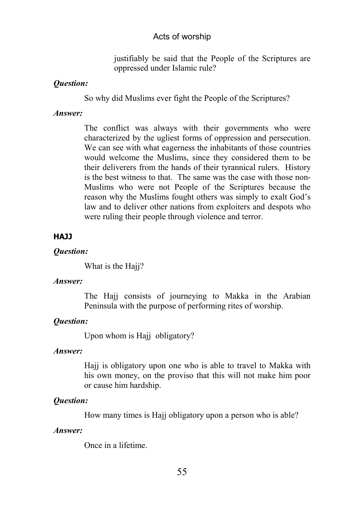### Acts of worship

justifiably be said that the People of the Scriptures are oppressed under Islamic rule?

#### *Question:*

So why did Muslims ever fight the People of the Scriptures?

#### *Answer:*

The conflict was always with their governments who were characterized by the ugliest forms of oppression and persecution. We can see with what eagerness the inhabitants of those countries would welcome the Muslims, since they considered them to be their deliverers from the hands of their tyrannical rulers. History is the best witness to that. The same was the case with those non-Muslims who were not People of the Scriptures because the reason why the Muslims fought others was simply to exalt God's law and to deliver other nations from exploiters and despots who were ruling their people through violence and terror.

### **HAJJ**

#### *Question:*

What is the Hajj?

#### *Answer:*

The Hajj consists of journeying to Makka in the Arabian Peninsula with the purpose of performing rites of worship.

#### *Question:*

Upon whom is Hajj obligatory?

#### *Answer:*

Hajj is obligatory upon one who is able to travel to Makka with his own money, on the proviso that this will not make him poor or cause him hardship.

#### *Question:*

How many times is Hajj obligatory upon a person who is able?

#### *Answer:*

Once in a lifetime.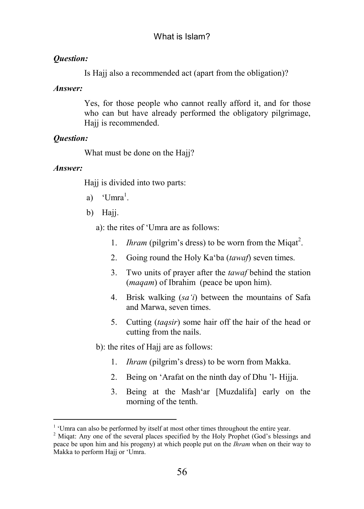## *Question:*

Is Hajj also a recommended act (apart from the obligation)?

## *Answer:*

Yes, for those people who cannot really afford it, and for those who can but have already performed the obligatory pilgrimage. Hajj is recommended.

## *Question:*

What must be done on the Hajj?

## *Answer:*

Hajj is divided into two parts:

- a)  $'Umra<sup>1</sup>$ .
- b) Haii.

a): the rites of 'Umra are as follows:

- 1. *Ihram* (pilgrim's dress) to be worn from the Miqat<sup>2</sup>.
- 2. Going round the Holy Ka'ba (*tawaf*) seven times.
- 3. Two units of prayer after the *tawaf* behind the station (*maqam*) of Ibrahim (peace be upon him).
- 4. Brisk walking (*sa'i*) between the mountains of Safa and Marwa, seven times.
- 5. Cutting (*taqsir*) some hair off the hair of the head or cutting from the nails.

b): the rites of Hajj are as follows:

- 1. *Ihram* (pilgrim's dress) to be worn from Makka.
- 2. Being on 'Arafat on the ninth day of Dhu 'l- Hijja.
- 3. Being at the Mash'ar [Muzdalifa] early on the morning of the tenth.

<sup>&</sup>lt;sup>1</sup> 'Umra can also be performed by itself at most other times throughout the entire year.<br><sup>2</sup> Migst: Any and of the equated places apositied by the Hely Prophet (God's blogging)

<sup>&</sup>lt;sup>2</sup> Migat: Any one of the several places specified by the Holy Prophet (God's blessings and peace be upon him and his progeny) at which people put on the *Ihram* when on their way to Makka to perform Hajj or 'Umra.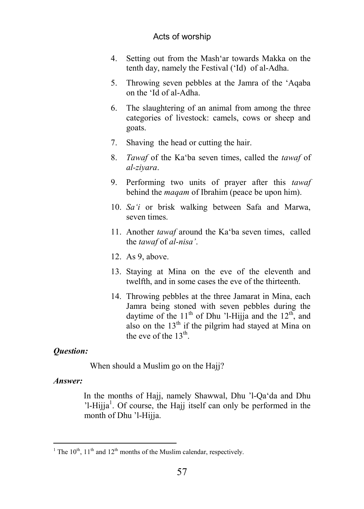#### Acts of worship

- 4. Setting out from the Mash'ar towards Makka on the tenth day, namely the Festival ('Id) of al-Adha.
- 5. Throwing seven pebbles at the Jamra of the 'Aqaba on the 'Id of al-Adha.
- 6. The slaughtering of an animal from among the three categories of livestock: camels, cows or sheep and goats.
- 7. Shaving the head or cutting the hair.
- 8. *Tawaf* of the Ka'ba seven times, called the *tawaf* of *al-ziyara*.
- 9. Performing two units of prayer after this *tawaf*  behind the *maqam* of Ibrahim (peace be upon him).
- 10. *Sa'i* or brisk walking between Safa and Marwa, seven times.
- 11. Another *tawaf* around the Ka'ba seven times, called the *tawaf* of *al-nisa'*.
- 12. As 9, above.
- 13. Staying at Mina on the eve of the eleventh and twelfth, and in some cases the eve of the thirteenth.
- 14. Throwing pebbles at the three Jamarat in Mina, each Jamra being stoned with seven pebbles during the daytime of the 11<sup>th</sup> of Dhu 'l-Hijja and the  $12^{th}$ , and also on the  $13<sup>th</sup>$  if the pilgrim had stayed at Mina on the eve of the  $13<sup>th</sup>$ .

#### *Question:*

When should a Muslim go on the Hajj?

#### *Answer:*

In the months of Hajj, namely Shawwal, Dhu 'l-Qa'da and Dhu  $'$ l-Hijja<sup>1</sup>. Of course, the Hajj itself can only be performed in the month of Dhu 'l-Hijja.

<sup>&</sup>lt;sup>1</sup> The 10<sup>th</sup>, 11<sup>th</sup> and 12<sup>th</sup> months of the Muslim calendar, respectively.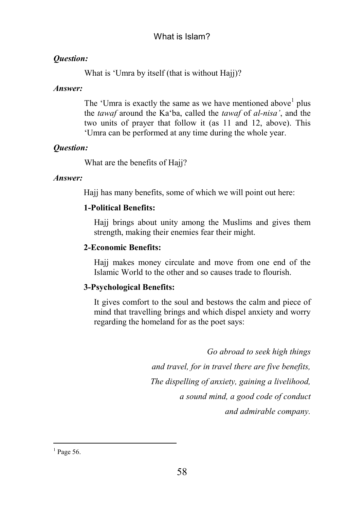## *Question:*

What is 'Umra by itself (that is without Hajj)?

## *Answer:*

The 'Umra is exactly the same as we have mentioned above<sup>1</sup> plus the *tawaf* around the Ka'ba, called the *tawaf* of *al-nisa'*, and the two units of prayer that follow it (as 11 and 12, above). This 'Umra can be performed at any time during the whole year.

## *Question:*

What are the benefits of Hajj?

## *Answer:*

Hajj has many benefits, some of which we will point out here:

# **1-Political Benefits:**

Hajj brings about unity among the Muslims and gives them strength, making their enemies fear their might.

# **2-Economic Benefits:**

Hajj makes money circulate and move from one end of the Islamic World to the other and so causes trade to flourish.

# **3-Psychological Benefits:**

It gives comfort to the soul and bestows the calm and piece of mind that travelling brings and which dispel anxiety and worry regarding the homeland for as the poet says:

> *Go abroad to seek high things and travel, for in travel there are five benefits, The dispelling of anxiety, gaining a livelihood, a sound mind, a good code of conduct and admirable company.*

 $\overline{a}$ 

 $<sup>1</sup>$  Page 56.</sup>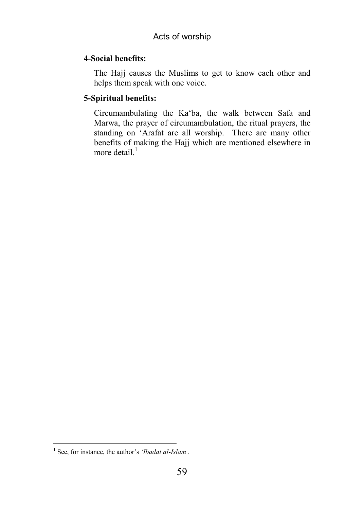## Acts of worship

### **4-Social benefits:**

The Hajj causes the Muslims to get to know each other and helps them speak with one voice.

## **5-Spiritual benefits:**

Circumambulating the Ka'ba, the walk between Safa and Marwa, the prayer of circumambulation, the ritual prayers, the standing on 'Arafat are all worship. There are many other benefits of making the Hajj which are mentioned elsewhere in more detail  $1$ 

 1 See, for instance, the author's *'Ibadat al-Islam .*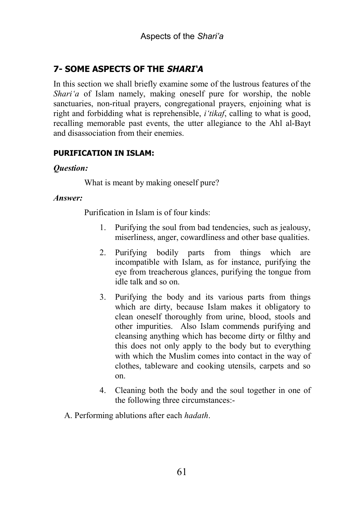# **7- SOME ASPECTS OF THE SHARI'A**

In this section we shall briefly examine some of the lustrous features of the *Shari'a* of Islam namely, making oneself pure for worship, the noble sanctuaries, non-ritual prayers, congregational prayers, enjoining what is right and forbidding what is reprehensible, *i'tikaf*, calling to what is good, recalling memorable past events, the utter allegiance to the Ahl al-Bayt and disassociation from their enemies.

### **PURIFICATION IN ISLAM:**

#### *Question:*

What is meant by making oneself pure?

#### *Answer:*

Purification in Islam is of four kinds:

- 1. Purifying the soul from bad tendencies, such as jealousy, miserliness, anger, cowardliness and other base qualities.
- 2. Purifying bodily parts from things which are incompatible with Islam, as for instance, purifying the eye from treacherous glances, purifying the tongue from idle talk and so on.
- 3. Purifying the body and its various parts from things which are dirty, because Islam makes it obligatory to clean oneself thoroughly from urine, blood, stools and other impurities. Also Islam commends purifying and cleansing anything which has become dirty or filthy and this does not only apply to the body but to everything with which the Muslim comes into contact in the way of clothes, tableware and cooking utensils, carpets and so on.
- 4. Cleaning both the body and the soul together in one of the following three circumstances:-
- A. Performing ablutions after each *hadath*.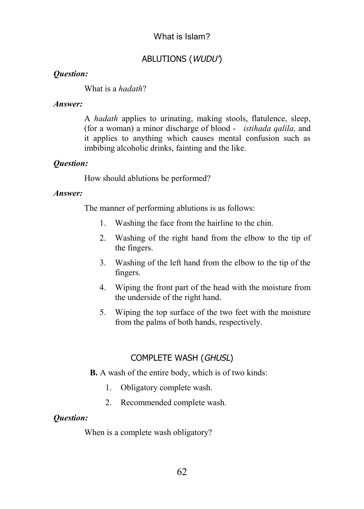# ABLUTIONS (WUDU')

## *Question:*

What is a *hadath*?

## *Answer:*

A *hadath* applies to urinating, making stools, flatulence, sleep, (for a woman) a minor discharge of blood - *istihada qalila,* and it applies to anything which causes mental confusion such as imbibing alcoholic drinks, fainting and the like.

## *Question:*

How should ablutions be performed?

## *Answer:*

The manner of performing ablutions is as follows:

- 1. Washing the face from the hairline to the chin.
- 2. Washing of the right hand from the elbow to the tip of the fingers.
- 3. Washing of the left hand from the elbow to the tip of the fingers.
- 4. Wiping the front part of the head with the moisture from the underside of the right hand.
- 5. Wiping the top surface of the two feet with the moisture from the palms of both hands, respectively.

# COMPLETE WASH (GHUSL)

**B.** A wash of the entire body, which is of two kinds:

- 1. Obligatory complete wash.
- 2. Recommended complete wash.

## *Question:*

When is a complete wash obligatory?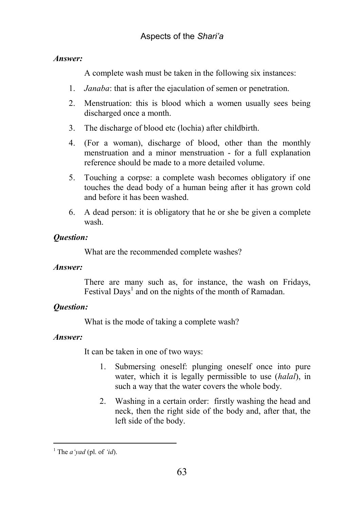### *Answer:*

A complete wash must be taken in the following six instances:

- 1. *Janaba*: that is after the ejaculation of semen or penetration.
- 2. Menstruation: this is blood which a women usually sees being discharged once a month.
- 3. The discharge of blood etc (lochia) after childbirth.
- 4. (For a woman), discharge of blood, other than the monthly menstruation and a minor menstruation - for a full explanation reference should be made to a more detailed volume.
- 5. Touching a corpse: a complete wash becomes obligatory if one touches the dead body of a human being after it has grown cold and before it has been washed.
- 6. A dead person: it is obligatory that he or she be given a complete wash.

# *Question:*

What are the recommended complete washes?

## *Answer:*

There are many such as, for instance, the wash on Fridays, Festival Days<sup>1</sup> and on the nights of the month of Ramadan.

# *Question:*

What is the mode of taking a complete wash?

# *Answer:*

It can be taken in one of two ways:

- 1. Submersing oneself: plunging oneself once into pure water, which it is legally permissible to use (*halal*), in such a way that the water covers the whole body.
- 2. Washing in a certain order: firstly washing the head and neck, then the right side of the body and, after that, the left side of the body.

 $\overline{a}$ 1 The *a'yad* (pl. of *'id*).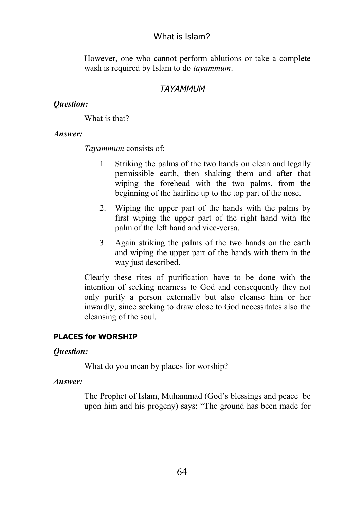However, one who cannot perform ablutions or take a complete wash is required by Islam to do *tayammum*.

## TAYAMMUM

### *Question:*

What is that?

### *Answer:*

*Tayammum* consists of:

- 1. Striking the palms of the two hands on clean and legally permissible earth, then shaking them and after that wiping the forehead with the two palms, from the beginning of the hairline up to the top part of the nose.
- 2. Wiping the upper part of the hands with the palms by first wiping the upper part of the right hand with the palm of the left hand and vice-versa.
- 3. Again striking the palms of the two hands on the earth and wiping the upper part of the hands with them in the way just described.

Clearly these rites of purification have to be done with the intention of seeking nearness to God and consequently they not only purify a person externally but also cleanse him or her inwardly, since seeking to draw close to God necessitates also the cleansing of the soul.

### **PLACES for WORSHIP**

### *Question:*

What do you mean by places for worship?

#### *Answer:*

The Prophet of Islam, Muhammad (God's blessings and peace be upon him and his progeny) says: "The ground has been made for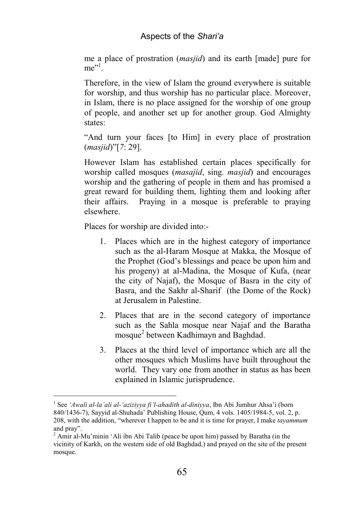me a place of prostration (*masjid*) and its earth [made] pure for  $me^{v_1}$ .

Therefore, in the view of Islam the ground everywhere is suitable for worship, and thus worship has no particular place. Moreover, in Islam, there is no place assigned for the worship of one group of people, and another set up for another group. God Almighty states:

"And turn your faces [to Him] in every place of prostration (*masjid*)"[*7*: 29].

However Islam has established certain places specifically for worship called mosques (*masajid*, sing. *masjid*) and encourages worship and the gathering of people in them and has promised a great reward for building them, lighting them and looking after their affairs. Praying in a mosque is preferable to praying elsewhere.

Places for worship are divided into:-

 $\overline{a}$ 

- 1. Places which are in the highest category of importance such as the al-Haram Mosque at Makka, the Mosque of the Prophet (God's blessings and peace be upon him and his progeny) at al-Madina, the Mosque of Kufa, (near the city of Najaf), the Mosque of Basra in the city of Basra, and the Sakhr al-Sharif (the Dome of the Rock) at Jerusalem in Palestine.
- 2. Places that are in the second category of importance such as the Sahla mosque near Najaf and the Baratha mosque<sup>2</sup> between Kadhimayn and Baghdad.
- 3. Places at the third level of importance which are all the other mosques which Muslims have built throughout the world. They vary one from another in status as has been explained in Islamic jurisprudence.

<sup>&</sup>lt;sup>1</sup> See 'Awali al-la'ali al-'aziziyya fi'l-ahadith al-diniyya, Ibn Abi Jumhur Ahsa'i (born 840/1436-7), Sayyid al-Shuhada' Publishing House, Qum, 4 vols. 1405/1984-5, vol. 2, p. 208, with the addition, "wherever I happen to be and it is time for prayer, I make *tayammum* and pray".

<sup>&</sup>lt;sup>2</sup> Amir al-Mu'minin 'Ali ibn Abi Talib (peace be upon him) passed by Baratha (in the vicinity of Karkh, on the western side of old Baghdad,) and prayed on the site of the present mosque.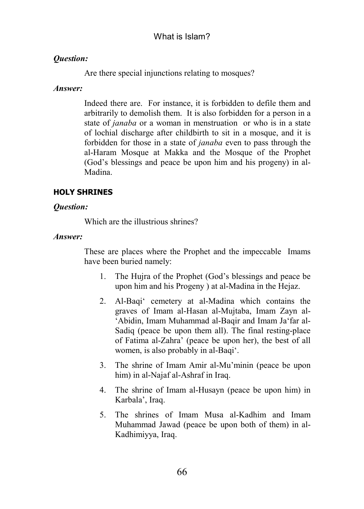## *Question:*

Are there special injunctions relating to mosques?

## *Answer:*

Indeed there are. For instance, it is forbidden to defile them and arbitrarily to demolish them. It is also forbidden for a person in a state of *janaba* or a woman in menstruation or who is in a state of lochial discharge after childbirth to sit in a mosque, and it is forbidden for those in a state of *janaba* even to pass through the al-Haram Mosque at Makka and the Mosque of the Prophet (God's blessings and peace be upon him and his progeny) in al-Madina.

# **HOLY SHRINES**

## *Question:*

Which are the illustrious shrines?

## *Answer:*

These are places where the Prophet and the impeccable Imams have been buried namely:

- 1. The Hujra of the Prophet (God's blessings and peace be upon him and his Progeny ) at al-Madina in the Hejaz.
- 2. Al-Baqi' cemetery at al-Madina which contains the graves of Imam al-Hasan al-Mujtaba, Imam Zayn al- 'Abidin, Imam Muhammad al-Baqir and Imam Ja'far al-Sadiq (peace be upon them all). The final resting-place of Fatima al-Zahra' (peace be upon her), the best of all women, is also probably in al-Baqi'.
- 3. The shrine of Imam Amir al-Mu'minin (peace be upon him) in al-Najaf al-Ashraf in Iraq.
- 4. The shrine of Imam al-Husayn (peace be upon him) in Karbala', Iraq.
- 5. The shrines of Imam Musa al-Kadhim and Imam Muhammad Jawad (peace be upon both of them) in al-Kadhimiyya, Iraq.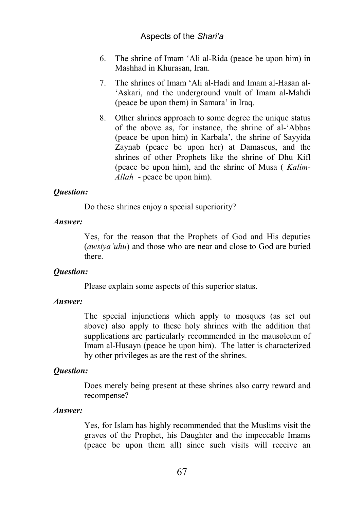### Aspects of the *Shari'a*

- 6. The shrine of Imam 'Ali al-Rida (peace be upon him) in Mashhad in Khurasan, Iran.
- 7. The shrines of Imam 'Ali al-Hadi and Imam al-Hasan al- 'Askari, and the underground vault of Imam al-Mahdi (peace be upon them) in Samara' in Iraq.
- 8. Other shrines approach to some degree the unique status of the above as, for instance, the shrine of al-'Abbas (peace be upon him) in Karbala', the shrine of Sayyida Zaynab (peace be upon her) at Damascus, and the shrines of other Prophets like the shrine of Dhu Kifl (peace be upon him), and the shrine of Musa ( *Kalim-Allah* - peace be upon him).

#### *Question:*

Do these shrines enjoy a special superiority?

#### *Answer:*

Yes, for the reason that the Prophets of God and His deputies (*awsiya'uhu*) and those who are near and close to God are buried there.

### *Question:*

Please explain some aspects of this superior status.

#### *Answer:*

The special injunctions which apply to mosques (as set out above) also apply to these holy shrines with the addition that supplications are particularly recommended in the mausoleum of Imam al-Husayn (peace be upon him). The latter is characterized by other privileges as are the rest of the shrines.

#### *Question:*

Does merely being present at these shrines also carry reward and recompense?

#### *Answer:*

Yes, for Islam has highly recommended that the Muslims visit the graves of the Prophet, his Daughter and the impeccable Imams (peace be upon them all) since such visits will receive an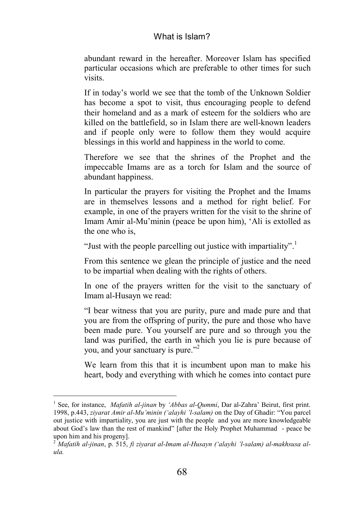abundant reward in the hereafter. Moreover Islam has specified particular occasions which are preferable to other times for such visits.

If in today's world we see that the tomb of the Unknown Soldier has become a spot to visit, thus encouraging people to defend their homeland and as a mark of esteem for the soldiers who are killed on the battlefield, so in Islam there are well-known leaders and if people only were to follow them they would acquire blessings in this world and happiness in the world to come.

Therefore we see that the shrines of the Prophet and the impeccable Imams are as a torch for Islam and the source of abundant happiness.

In particular the prayers for visiting the Prophet and the Imams are in themselves lessons and a method for right belief. For example, in one of the prayers written for the visit to the shrine of Imam Amir al-Mu'minin (peace be upon him), 'Ali is extolled as the one who is,

"Just with the people parcelling out justice with impartiality". 1

From this sentence we glean the principle of justice and the need to be impartial when dealing with the rights of others.

In one of the prayers written for the visit to the sanctuary of Imam al-Husayn we read:

"I bear witness that you are purity, pure and made pure and that you are from the offspring of purity, the pure and those who have been made pure. You yourself are pure and so through you the land was purified, the earth in which you lie is pure because of you, and your sanctuary is pure."<sup>2</sup>

We learn from this that it is incumbent upon man to make his heart, body and everything with which he comes into contact pure

 $\overline{a}$ 

<sup>&</sup>lt;sup>1</sup> See, for instance, *Mafatih al-jinan* by 'Abbas al-Qummi, Dar al-Zahra' Beirut, first print. 1998, p.443, *ziyarat Amir al-Mu'minin ('alayhi 'l-salam)* on the Day of Ghadir: "You parcel out justice with impartiality, you are just with the people and you are more knowledgeable about God's law than the rest of mankind" [after the Holy Prophet Muhammad - peace be upon him and his progeny].

<sup>2</sup> *Mafatih al-jinan*, p. 515, *fi ziyarat al-Imam al-Husayn ('alayhi 'l-salam) al-makhsusa alula.*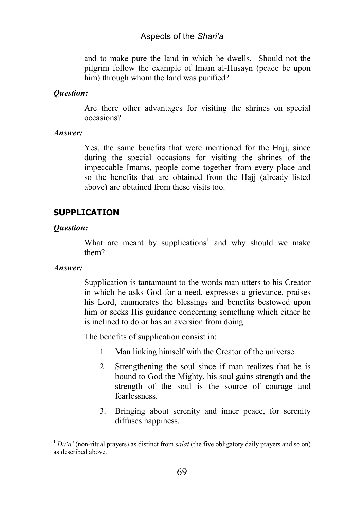### Aspects of the *Shari'a*

and to make pure the land in which he dwells. Should not the pilgrim follow the example of Imam al-Husayn (peace be upon him) through whom the land was purified?

#### *Question:*

Are there other advantages for visiting the shrines on special occasions?

#### *Answer:*

Yes, the same benefits that were mentioned for the Hajj, since during the special occasions for visiting the shrines of the impeccable Imams, people come together from every place and so the benefits that are obtained from the Haij (already listed above) are obtained from these visits too.

### **SUPPLICATION**

#### *Question:*

What are meant by supplications<sup>1</sup> and why should we make them?

#### *Answer:*

 $\overline{a}$ 

Supplication is tantamount to the words man utters to his Creator in which he asks God for a need, expresses a grievance, praises his Lord, enumerates the blessings and benefits bestowed upon him or seeks His guidance concerning something which either he is inclined to do or has an aversion from doing.

The benefits of supplication consist in:

- 1. Man linking himself with the Creator of the universe.
- 2. Strengthening the soul since if man realizes that he is bound to God the Mighty, his soul gains strength and the strength of the soul is the source of courage and fearlessness.
- 3. Bringing about serenity and inner peace, for serenity diffuses happiness.

<sup>1</sup> *Du'a'* (non-ritual prayers) as distinct from *salat* (the five obligatory daily prayers and so on) as described above.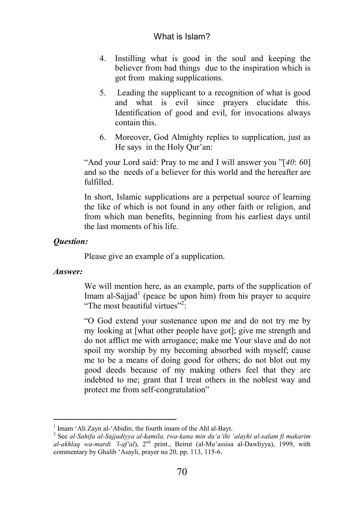- 4. Instilling what is good in the soul and keeping the believer from bad things due to the inspiration which is got from making supplications.
- 5. Leading the supplicant to a recognition of what is good and what is evil since prayers elucidate this. Identification of good and evil, for invocations always contain this.
- 6. Moreover, God Almighty replies to supplication, just as He says in the Holy Qur'an:

"And your Lord said: Pray to me and I will answer you "[*40*: 60] and so the needs of a believer for this world and the hereafter are fulfilled.

In short, Islamic supplications are a perpetual source of learning the like of which is not found in any other faith or religion, and from which man benefits, beginning from his earliest days until the last moments of his life.

### *Question:*

Please give an example of a supplication.

### *Answer:*

 $\overline{a}$ 

We will mention here, as an example, parts of the supplication of Imam al-Sajjad<sup>1</sup> (peace be upon him) from his prayer to acquire "The most beautiful virtues"<sup>2</sup>:

"O God extend your sustenance upon me and do not try me by my looking at [what other people have got]; give me strength and do not afflict me with arrogance; make me Your slave and do not spoil my worship by my becoming absorbed with myself; cause me to be a means of doing good for others; do not blot out my good deeds because of my making others feel that they are indebted to me; grant that I treat others in the noblest way and protect me from self-congratulation"

<sup>&</sup>lt;sup>1</sup> Imam 'Ali Zayn al-'Abidin, the fourth imam of the Ahl al-Bayt.

<sup>2</sup> See *al-Sahifa al-Sajjadiyya al-kamila, (wa-kana min du'a'ihi 'alayhi al-salam fi makarim al-akhlaq wa-mardi 'l-af'al*), 2nd print., Beirut (al-Mu'assisa al-Dawliyya), 1999, with commentary by Ghalib 'Asayli, prayer no 20, pp. 113, 115-6.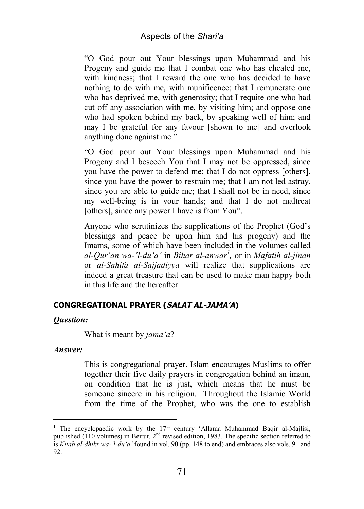### Aspects of the *Shari'a*

"O God pour out Your blessings upon Muhammad and his Progeny and guide me that I combat one who has cheated me, with kindness; that I reward the one who has decided to have nothing to do with me, with munificence; that I remunerate one who has deprived me, with generosity; that I requite one who had cut off any association with me, by visiting him; and oppose one who had spoken behind my back, by speaking well of him; and may I be grateful for any favour [shown to me] and overlook anything done against me."

"O God pour out Your blessings upon Muhammad and his Progeny and I beseech You that I may not be oppressed, since you have the power to defend me; that I do not oppress [others], since you have the power to restrain me; that I am not led astray, since you are able to guide me; that I shall not be in need, since my well-being is in your hands; and that I do not maltreat [others], since any power I have is from You".

Anyone who scrutinizes the supplications of the Prophet (God's blessings and peace be upon him and his progeny) and the Imams, some of which have been included in the volumes called *al-Qur'an wa-'l-du'a'* in *Bihar al-anwar<sup>1</sup> ,* or in *Mafatih al-jinan* or *al-Sahifa al-Sajjadiyya* will realize that supplications are indeed a great treasure that can be used to make man happy both in this life and the hereafter.

### **CONGREGATIONAL PRAYER (SALAT AL-JAMA'A)**

#### *Question:*

What is meant by *jama'a*?

#### *Answer:*

This is congregational prayer. Islam encourages Muslims to offer together their five daily prayers in congregation behind an imam, on condition that he is just, which means that he must be someone sincere in his religion. Throughout the Islamic World from the time of the Prophet, who was the one to establish

<sup>&</sup>lt;sup>1</sup> The encyclopaedic work by the  $17<sup>th</sup>$  century 'Allama Muhammad Baqir al-Majlisi, published (110 volumes) in Beirut,  $2<sup>nd</sup>$  revised edition, 1983. The specific section referred to is *Kitab al-dhikr wa-'l-du'a'* found in vol. 90 (pp. 148 to end) and embraces also vols. 91 and 92.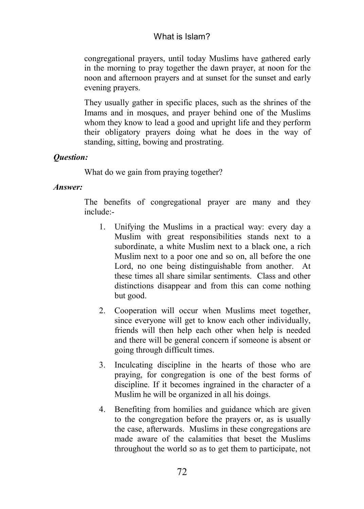congregational prayers, until today Muslims have gathered early in the morning to pray together the dawn prayer, at noon for the noon and afternoon prayers and at sunset for the sunset and early evening prayers.

They usually gather in specific places, such as the shrines of the Imams and in mosques, and prayer behind one of the Muslims whom they know to lead a good and upright life and they perform their obligatory prayers doing what he does in the way of standing, sitting, bowing and prostrating.

#### *Question:*

What do we gain from praying together?

#### *Answer:*

The benefits of congregational prayer are many and they include:-

- 1. Unifying the Muslims in a practical way: every day a Muslim with great responsibilities stands next to a subordinate, a white Muslim next to a black one, a rich Muslim next to a poor one and so on, all before the one Lord, no one being distinguishable from another. At these times all share similar sentiments. Class and other distinctions disappear and from this can come nothing but good.
- 2. Cooperation will occur when Muslims meet together, since everyone will get to know each other individually, friends will then help each other when help is needed and there will be general concern if someone is absent or going through difficult times.
- 3. Inculcating discipline in the hearts of those who are praying, for congregation is one of the best forms of discipline. If it becomes ingrained in the character of a Muslim he will be organized in all his doings.
- 4. Benefiting from homilies and guidance which are given to the congregation before the prayers or, as is usually the case, afterwards. Muslims in these congregations are made aware of the calamities that beset the Muslims throughout the world so as to get them to participate, not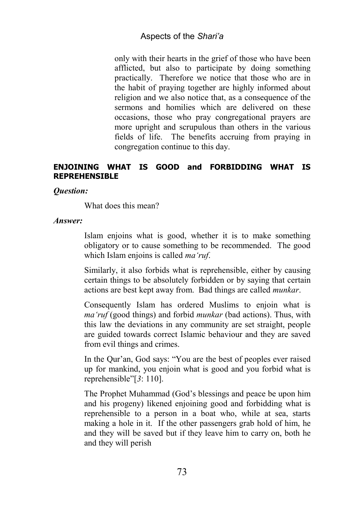### Aspects of the *Shari'a*

only with their hearts in the grief of those who have been afflicted, but also to participate by doing something practically. Therefore we notice that those who are in the habit of praying together are highly informed about religion and we also notice that, as a consequence of the sermons and homilies which are delivered on these occasions, those who pray congregational prayers are more upright and scrupulous than others in the various fields of life. The benefits accruing from praying in congregation continue to this day.

### **ENJOINING WHAT IS GOOD and FORBIDDING WHAT IS REPREHENSIBLE**

#### *Question:*

What does this mean?

#### *Answer:*

Islam enjoins what is good, whether it is to make something obligatory or to cause something to be recommended. The good which Islam enjoins is called *ma'ruf*.

Similarly, it also forbids what is reprehensible, either by causing certain things to be absolutely forbidden or by saying that certain actions are best kept away from. Bad things are called *munkar*.

Consequently Islam has ordered Muslims to enjoin what is *ma'ruf* (good things) and forbid *munkar* (bad actions). Thus, with this law the deviations in any community are set straight, people are guided towards correct Islamic behaviour and they are saved from evil things and crimes.

In the Qur'an, God says: "You are the best of peoples ever raised up for mankind, you enjoin what is good and you forbid what is reprehensible"[*3*: 110].

The Prophet Muhammad (God's blessings and peace be upon him and his progeny) likened enjoining good and forbidding what is reprehensible to a person in a boat who, while at sea, starts making a hole in it. If the other passengers grab hold of him, he and they will be saved but if they leave him to carry on, both he and they will perish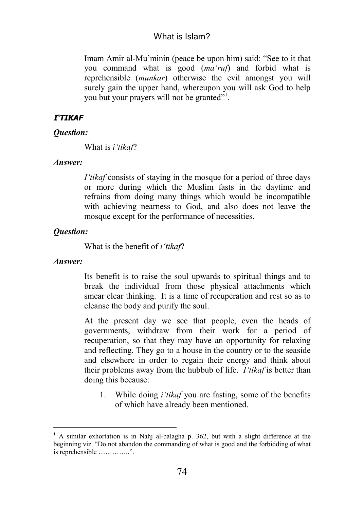Imam Amir al-Mu'minin (peace be upon him) said: "See to it that you command what is good (*ma'ruf*) and forbid what is reprehensible (*munkar*) otherwise the evil amongst you will surely gain the upper hand, whereupon you will ask God to help you but your prayers will not be granted"<sup>1</sup>.

### **I'TIKAF**

#### *Question:*

What is *i'tikaf*?

#### *Answer:*

*I'tikaf* consists of staying in the mosque for a period of three days or more during which the Muslim fasts in the daytime and refrains from doing many things which would be incompatible with achieving nearness to God, and also does not leave the mosque except for the performance of necessities.

### *Question:*

What is the benefit of *i'tikaf*?

#### *Answer:*

 $\overline{a}$ 

Its benefit is to raise the soul upwards to spiritual things and to break the individual from those physical attachments which smear clear thinking. It is a time of recuperation and rest so as to cleanse the body and purify the soul.

At the present day we see that people, even the heads of governments, withdraw from their work for a period of recuperation, so that they may have an opportunity for relaxing and reflecting. They go to a house in the country or to the seaside and elsewhere in order to regain their energy and think about their problems away from the hubbub of life. *I'tikaf* is better than doing this because:

1. While doing *i'tikaf* you are fasting, some of the benefits of which have already been mentioned.

<sup>&</sup>lt;sup>1</sup> A similar exhortation is in Nahj al-balagha p. 362, but with a slight difference at the beginning viz. "Do not abandon the commanding of what is good and the forbidding of what is reprehensible …………..".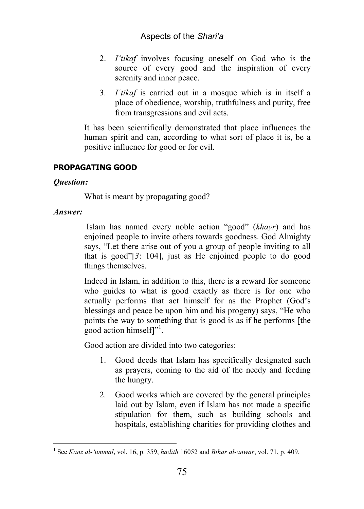## Aspects of the *Shari'a*

- 2. *I'tikaf* involves focusing oneself on God who is the source of every good and the inspiration of every serenity and inner peace.
- 3. *I'tikaf* is carried out in a mosque which is in itself a place of obedience, worship, truthfulness and purity, free from transgressions and evil acts.

It has been scientifically demonstrated that place influences the human spirit and can, according to what sort of place it is, be a positive influence for good or for evil.

## **PROPAGATING GOOD**

### *Question:*

What is meant by propagating good?

### *Answer:*

 Islam has named every noble action "good" (*khayr*) and has enjoined people to invite others towards goodness. God Almighty says, "Let there arise out of you a group of people inviting to all that is good"[*3*: 104], just as He enjoined people to do good things themselves.

Indeed in Islam, in addition to this, there is a reward for someone who guides to what is good exactly as there is for one who actually performs that act himself for as the Prophet (God's blessings and peace be upon him and his progeny) says, "He who points the way to something that is good is as if he performs [the good action himself]".

Good action are divided into two categories:

- 1. Good deeds that Islam has specifically designated such as prayers, coming to the aid of the needy and feeding the hungry.
- 2. Good works which are covered by the general principles laid out by Islam, even if Islam has not made a specific stipulation for them, such as building schools and hospitals, establishing charities for providing clothes and

 1 See *Kanz al-'ummal*, vol. 16, p. 359, *hadith* 16052 and *Bihar al-anwar*, vol. 71, p. 409.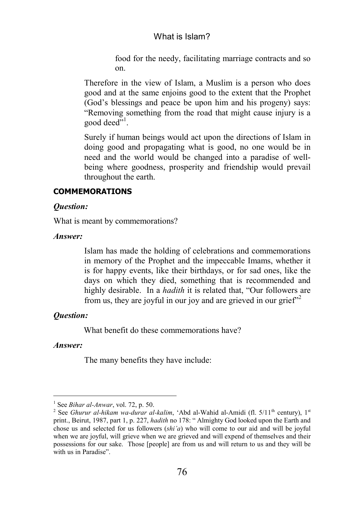food for the needy, facilitating marriage contracts and so on.

Therefore in the view of Islam, a Muslim is a person who does good and at the same enjoins good to the extent that the Prophet (God's blessings and peace be upon him and his progeny) says: "Removing something from the road that might cause injury is a good deed"<sup>1</sup>.

Surely if human beings would act upon the directions of Islam in doing good and propagating what is good, no one would be in need and the world would be changed into a paradise of wellbeing where goodness, prosperity and friendship would prevail throughout the earth.

### **COMMEMORATIONS**

#### *Question:*

What is meant by commemorations?

### *Answer:*

Islam has made the holding of celebrations and commemorations in memory of the Prophet and the impeccable Imams, whether it is for happy events, like their birthdays, or for sad ones, like the days on which they died, something that is recommended and highly desirable. In a *hadith* it is related that, "Our followers are from us, they are joyful in our joy and are grieved in our grief $r^2$ 

### *Question:*

What benefit do these commemorations have?

### *Answer:*

The many benefits they have include:

<sup>&</sup>lt;sup>1</sup> See *Bihar al-Anwar*, vol. 72, p. 50.<br><sup>2</sup> See *Ghumn al hikam wa dunar al* 

<sup>&</sup>lt;sup>2</sup> See *Ghurur al-hikam wa-durar al-kalim*, 'Abd al-Wahid al-Amidi (fl.  $5/11<sup>th</sup>$  century),  $1<sup>st</sup>$ print., Beirut, 1987, part 1, p. 227, *hadith* no 178: " Almighty God looked upon the Earth and chose us and selected for us followers (*shi'a*) who will come to our aid and will be joyful when we are joyful, will grieve when we are grieved and will expend of themselves and their possessions for our sake. Those [people] are from us and will return to us and they will be with us in Paradise".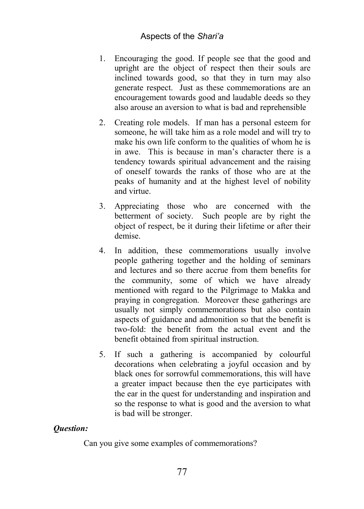## Aspects of the *Shari'a*

- 1. Encouraging the good. If people see that the good and upright are the object of respect then their souls are inclined towards good, so that they in turn may also generate respect. Just as these commemorations are an encouragement towards good and laudable deeds so they also arouse an aversion to what is bad and reprehensible
- 2. Creating role models. If man has a personal esteem for someone, he will take him as a role model and will try to make his own life conform to the qualities of whom he is in awe. This is because in man's character there is a tendency towards spiritual advancement and the raising of oneself towards the ranks of those who are at the peaks of humanity and at the highest level of nobility and virtue.
- 3. Appreciating those who are concerned with the betterment of society. Such people are by right the object of respect, be it during their lifetime or after their demise.
- 4. In addition, these commemorations usually involve people gathering together and the holding of seminars and lectures and so there accrue from them benefits for the community, some of which we have already mentioned with regard to the Pilgrimage to Makka and praying in congregation. Moreover these gatherings are usually not simply commemorations but also contain aspects of guidance and admonition so that the benefit is two-fold: the benefit from the actual event and the benefit obtained from spiritual instruction.
- 5. If such a gathering is accompanied by colourful decorations when celebrating a joyful occasion and by black ones for sorrowful commemorations, this will have a greater impact because then the eye participates with the ear in the quest for understanding and inspiration and so the response to what is good and the aversion to what is bad will be stronger.

#### *Question:*

Can you give some examples of commemorations?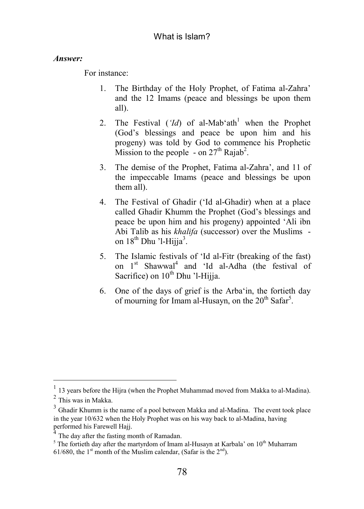### *Answer:*

For instance:

- 1. The Birthday of the Holy Prophet, of Fatima al-Zahra' and the 12 Imams (peace and blessings be upon them all).
- 2. The Festival  $(\hat{i}d)$  of al-Mab'ath<sup>1</sup> when the Prophet (God's blessings and peace be upon him and his progeny) was told by God to commence his Prophetic Mission to the people - on  $27<sup>th</sup>$  Rajab<sup>2</sup>.
- 3. The demise of the Prophet, Fatima al-Zahra', and 11 of the impeccable Imams (peace and blessings be upon them all).
- 4. The Festival of Ghadir ('Id al-Ghadir) when at a place called Ghadir Khumm the Prophet (God's blessings and peace be upon him and his progeny) appointed 'Ali ibn Abi Talib as his *khalifa* (successor) over the Muslims on  $18^{th}$  Dhu 'l-Hijja<sup>3</sup>.
- 5. The Islamic festivals of 'Id al-Fitr (breaking of the fast) on 1<sup>st</sup> Shawwal<sup>4</sup> and 'Id al-Adha (the festival of Sacrifice) on  $10^{th}$  Dhu 'l-Hijja.
- 6. One of the days of grief is the Arba'in, the fortieth day of mourning for Imam al-Husayn, on the  $20<sup>th</sup>$  Safar<sup>5</sup>.

 $\overline{a}$ 

 $1$  13 years before the Hijra (when the Prophet Muhammad moved from Makka to al-Madina). <sup>2</sup> This was in Makka.

<sup>&</sup>lt;sup>3</sup> Ghadir Khumm is the name of a pool between Makka and al-Madina. The event took place in the year 10/632 when the Holy Prophet was on his way back to al-Madina, having performed his Farewell Hajj.

The day after the fasting month of Ramadan.

<sup>&</sup>lt;sup>5</sup> The fortieth day after the martyrdom of Imam al-Husayn at Karbala' on  $10<sup>th</sup>$  Muharram 61/680, the 1<sup>st</sup> month of the Muslim calendar, (Safar is the  $2<sup>nd</sup>$ ).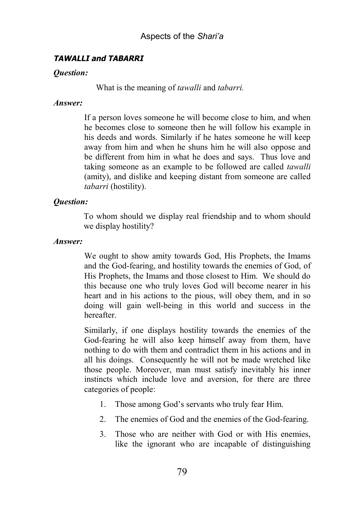### Aspects of the *Shari'a*

### **TAWALLI and TABARRI**

#### *Question:*

What is the meaning of *tawalli* and *tabarri.*

#### *Answer:*

If a person loves someone he will become close to him, and when he becomes close to someone then he will follow his example in his deeds and words. Similarly if he hates someone he will keep away from him and when he shuns him he will also oppose and be different from him in what he does and says. Thus love and taking someone as an example to be followed are called *tawalli* (amity), and dislike and keeping distant from someone are called *tabarri* (hostility).

### *Question:*

To whom should we display real friendship and to whom should we display hostility?

#### *Answer:*

We ought to show amity towards God, His Prophets, the Imams and the God-fearing, and hostility towards the enemies of God, of His Prophets, the Imams and those closest to Him. We should do this because one who truly loves God will become nearer in his heart and in his actions to the pious, will obey them, and in so doing will gain well-being in this world and success in the hereafter.

Similarly, if one displays hostility towards the enemies of the God-fearing he will also keep himself away from them, have nothing to do with them and contradict them in his actions and in all his doings. Consequently he will not be made wretched like those people. Moreover, man must satisfy inevitably his inner instincts which include love and aversion, for there are three categories of people:

- 1. Those among God's servants who truly fear Him.
- 2. The enemies of God and the enemies of the God-fearing.
- 3. Those who are neither with God or with His enemies, like the ignorant who are incapable of distinguishing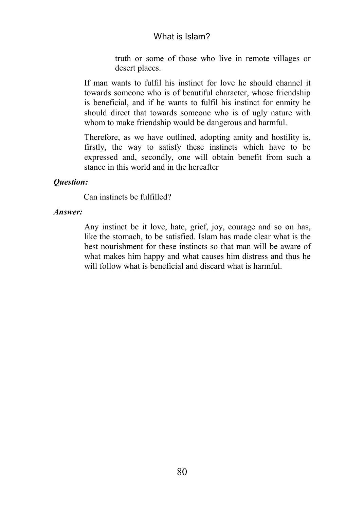truth or some of those who live in remote villages or desert places.

If man wants to fulfil his instinct for love he should channel it towards someone who is of beautiful character, whose friendship is beneficial, and if he wants to fulfil his instinct for enmity he should direct that towards someone who is of ugly nature with whom to make friendship would be dangerous and harmful.

Therefore, as we have outlined, adopting amity and hostility is, firstly, the way to satisfy these instincts which have to be expressed and, secondly, one will obtain benefit from such a stance in this world and in the hereafter

#### *Question:*

Can instincts be fulfilled?

#### *Answer:*

Any instinct be it love, hate, grief, joy, courage and so on has, like the stomach, to be satisfied. Islam has made clear what is the best nourishment for these instincts so that man will be aware of what makes him happy and what causes him distress and thus he will follow what is beneficial and discard what is harmful.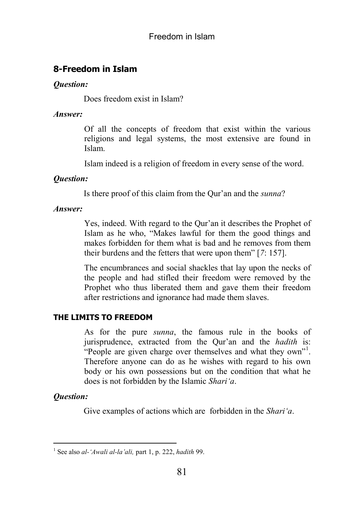# **8-Freedom in Islam**

### *Question:*

Does freedom exist in Islam?

### *Answer:*

Of all the concepts of freedom that exist within the various religions and legal systems, the most extensive are found in Islam.

Islam indeed is a religion of freedom in every sense of the word.

### *Question:*

Is there proof of this claim from the Qur'an and the *sunna*?

### *Answer:*

Yes, indeed. With regard to the Qur'an it describes the Prophet of Islam as he who, "Makes lawful for them the good things and makes forbidden for them what is bad and he removes from them their burdens and the fetters that were upon them" [*7*: 157].

The encumbrances and social shackles that lay upon the necks of the people and had stifled their freedom were removed by the Prophet who thus liberated them and gave them their freedom after restrictions and ignorance had made them slaves.

## **THE LIMITS TO FREEDOM**

As for the pure *sunna*, the famous rule in the books of jurisprudence, extracted from the Qur'an and the *hadith* is: "People are given charge over themselves and what they own"<sup>1</sup>. Therefore anyone can do as he wishes with regard to his own body or his own possessions but on the condition that what he does is not forbidden by the Islamic *Shari'a*.

### *Question:*

 $\overline{a}$ 

Give examples of actions which are forbidden in the *Shari'a*.

<sup>1</sup> See also *al-'Awali al-la'ali,* part 1, p. 222, *hadith* 99.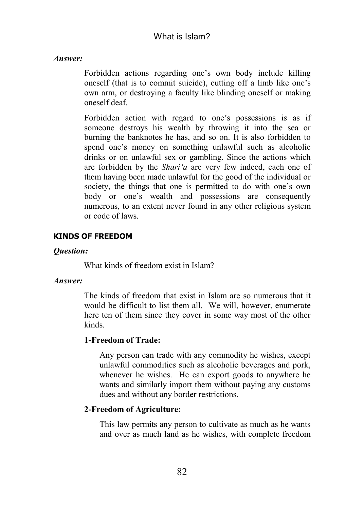#### *Answer:*

Forbidden actions regarding one's own body include killing oneself (that is to commit suicide), cutting off a limb like one's own arm, or destroying a faculty like blinding oneself or making oneself deaf.

Forbidden action with regard to one's possessions is as if someone destroys his wealth by throwing it into the sea or burning the banknotes he has, and so on. It is also forbidden to spend one's money on something unlawful such as alcoholic drinks or on unlawful sex or gambling. Since the actions which are forbidden by the *Shari'a* are very few indeed, each one of them having been made unlawful for the good of the individual or society, the things that one is permitted to do with one's own body or one's wealth and possessions are consequently numerous, to an extent never found in any other religious system or code of laws.

## **KINDS OF FREEDOM**

### *Question:*

What kinds of freedom exist in Islam?

#### *Answer:*

The kinds of freedom that exist in Islam are so numerous that it would be difficult to list them all. We will, however, enumerate here ten of them since they cover in some way most of the other kinds.

### **1-Freedom of Trade:**

Any person can trade with any commodity he wishes, except unlawful commodities such as alcoholic beverages and pork, whenever he wishes. He can export goods to anywhere he wants and similarly import them without paying any customs dues and without any border restrictions.

### **2-Freedom of Agriculture:**

This law permits any person to cultivate as much as he wants and over as much land as he wishes, with complete freedom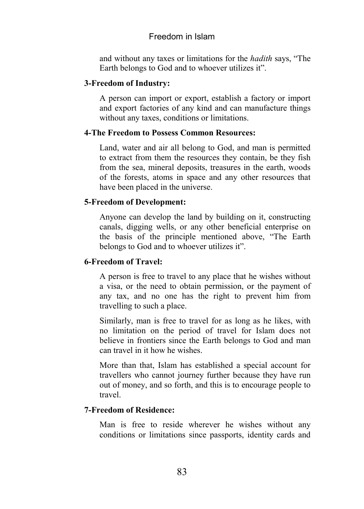## Freedom in Islam

and without any taxes or limitations for the *hadith* says, "The Earth belongs to God and to whoever utilizes it".

#### **3-Freedom of Industry:**

A person can import or export, establish a factory or import and export factories of any kind and can manufacture things without any taxes, conditions or limitations.

#### **4-The Freedom to Possess Common Resources:**

Land, water and air all belong to God, and man is permitted to extract from them the resources they contain, be they fish from the sea, mineral deposits, treasures in the earth, woods of the forests, atoms in space and any other resources that have been placed in the universe.

#### **5-Freedom of Development:**

Anyone can develop the land by building on it, constructing canals, digging wells, or any other beneficial enterprise on the basis of the principle mentioned above, "The Earth belongs to God and to whoever utilizes it".

#### **6-Freedom of Travel:**

A person is free to travel to any place that he wishes without a visa, or the need to obtain permission, or the payment of any tax, and no one has the right to prevent him from travelling to such a place.

Similarly, man is free to travel for as long as he likes, with no limitation on the period of travel for Islam does not believe in frontiers since the Earth belongs to God and man can travel in it how he wishes.

More than that, Islam has established a special account for travellers who cannot journey further because they have run out of money, and so forth, and this is to encourage people to travel.

#### **7-Freedom of Residence:**

Man is free to reside wherever he wishes without any conditions or limitations since passports, identity cards and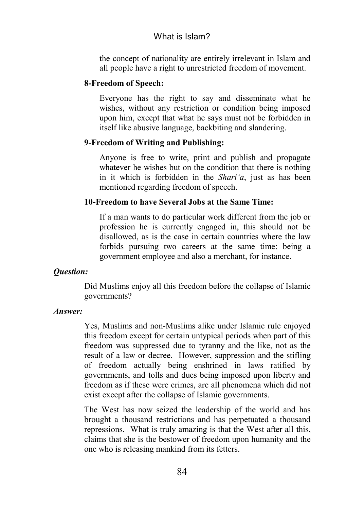the concept of nationality are entirely irrelevant in Islam and all people have a right to unrestricted freedom of movement.

### **8-Freedom of Speech:**

Everyone has the right to say and disseminate what he wishes, without any restriction or condition being imposed upon him, except that what he says must not be forbidden in itself like abusive language, backbiting and slandering.

#### **9-Freedom of Writing and Publishing:**

Anyone is free to write, print and publish and propagate whatever he wishes but on the condition that there is nothing in it which is forbidden in the *Shari'a*, just as has been mentioned regarding freedom of speech.

### **10-Freedom to have Several Jobs at the Same Time:**

If a man wants to do particular work different from the job or profession he is currently engaged in, this should not be disallowed, as is the case in certain countries where the law forbids pursuing two careers at the same time: being a government employee and also a merchant, for instance.

### *Question:*

Did Muslims enjoy all this freedom before the collapse of Islamic governments?

#### *Answer:*

Yes, Muslims and non-Muslims alike under Islamic rule enjoyed this freedom except for certain untypical periods when part of this freedom was suppressed due to tyranny and the like, not as the result of a law or decree. However, suppression and the stifling of freedom actually being enshrined in laws ratified by governments, and tolls and dues being imposed upon liberty and freedom as if these were crimes, are all phenomena which did not exist except after the collapse of Islamic governments.

The West has now seized the leadership of the world and has brought a thousand restrictions and has perpetuated a thousand repressions. What is truly amazing is that the West after all this, claims that she is the bestower of freedom upon humanity and the one who is releasing mankind from its fetters.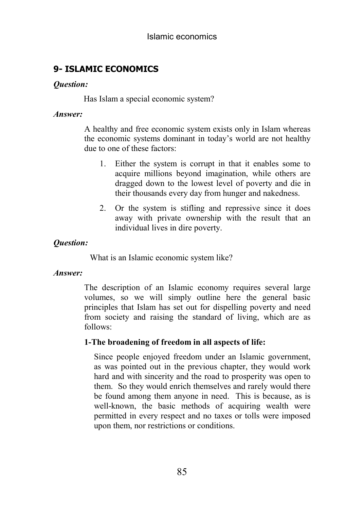# **9- ISLAMIC ECONOMICS**

#### *Question:*

Has Islam a special economic system?

### *Answer:*

A healthy and free economic system exists only in Islam whereas the economic systems dominant in today's world are not healthy due to one of these factors:

- 1. Either the system is corrupt in that it enables some to acquire millions beyond imagination, while others are dragged down to the lowest level of poverty and die in their thousands every day from hunger and nakedness.
- 2. Or the system is stifling and repressive since it does away with private ownership with the result that an individual lives in dire poverty.

## *Question:*

What is an Islamic economic system like?

### *Answer:*

The description of an Islamic economy requires several large volumes, so we will simply outline here the general basic principles that Islam has set out for dispelling poverty and need from society and raising the standard of living, which are as follows:

### **1-The broadening of freedom in all aspects of life:**

Since people enjoyed freedom under an Islamic government, as was pointed out in the previous chapter, they would work hard and with sincerity and the road to prosperity was open to them. So they would enrich themselves and rarely would there be found among them anyone in need. This is because, as is well-known, the basic methods of acquiring wealth were permitted in every respect and no taxes or tolls were imposed upon them, nor restrictions or conditions.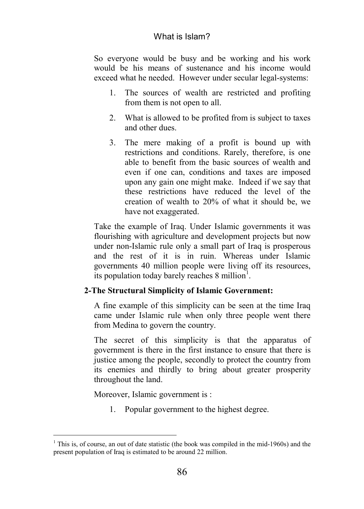So everyone would be busy and be working and his work would be his means of sustenance and his income would exceed what he needed. However under secular legal-systems:

- 1. The sources of wealth are restricted and profiting from them is not open to all.
- 2. What is allowed to be profited from is subject to taxes and other dues.
- 3. The mere making of a profit is bound up with restrictions and conditions. Rarely, therefore, is one able to benefit from the basic sources of wealth and even if one can, conditions and taxes are imposed upon any gain one might make. Indeed if we say that these restrictions have reduced the level of the creation of wealth to 20% of what it should be, we have not exaggerated.

Take the example of Iraq. Under Islamic governments it was flourishing with agriculture and development projects but now under non-Islamic rule only a small part of Iraq is prosperous and the rest of it is in ruin. Whereas under Islamic governments 40 million people were living off its resources, its population today barely reaches  $8 \text{ million}^1$ .

### **2-The Structural Simplicity of Islamic Government:**

A fine example of this simplicity can be seen at the time Iraq came under Islamic rule when only three people went there from Medina to govern the country.

The secret of this simplicity is that the apparatus of government is there in the first instance to ensure that there is justice among the people, secondly to protect the country from its enemies and thirdly to bring about greater prosperity throughout the land.

Moreover, Islamic government is :

 $\overline{a}$ 

1. Popular government to the highest degree.

<sup>&</sup>lt;sup>1</sup> This is, of course, an out of date statistic (the book was compiled in the mid-1960s) and the present population of Iraq is estimated to be around 22 million.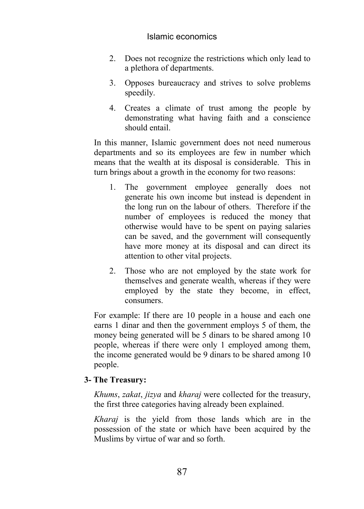#### Islamic economics

- 2. Does not recognize the restrictions which only lead to a plethora of departments.
- 3. Opposes bureaucracy and strives to solve problems speedily.
- 4. Creates a climate of trust among the people by demonstrating what having faith and a conscience should entail.

In this manner, Islamic government does not need numerous departments and so its employees are few in number which means that the wealth at its disposal is considerable. This in turn brings about a growth in the economy for two reasons:

- 1. The government employee generally does not generate his own income but instead is dependent in the long run on the labour of others. Therefore if the number of employees is reduced the money that otherwise would have to be spent on paying salaries can be saved, and the government will consequently have more money at its disposal and can direct its attention to other vital projects.
- 2. Those who are not employed by the state work for themselves and generate wealth, whereas if they were employed by the state they become, in effect, consumers.

For example: If there are 10 people in a house and each one earns 1 dinar and then the government employs 5 of them, the money being generated will be 5 dinars to be shared among 10 people, whereas if there were only 1 employed among them, the income generated would be 9 dinars to be shared among 10 people.

#### **3- The Treasury:**

*Khums*, *zakat*, *jizya* and *kharaj* were collected for the treasury, the first three categories having already been explained.

*Kharaj* is the yield from those lands which are in the possession of the state or which have been acquired by the Muslims by virtue of war and so forth.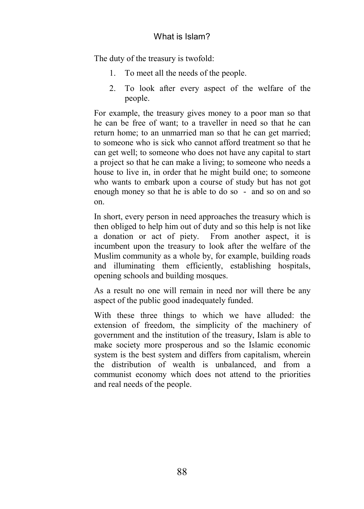The duty of the treasury is twofold:

- 1. To meet all the needs of the people.
- 2. To look after every aspect of the welfare of the people.

For example, the treasury gives money to a poor man so that he can be free of want; to a traveller in need so that he can return home; to an unmarried man so that he can get married; to someone who is sick who cannot afford treatment so that he can get well; to someone who does not have any capital to start a project so that he can make a living; to someone who needs a house to live in, in order that he might build one; to someone who wants to embark upon a course of study but has not got enough money so that he is able to do so - and so on and so on.

In short, every person in need approaches the treasury which is then obliged to help him out of duty and so this help is not like a donation or act of piety. From another aspect, it is incumbent upon the treasury to look after the welfare of the Muslim community as a whole by, for example, building roads and illuminating them efficiently, establishing hospitals, opening schools and building mosques.

As a result no one will remain in need nor will there be any aspect of the public good inadequately funded.

With these three things to which we have alluded: the extension of freedom, the simplicity of the machinery of government and the institution of the treasury, Islam is able to make society more prosperous and so the Islamic economic system is the best system and differs from capitalism, wherein the distribution of wealth is unbalanced, and from a communist economy which does not attend to the priorities and real needs of the people.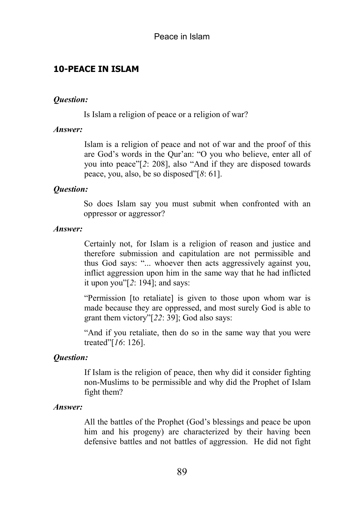#### Peace in Islam

### **10-PEACE IN ISLAM**

#### *Question:*

Is Islam a religion of peace or a religion of war?

#### *Answer:*

Islam is a religion of peace and not of war and the proof of this are God's words in the Qur'an: "O you who believe, enter all of you into peace"[*2*: 208], also "And if they are disposed towards peace, you, also, be so disposed"[*8*: 61].

#### *Question:*

So does Islam say you must submit when confronted with an oppressor or aggressor?

#### *Answer:*

Certainly not, for Islam is a religion of reason and justice and therefore submission and capitulation are not permissible and thus God says: "... whoever then acts aggressively against you, inflict aggression upon him in the same way that he had inflicted it upon you"[*2*: 194]; and says:

"Permission [to retaliate] is given to those upon whom war is made because they are oppressed, and most surely God is able to grant them victory"[*22*: 39]; God also says:

"And if you retaliate, then do so in the same way that you were treated"[*16*: 126].

#### *Question:*

If Islam is the religion of peace, then why did it consider fighting non-Muslims to be permissible and why did the Prophet of Islam fight them?

#### *Answer:*

All the battles of the Prophet (God's blessings and peace be upon him and his progeny) are characterized by their having been defensive battles and not battles of aggression. He did not fight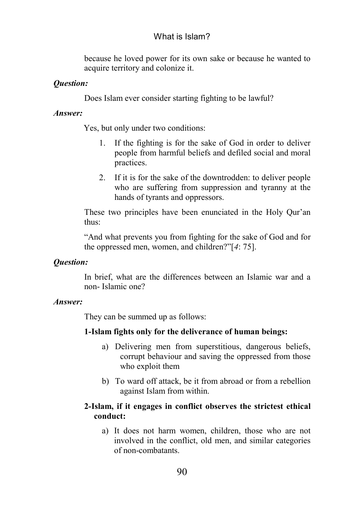because he loved power for its own sake or because he wanted to acquire territory and colonize it.

### *Question:*

Does Islam ever consider starting fighting to be lawful?

### *Answer:*

Yes, but only under two conditions:

- 1. If the fighting is for the sake of God in order to deliver people from harmful beliefs and defiled social and moral practices.
- 2. If it is for the sake of the downtrodden: to deliver people who are suffering from suppression and tyranny at the hands of tyrants and oppressors.

These two principles have been enunciated in the Holy Qur'an thus:

"And what prevents you from fighting for the sake of God and for the oppressed men, women, and children?"[*4*: 75].

### *Question:*

In brief, what are the differences between an Islamic war and a non- Islamic one?

### *Answer:*

They can be summed up as follows:

### **1-Islam fights only for the deliverance of human beings:**

- a) Delivering men from superstitious, dangerous beliefs, corrupt behaviour and saving the oppressed from those who exploit them
- b) To ward off attack, be it from abroad or from a rebellion against Islam from within.

### **2-Islam, if it engages in conflict observes the strictest ethical conduct:**

a) It does not harm women, children, those who are not involved in the conflict, old men, and similar categories of non-combatants.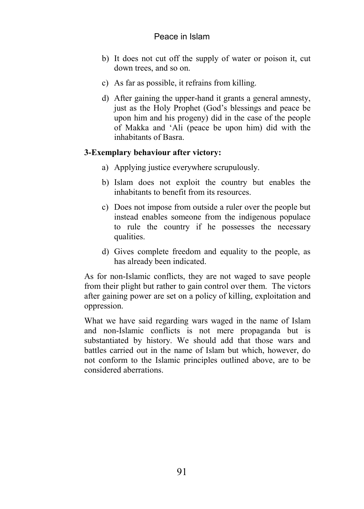### Peace in Islam

- b) It does not cut off the supply of water or poison it, cut down trees, and so on.
- c) As far as possible, it refrains from killing.
- d) After gaining the upper-hand it grants a general amnesty, just as the Holy Prophet (God's blessings and peace be upon him and his progeny) did in the case of the people of Makka and 'Ali (peace be upon him) did with the inhabitants of Basra.

### **3-Exemplary behaviour after victory:**

- a) Applying justice everywhere scrupulously.
- b) Islam does not exploit the country but enables the inhabitants to benefit from its resources.
- c) Does not impose from outside a ruler over the people but instead enables someone from the indigenous populace to rule the country if he possesses the necessary qualities.
- d) Gives complete freedom and equality to the people, as has already been indicated.

As for non-Islamic conflicts, they are not waged to save people from their plight but rather to gain control over them. The victors after gaining power are set on a policy of killing, exploitation and oppression.

What we have said regarding wars waged in the name of Islam and non-Islamic conflicts is not mere propaganda but is substantiated by history. We should add that those wars and battles carried out in the name of Islam but which, however, do not conform to the Islamic principles outlined above, are to be considered aberrations.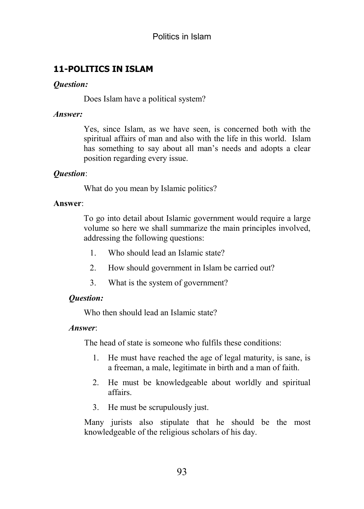# **11-POLITICS IN ISLAM**

### *Question:*

Does Islam have a political system?

## *Answer:*

Yes, since Islam, as we have seen, is concerned both with the spiritual affairs of man and also with the life in this world. Islam has something to say about all man's needs and adopts a clear position regarding every issue.

# *Question*:

What do you mean by Islamic politics?

# **Answer**:

To go into detail about Islamic government would require a large volume so here we shall summarize the main principles involved, addressing the following questions:

- 1. Who should lead an Islamic state?
- 2. How should government in Islam be carried out?
- 3. What is the system of government?

# *Question:*

Who then should lead an Islamic state?

# *Answer*:

The head of state is someone who fulfils these conditions:

- 1. He must have reached the age of legal maturity, is sane, is a freeman, a male, legitimate in birth and a man of faith.
- 2. He must be knowledgeable about worldly and spiritual affairs.
- 3. He must be scrupulously just.

Many jurists also stipulate that he should be the most knowledgeable of the religious scholars of his day.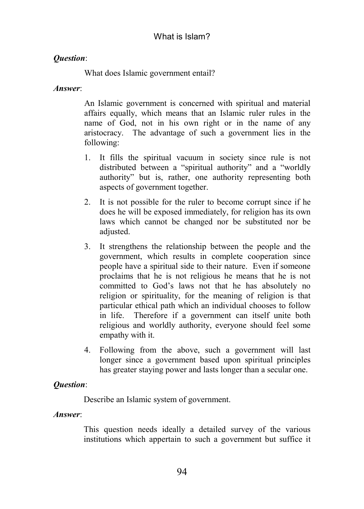## *Question*:

What does Islamic government entail?

### *Answer*:

An Islamic government is concerned with spiritual and material affairs equally, which means that an Islamic ruler rules in the name of God, not in his own right or in the name of any aristocracy. The advantage of such a government lies in the following:

- 1. It fills the spiritual vacuum in society since rule is not distributed between a "spiritual authority" and a "worldly authority" but is, rather, one authority representing both aspects of government together.
- 2. It is not possible for the ruler to become corrupt since if he does he will be exposed immediately, for religion has its own laws which cannot be changed nor be substituted nor be adjusted.
- 3. It strengthens the relationship between the people and the government, which results in complete cooperation since people have a spiritual side to their nature. Even if someone proclaims that he is not religious he means that he is not committed to God's laws not that he has absolutely no religion or spirituality, for the meaning of religion is that particular ethical path which an individual chooses to follow in life. Therefore if a government can itself unite both religious and worldly authority, everyone should feel some empathy with it.
- 4. Following from the above, such a government will last longer since a government based upon spiritual principles has greater staying power and lasts longer than a secular one.

## *Question*:

Describe an Islamic system of government.

### *Answer*:

This question needs ideally a detailed survey of the various institutions which appertain to such a government but suffice it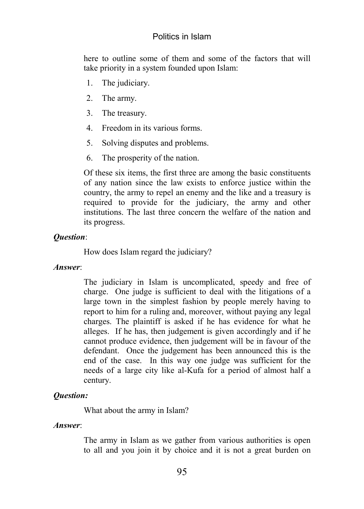### Politics in Islam

here to outline some of them and some of the factors that will take priority in a system founded upon Islam:

- 1. The judiciary.
- 2. The army.
- 3. The treasury.
- 4. Freedom in its various forms.
- 5. Solving disputes and problems.
- 6. The prosperity of the nation.

Of these six items, the first three are among the basic constituents of any nation since the law exists to enforce justice within the country, the army to repel an enemy and the like and a treasury is required to provide for the judiciary, the army and other institutions. The last three concern the welfare of the nation and its progress.

### *Question*:

How does Islam regard the judiciary?

#### *Answer*:

The judiciary in Islam is uncomplicated, speedy and free of charge. One judge is sufficient to deal with the litigations of a large town in the simplest fashion by people merely having to report to him for a ruling and, moreover, without paying any legal charges. The plaintiff is asked if he has evidence for what he alleges. If he has, then judgement is given accordingly and if he cannot produce evidence, then judgement will be in favour of the defendant. Once the judgement has been announced this is the end of the case. In this way one judge was sufficient for the needs of a large city like al-Kufa for a period of almost half a century.

### *Question:*

What about the army in Islam?

#### *Answer*:

The army in Islam as we gather from various authorities is open to all and you join it by choice and it is not a great burden on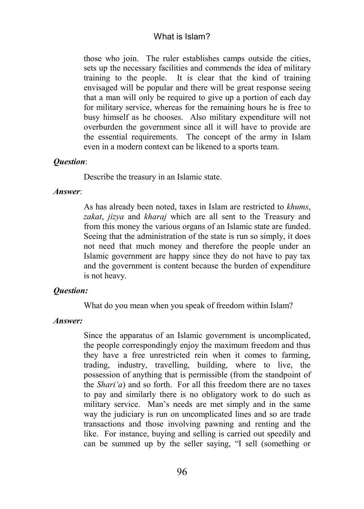those who join. The ruler establishes camps outside the cities, sets up the necessary facilities and commends the idea of military training to the people. It is clear that the kind of training envisaged will be popular and there will be great response seeing that a man will only be required to give up a portion of each day for military service, whereas for the remaining hours he is free to busy himself as he chooses. Also military expenditure will not overburden the government since all it will have to provide are the essential requirements. The concept of the army in Islam even in a modern context can be likened to a sports team.

#### *Question*:

Describe the treasury in an Islamic state.

#### *Answer*:

As has already been noted, taxes in Islam are restricted to *khums*, *zakat*, *jizya* and *kharaj* which are all sent to the Treasury and from this money the various organs of an Islamic state are funded. Seeing that the administration of the state is run so simply, it does not need that much money and therefore the people under an Islamic government are happy since they do not have to pay tax and the government is content because the burden of expenditure is not heavy.

#### *Question:*

What do you mean when you speak of freedom within Islam?

#### *Answer:*

Since the apparatus of an Islamic government is uncomplicated, the people correspondingly enjoy the maximum freedom and thus they have a free unrestricted rein when it comes to farming, trading, industry, travelling, building, where to live, the possession of anything that is permissible (from the standpoint of the *Shari'a*) and so forth. For all this freedom there are no taxes to pay and similarly there is no obligatory work to do such as military service. Man's needs are met simply and in the same way the judiciary is run on uncomplicated lines and so are trade transactions and those involving pawning and renting and the like. For instance, buying and selling is carried out speedily and can be summed up by the seller saying, "I sell (something or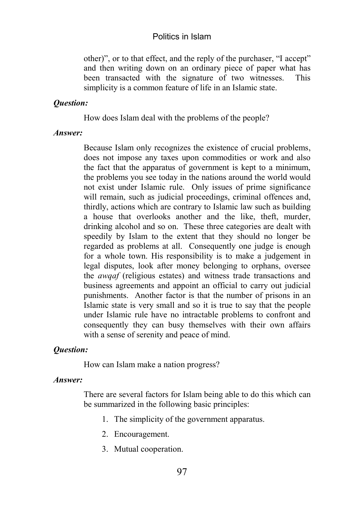### Politics in Islam

other)", or to that effect, and the reply of the purchaser, "I accept" and then writing down on an ordinary piece of paper what has been transacted with the signature of two witnesses. This simplicity is a common feature of life in an Islamic state.

#### *Question:*

How does Islam deal with the problems of the people?

#### *Answer:*

Because Islam only recognizes the existence of crucial problems, does not impose any taxes upon commodities or work and also the fact that the apparatus of government is kept to a minimum, the problems you see today in the nations around the world would not exist under Islamic rule. Only issues of prime significance will remain, such as judicial proceedings, criminal offences and, thirdly, actions which are contrary to Islamic law such as building a house that overlooks another and the like, theft, murder, drinking alcohol and so on. These three categories are dealt with speedily by Islam to the extent that they should no longer be regarded as problems at all. Consequently one judge is enough for a whole town. His responsibility is to make a judgement in legal disputes, look after money belonging to orphans, oversee the *awqaf* (religious estates) and witness trade transactions and business agreements and appoint an official to carry out judicial punishments. Another factor is that the number of prisons in an Islamic state is very small and so it is true to say that the people under Islamic rule have no intractable problems to confront and consequently they can busy themselves with their own affairs with a sense of serenity and peace of mind.

#### *Question:*

How can Islam make a nation progress?

#### *Answer:*

There are several factors for Islam being able to do this which can be summarized in the following basic principles:

- 1. The simplicity of the government apparatus.
- 2. Encouragement.
- 3. Mutual cooperation.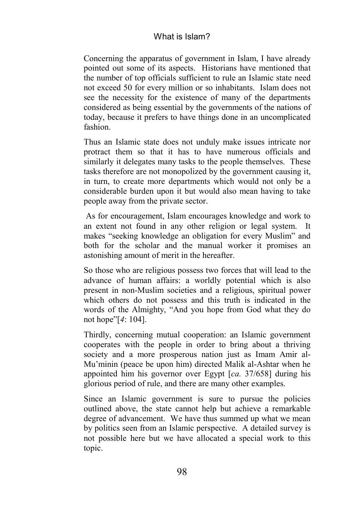Concerning the apparatus of government in Islam, I have already pointed out some of its aspects. Historians have mentioned that the number of top officials sufficient to rule an Islamic state need not exceed 50 for every million or so inhabitants. Islam does not see the necessity for the existence of many of the departments considered as being essential by the governments of the nations of today, because it prefers to have things done in an uncomplicated fashion.

Thus an Islamic state does not unduly make issues intricate nor protract them so that it has to have numerous officials and similarly it delegates many tasks to the people themselves. These tasks therefore are not monopolized by the government causing it, in turn, to create more departments which would not only be a considerable burden upon it but would also mean having to take people away from the private sector.

 As for encouragement, Islam encourages knowledge and work to an extent not found in any other religion or legal system. It makes "seeking knowledge an obligation for every Muslim" and both for the scholar and the manual worker it promises an astonishing amount of merit in the hereafter.

So those who are religious possess two forces that will lead to the advance of human affairs: a worldly potential which is also present in non-Muslim societies and a religious, spiritual power which others do not possess and this truth is indicated in the words of the Almighty, "And you hope from God what they do not hope"[*4*: 104].

Thirdly, concerning mutual cooperation: an Islamic government cooperates with the people in order to bring about a thriving society and a more prosperous nation just as Imam Amir al-Mu'minin (peace be upon him) directed Malik al-Ashtar when he appointed him his governor over Egypt [*ca.* 37/658] during his glorious period of rule, and there are many other examples.

Since an Islamic government is sure to pursue the policies outlined above, the state cannot help but achieve a remarkable degree of advancement. We have thus summed up what we mean by politics seen from an Islamic perspective. A detailed survey is not possible here but we have allocated a special work to this topic.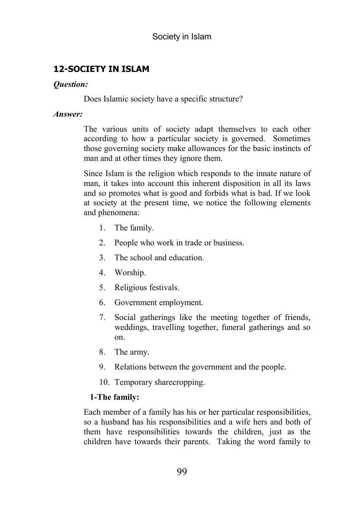#### Society in Islam

## **12-SOCIETY IN ISLAM**

#### *Question:*

Does Islamic society have a specific structure?

#### *Answer:*

The various units of society adapt themselves to each other according to how a particular society is governed. Sometimes those governing society make allowances for the basic instincts of man and at other times they ignore them.

Since Islam is the religion which responds to the innate nature of man, it takes into account this inherent disposition in all its laws and so promotes what is good and forbids what is bad. If we look at society at the present time, we notice the following elements and phenomena:

- 1. The family.
- 2. People who work in trade or business.
- 3. The school and education.
- 4. Worship.
- 5. Religious festivals.
- 6. Government employment.
- 7. Social gatherings like the meeting together of friends, weddings, travelling together, funeral gatherings and so on.
- 8. The army.
- 9. Relations between the government and the people.
- 10. Temporary sharecropping.

#### **1-The family:**

Each member of a family has his or her particular responsibilities, so a husband has his responsibilities and a wife hers and both of them have responsibilities towards the children, just as the children have towards their parents. Taking the word family to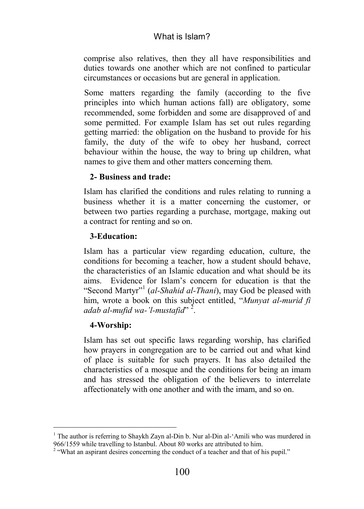comprise also relatives, then they all have responsibilities and duties towards one another which are not confined to particular circumstances or occasions but are general in application.

Some matters regarding the family (according to the five principles into which human actions fall) are obligatory, some recommended, some forbidden and some are disapproved of and some permitted. For example Islam has set out rules regarding getting married: the obligation on the husband to provide for his family, the duty of the wife to obey her husband, correct behaviour within the house, the way to bring up children, what names to give them and other matters concerning them.

#### **2- Business and trade:**

Islam has clarified the conditions and rules relating to running a business whether it is a matter concerning the customer, or between two parties regarding a purchase, mortgage, making out a contract for renting and so on.

#### **3-Education:**

Islam has a particular view regarding education, culture, the conditions for becoming a teacher, how a student should behave, the characteristics of an Islamic education and what should be its aims. Evidence for Islam's concern for education is that the "Second Martyr"<sup>1</sup> (al-Shahid al-Thani), may God be pleased with him, wrote a book on this subject entitled, "*Munyat al-murid fi*  adab al-mufid wa-'l-mustafid'<sup>, 2</sup>.

#### **4-Worship:**

 $\overline{a}$ 

Islam has set out specific laws regarding worship, has clarified how prayers in congregation are to be carried out and what kind of place is suitable for such prayers. It has also detailed the characteristics of a mosque and the conditions for being an imam and has stressed the obligation of the believers to interrelate affectionately with one another and with the imam, and so on.

<sup>&</sup>lt;sup>1</sup> The author is referring to Shaykh Zayn al-Din b. Nur al-Din al-'Amili who was murdered in 966/1559 while travelling to Istanbul. About 80 works are attributed to him. 2

<sup>&</sup>lt;sup>2</sup> "What an aspirant desires concerning the conduct of a teacher and that of his pupil."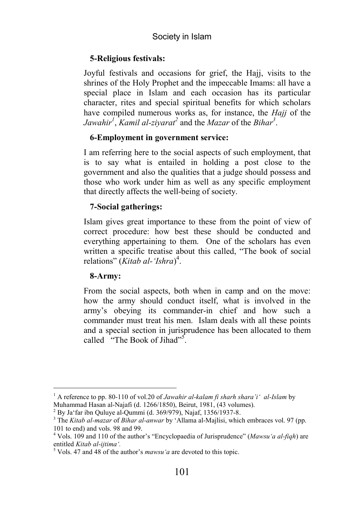## Society in Islam

## **5-Religious festivals:**

Joyful festivals and occasions for grief, the Hajj, visits to the shrines of the Holy Prophet and the impeccable Imams: all have a special place in Islam and each occasion has its particular character, rites and special spiritual benefits for which scholars have compiled numerous works as, for instance, the *Hajj* of the *Jawahir<sup>1</sup>*, *Kamil al-ziyarat*<sup>2</sup> and the *Mazar* of the *Bihar*<sup>3</sup>.

## **6-Employment in government service:**

I am referring here to the social aspects of such employment, that is to say what is entailed in holding a post close to the government and also the qualities that a judge should possess and those who work under him as well as any specific employment that directly affects the well-being of society.

#### **7-Social gatherings:**

Islam gives great importance to these from the point of view of correct procedure: how best these should be conducted and everything appertaining to them. One of the scholars has even written a specific treatise about this called, "The book of social relations" (*Kitab al-'Ishra*) 4 .

#### **8-Army:**

From the social aspects, both when in camp and on the move: how the army should conduct itself, what is involved in the army's obeying its commander-in chief and how such a commander must treat his men. Islam deals with all these points and a special section in jurisprudence has been allocated to them called "The Book of Jihad"<sup>5</sup>.

 $\overline{a}$ 

<sup>&</sup>lt;sup>1</sup> A reference to pp. 80-110 of vol.20 of *Jawahir al-kalam fi sharh shara'i' al-Islam* by Muhammad Hasan al-Najafi (d. 1266/1850), Beirut, 1981, (43 volumes). 2

 $2$  By Ja'far ibn Quluye al-Qummi (d. 369/979), Najaf, 1356/1937-8.

The *Kitab al-mazar* of *Bihar al-anwar* by 'Allama al-Majlisi, which embraces vol. 97 (pp.

<sup>101</sup> to end) and vols. 98 and 99.

<sup>4</sup> Vols. 109 and 110 of the author's "Encyclopaedia of Jurisprudence" (*Mawsu'a al-fiqh*) are entitled *Kitab al-ijtima'.*

<sup>5</sup> Vols. 47 and 48 of the author's *mawsu'a* are devoted to this topic.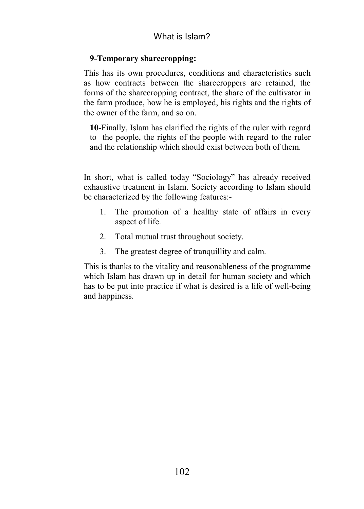#### **9-Temporary sharecropping:**

This has its own procedures, conditions and characteristics such as how contracts between the sharecroppers are retained, the forms of the sharecropping contract, the share of the cultivator in the farm produce, how he is employed, his rights and the rights of the owner of the farm, and so on.

**10-**Finally, Islam has clarified the rights of the ruler with regard to the people, the rights of the people with regard to the ruler and the relationship which should exist between both of them.

In short, what is called today "Sociology" has already received exhaustive treatment in Islam. Society according to Islam should be characterized by the following features:-

- 1. The promotion of a healthy state of affairs in every aspect of life.
- 2. Total mutual trust throughout society.
- 3. The greatest degree of tranquillity and calm.

This is thanks to the vitality and reasonableness of the programme which Islam has drawn up in detail for human society and which has to be put into practice if what is desired is a life of well-being and happiness.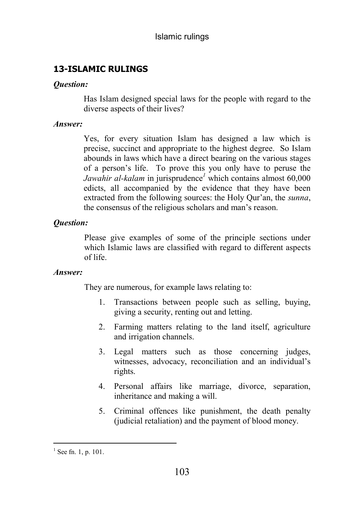# **13-ISLAMIC RULINGS**

#### *Question:*

Has Islam designed special laws for the people with regard to the diverse aspects of their lives?

#### *Answer:*

Yes, for every situation Islam has designed a law which is precise, succinct and appropriate to the highest degree. So Islam abounds in laws which have a direct bearing on the various stages of a person's life. To prove this you only have to peruse the *Jawahir al-kalam* in jurisprudence*<sup>1</sup>* which contains almost 60,000 edicts, all accompanied by the evidence that they have been extracted from the following sources: the Holy Qur'an, the *sunna*, the consensus of the religious scholars and man's reason.

## *Question:*

Please give examples of some of the principle sections under which Islamic laws are classified with regard to different aspects of life.

## *Answer:*

They are numerous, for example laws relating to:

- 1. Transactions between people such as selling, buying, giving a security, renting out and letting.
- 2. Farming matters relating to the land itself, agriculture and irrigation channels.
- 3. Legal matters such as those concerning judges, witnesses, advocacy, reconciliation and an individual's rights.
- 4. Personal affairs like marriage, divorce, separation, inheritance and making a will.
- 5. Criminal offences like punishment, the death penalty (judicial retaliation) and the payment of blood money.

 $\overline{a}$ 

 $1$  See fn. 1, p. 101.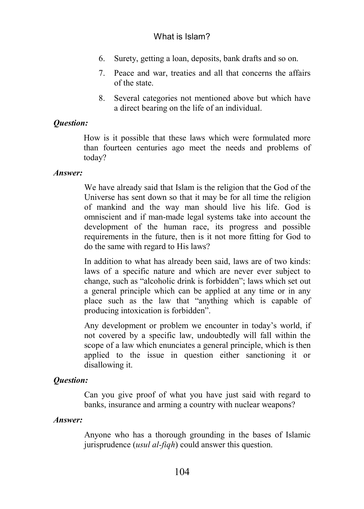- 6. Surety, getting a loan, deposits, bank drafts and so on.
- 7. Peace and war, treaties and all that concerns the affairs of the state.
- 8. Several categories not mentioned above but which have a direct bearing on the life of an individual.

#### *Question:*

How is it possible that these laws which were formulated more than fourteen centuries ago meet the needs and problems of today?

#### *Answer:*

We have already said that Islam is the religion that the God of the Universe has sent down so that it may be for all time the religion of mankind and the way man should live his life. God is omniscient and if man-made legal systems take into account the development of the human race, its progress and possible requirements in the future, then is it not more fitting for God to do the same with regard to His laws?

In addition to what has already been said, laws are of two kinds: laws of a specific nature and which are never ever subject to change, such as "alcoholic drink is forbidden"; laws which set out a general principle which can be applied at any time or in any place such as the law that "anything which is capable of producing intoxication is forbidden".

Any development or problem we encounter in today's world, if not covered by a specific law, undoubtedly will fall within the scope of a law which enunciates a general principle, which is then applied to the issue in question either sanctioning it or disallowing it.

## *Question:*

Can you give proof of what you have just said with regard to banks, insurance and arming a country with nuclear weapons?

#### *Answer:*

Anyone who has a thorough grounding in the bases of Islamic jurisprudence (*usul al-fiqh*) could answer this question.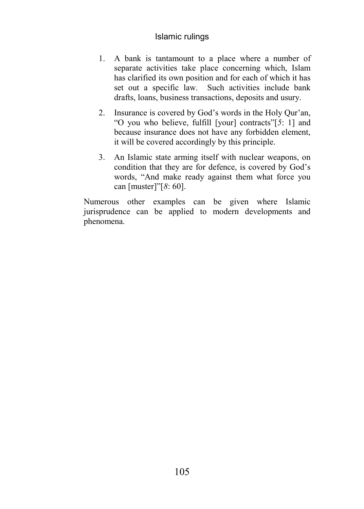## Islamic rulings

- 1. A bank is tantamount to a place where a number of separate activities take place concerning which, Islam has clarified its own position and for each of which it has set out a specific law. Such activities include bank drafts, loans, business transactions, deposits and usury.
- 2. Insurance is covered by God's words in the Holy Qur'an, "O you who believe, fulfill [your] contracts"[*5*: 1] and because insurance does not have any forbidden element, it will be covered accordingly by this principle.
- 3. An Islamic state arming itself with nuclear weapons, on condition that they are for defence, is covered by God's words, "And make ready against them what force you can [muster]"[*8*: 60].

Numerous other examples can be given where Islamic jurisprudence can be applied to modern developments and phenomena.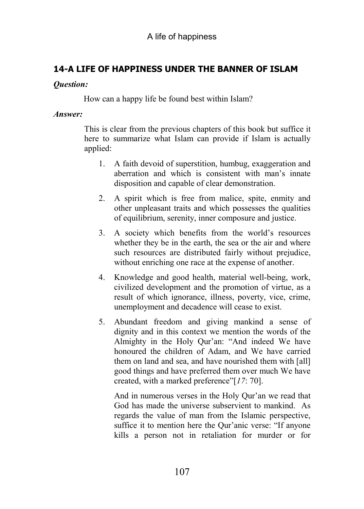# **14-A LIFE OF HAPPINESS UNDER THE BANNER OF ISLAM**

#### *Question:*

How can a happy life be found best within Islam?

#### *Answer:*

This is clear from the previous chapters of this book but suffice it here to summarize what Islam can provide if Islam is actually applied:

- 1. A faith devoid of superstition, humbug, exaggeration and aberration and which is consistent with man's innate disposition and capable of clear demonstration.
- 2. A spirit which is free from malice, spite, enmity and other unpleasant traits and which possesses the qualities of equilibrium, serenity, inner composure and justice.
- 3. A society which benefits from the world's resources whether they be in the earth, the sea or the air and where such resources are distributed fairly without prejudice, without enriching one race at the expense of another.
- 4. Knowledge and good health, material well-being, work, civilized development and the promotion of virtue, as a result of which ignorance, illness, poverty, vice, crime, unemployment and decadence will cease to exist.
- 5. Abundant freedom and giving mankind a sense of dignity and in this context we mention the words of the Almighty in the Holy Qur'an: "And indeed We have honoured the children of Adam, and We have carried them on land and sea, and have nourished them with [all] good things and have preferred them over much We have created, with a marked preference"[*17*: 70].

And in numerous verses in the Holy Qur'an we read that God has made the universe subservient to mankind. As regards the value of man from the Islamic perspective, suffice it to mention here the Qur'anic verse: "If anyone kills a person not in retaliation for murder or for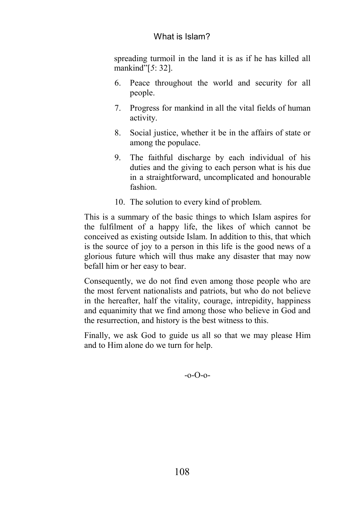spreading turmoil in the land it is as if he has killed all mankind"[*5*: 32].

- 6. Peace throughout the world and security for all people.
- 7. Progress for mankind in all the vital fields of human activity.
- 8. Social justice, whether it be in the affairs of state or among the populace.
- 9. The faithful discharge by each individual of his duties and the giving to each person what is his due in a straightforward, uncomplicated and honourable fashion.
- 10. The solution to every kind of problem.

This is a summary of the basic things to which Islam aspires for the fulfilment of a happy life, the likes of which cannot be conceived as existing outside Islam. In addition to this, that which is the source of joy to a person in this life is the good news of a glorious future which will thus make any disaster that may now befall him or her easy to bear.

Consequently, we do not find even among those people who are the most fervent nationalists and patriots, but who do not believe in the hereafter, half the vitality, courage, intrepidity, happiness and equanimity that we find among those who believe in God and the resurrection, and history is the best witness to this.

Finally, we ask God to guide us all so that we may please Him and to Him alone do we turn for help.

 $-0-0-0-$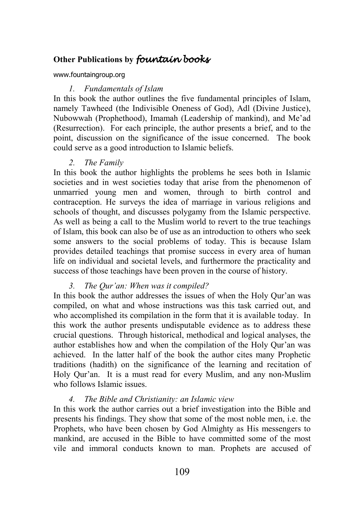# **Other Publications by fountain books**

#### www.fountaingroup.org

#### *1. Fundamentals of Islam*

In this book the author outlines the five fundamental principles of Islam, namely Tawheed (the Indivisible Oneness of God), Adl (Divine Justice), Nubowwah (Prophethood), Imamah (Leadership of mankind), and Me'ad (Resurrection). For each principle, the author presents a brief, and to the point, discussion on the significance of the issue concerned. The book could serve as a good introduction to Islamic beliefs.

#### *2. The Family*

In this book the author highlights the problems he sees both in Islamic societies and in west societies today that arise from the phenomenon of unmarried young men and women, through to birth control and contraception. He surveys the idea of marriage in various religions and schools of thought, and discusses polygamy from the Islamic perspective. As well as being a call to the Muslim world to revert to the true teachings of Islam, this book can also be of use as an introduction to others who seek some answers to the social problems of today. This is because Islam provides detailed teachings that promise success in every area of human life on individual and societal levels, and furthermore the practicality and success of those teachings have been proven in the course of history.

## *3. The Qur'an: When was it compiled?*

In this book the author addresses the issues of when the Holy Qur'an was compiled, on what and whose instructions was this task carried out, and who accomplished its compilation in the form that it is available today. In this work the author presents undisputable evidence as to address these crucial questions. Through historical, methodical and logical analyses, the author establishes how and when the compilation of the Holy Qur'an was achieved. In the latter half of the book the author cites many Prophetic traditions (hadith) on the significance of the learning and recitation of Holy Qur'an. It is a must read for every Muslim, and any non-Muslim who follows Islamic issues.

## *4. The Bible and Christianity: an Islamic view*

In this work the author carries out a brief investigation into the Bible and presents his findings. They show that some of the most noble men, i.e. the Prophets, who have been chosen by God Almighty as His messengers to mankind, are accused in the Bible to have committed some of the most vile and immoral conducts known to man. Prophets are accused of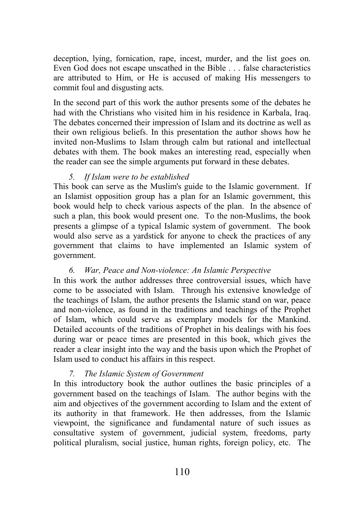deception, lying, fornication, rape, incest, murder, and the list goes on. Even God does not escape unscathed in the Bible . . . false characteristics are attributed to Him, or He is accused of making His messengers to commit foul and disgusting acts.

In the second part of this work the author presents some of the debates he had with the Christians who visited him in his residence in Karbala, Iraq. The debates concerned their impression of Islam and its doctrine as well as their own religious beliefs. In this presentation the author shows how he invited non-Muslims to Islam through calm but rational and intellectual debates with them. The book makes an interesting read, especially when the reader can see the simple arguments put forward in these debates.

## *5. If Islam were to be established*

This book can serve as the Muslim's guide to the Islamic government. If an Islamist opposition group has a plan for an Islamic government, this book would help to check various aspects of the plan. In the absence of such a plan, this book would present one. To the non-Muslims, the book presents a glimpse of a typical Islamic system of government. The book would also serve as a yardstick for anyone to check the practices of any government that claims to have implemented an Islamic system of government.

## *6. War, Peace and Non-violence: An Islamic Perspective*

In this work the author addresses three controversial issues, which have come to be associated with Islam. Through his extensive knowledge of the teachings of Islam, the author presents the Islamic stand on war, peace and non-violence, as found in the traditions and teachings of the Prophet of Islam, which could serve as exemplary models for the Mankind. Detailed accounts of the traditions of Prophet in his dealings with his foes during war or peace times are presented in this book, which gives the reader a clear insight into the way and the basis upon which the Prophet of Islam used to conduct his affairs in this respect.

## *7. The Islamic System of Government*

In this introductory book the author outlines the basic principles of a government based on the teachings of Islam. The author begins with the aim and objectives of the government according to Islam and the extent of its authority in that framework. He then addresses, from the Islamic viewpoint, the significance and fundamental nature of such issues as consultative system of government, judicial system, freedoms, party political pluralism, social justice, human rights, foreign policy, etc. The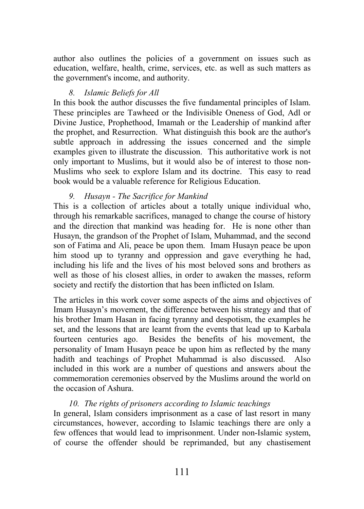author also outlines the policies of a government on issues such as education, welfare, health, crime, services, etc. as well as such matters as the government's income, and authority.

## *8. Islamic Beliefs for All*

In this book the author discusses the five fundamental principles of Islam. These principles are Tawheed or the Indivisible Oneness of God, Adl or Divine Justice, Prophethood, Imamah or the Leadership of mankind after the prophet, and Resurrection. What distinguish this book are the author's subtle approach in addressing the issues concerned and the simple examples given to illustrate the discussion. This authoritative work is not only important to Muslims, but it would also be of interest to those non-Muslims who seek to explore Islam and its doctrine. This easy to read book would be a valuable reference for Religious Education.

## *9. Husayn - The Sacrifice for Mankind*

This is a collection of articles about a totally unique individual who, through his remarkable sacrifices, managed to change the course of history and the direction that mankind was heading for. He is none other than Husayn, the grandson of the Prophet of Islam, Muhammad, and the second son of Fatima and Ali, peace be upon them. Imam Husayn peace be upon him stood up to tyranny and oppression and gave everything he had, including his life and the lives of his most beloved sons and brothers as well as those of his closest allies, in order to awaken the masses, reform society and rectify the distortion that has been inflicted on Islam.

The articles in this work cover some aspects of the aims and objectives of Imam Husayn's movement, the difference between his strategy and that of his brother Imam Hasan in facing tyranny and despotism, the examples he set, and the lessons that are learnt from the events that lead up to Karbala fourteen centuries ago. Besides the benefits of his movement, the personality of Imam Husayn peace be upon him as reflected by the many hadith and teachings of Prophet Muhammad is also discussed. Also included in this work are a number of questions and answers about the commemoration ceremonies observed by the Muslims around the world on the occasion of Ashura.

## *10. The rights of prisoners according to Islamic teachings*

In general, Islam considers imprisonment as a case of last resort in many circumstances, however, according to Islamic teachings there are only a few offences that would lead to imprisonment. Under non-Islamic system, of course the offender should be reprimanded, but any chastisement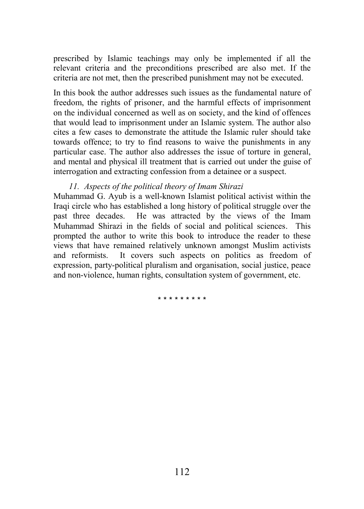prescribed by Islamic teachings may only be implemented if all the relevant criteria and the preconditions prescribed are also met. If the criteria are not met, then the prescribed punishment may not be executed.

In this book the author addresses such issues as the fundamental nature of freedom, the rights of prisoner, and the harmful effects of imprisonment on the individual concerned as well as on society, and the kind of offences that would lead to imprisonment under an Islamic system. The author also cites a few cases to demonstrate the attitude the Islamic ruler should take towards offence; to try to find reasons to waive the punishments in any particular case. The author also addresses the issue of torture in general, and mental and physical ill treatment that is carried out under the guise of interrogation and extracting confession from a detainee or a suspect.

## *11. Aspects of the political theory of Imam Shirazi*

Muhammad G. Ayub is a well-known Islamist political activist within the Iraqi circle who has established a long history of political struggle over the past three decades. He was attracted by the views of the Imam Muhammad Shirazi in the fields of social and political sciences. This prompted the author to write this book to introduce the reader to these views that have remained relatively unknown amongst Muslim activists and reformists. It covers such aspects on politics as freedom of expression, party-political pluralism and organisation, social justice, peace and non-violence, human rights, consultation system of government, etc.

\* \* \* \* \* \* \* \* \*